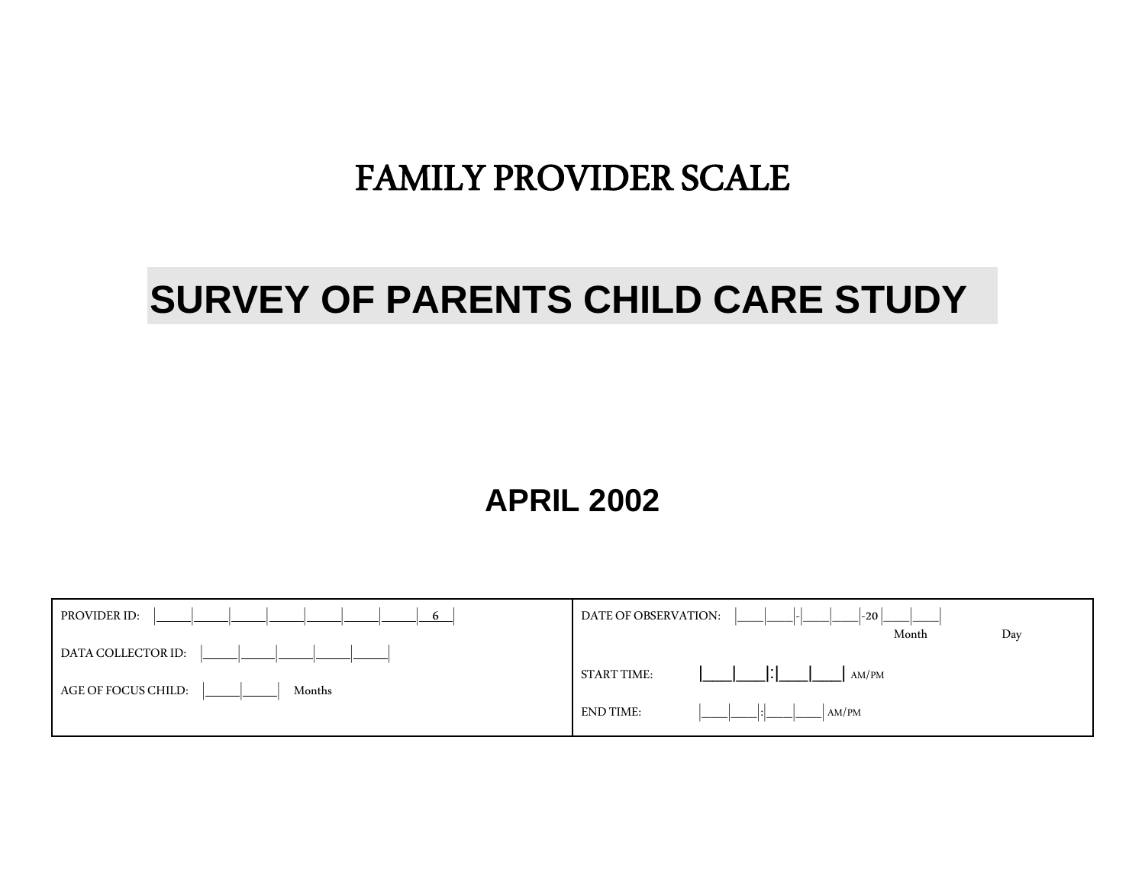# FAMILY PROVIDER SCALE

# **SURVEY OF PARENTS CHILD CARE STUDY**

## **APRIL 2002**

| PROVIDER ID:<br>6             | DATE OF OBSERVATION:<br>$ -20 $ |
|-------------------------------|---------------------------------|
|                               | Month<br>Day                    |
| DATA COLLECTOR ID:            |                                 |
|                               | <b>START TIME:</b><br>AM/PM     |
|                               |                                 |
| AGE OF FOCUS CHILD:<br>Months |                                 |
|                               | AM/PM<br>END TIME:              |
|                               |                                 |
|                               |                                 |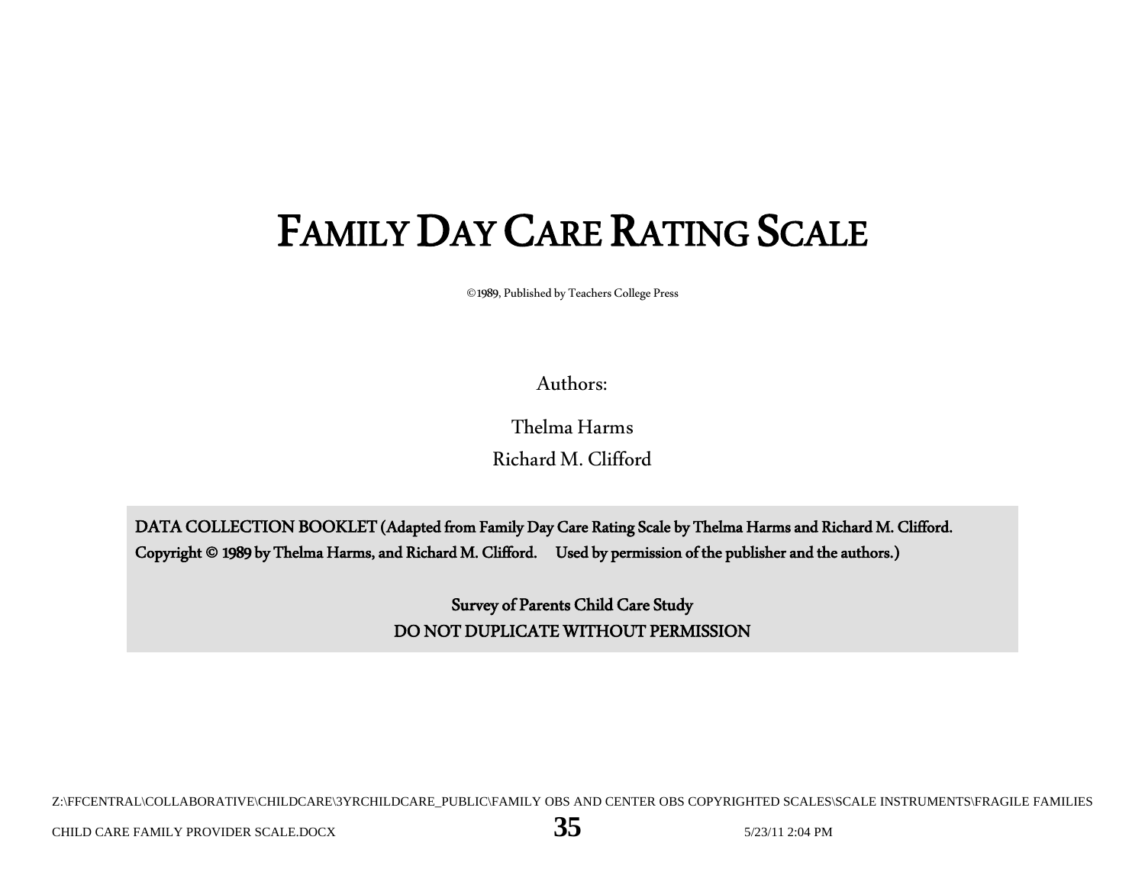# FAMILY DAY CARE RATING SCALE

©1989, Published by Teachers College Press

Authors:

Thelma Harms Richard M. Clifford

DATA COLLECTION BOOKLET (Adapted from Family Day Care Rating Scale by Thelma Harms and Richard M. Clifford. Copyright © 1989 by Thelma Harms, and Richard M. Clifford. Used by permission of the publisher and the authors.)

> Survey of Parents Child Care Study DO NOT DUPLICATE WITHOUT PERMISSION

Z:\FFCENTRAL\COLLABORATIVE\CHILDCARE\3YRCHILDCARE\_PUBLIC\FAMILY OBS AND CENTER OBS COPYRIGHTED SCALES\SCALE INSTRUMENTS\FRAGILE FAMILIES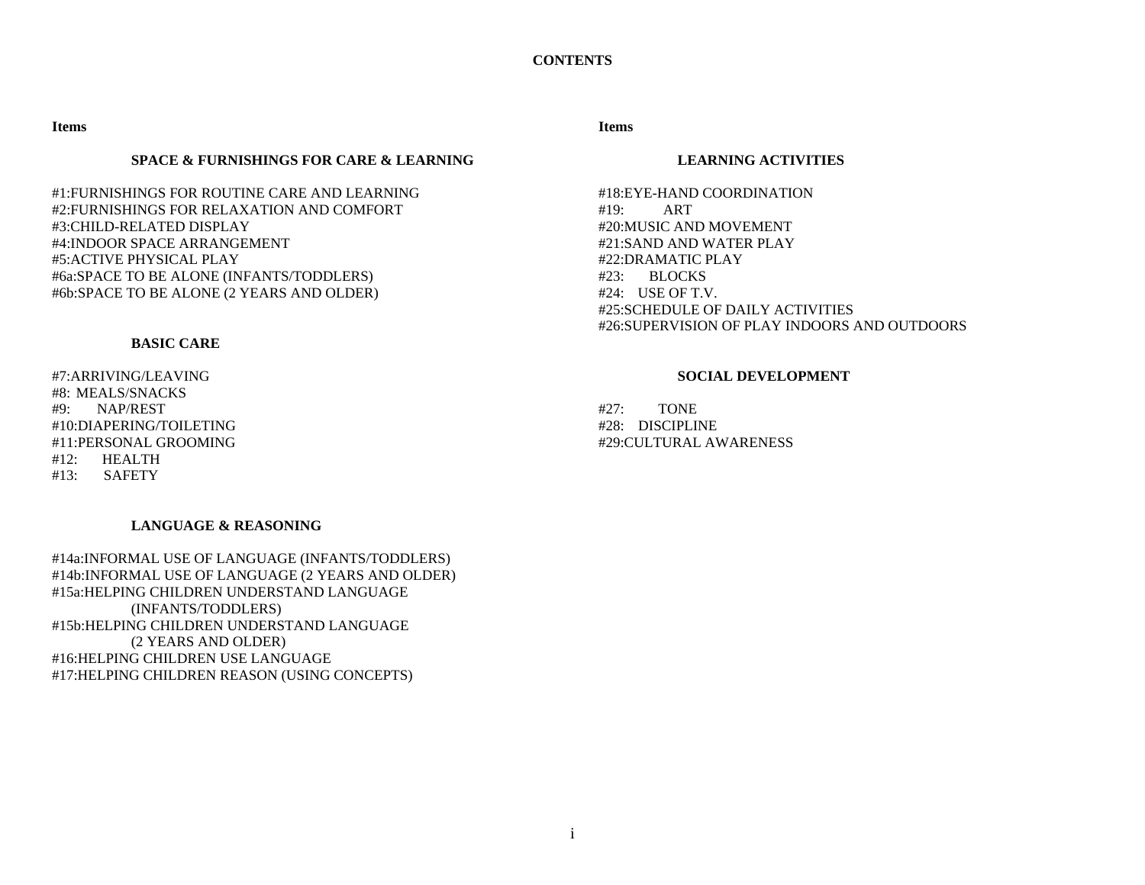**Items** 

## **SPACE & FURNISHINGS FOR CARE & LEARNING**

#1:FURNISHINGS FOR ROUTINE CARE AND LEARNING #2:FURNISHINGS FOR RELAXATION AND COMFORT #3:CHILD-RELATED DISPLAY #4:INDOOR SPACE ARRANGEMENT #5:ACTIVE PHYSICAL PLAY #6a:SPACE TO BE ALONE (INFANTS/TODDLERS) #6b:SPACE TO BE ALONE (2 YEARS AND OLDER)

## **BASIC CARE**

#7:ARRIVING/LEAVING #8: MEALS/SNACKS #9: NAP/REST #10:DIAPERING/TOILETING #11:PERSONAL GROOMING #12: HEALTH #13: SAFETY

## **LANGUAGE & REASONING**

#14a:INFORMAL USE OF LANGUAGE (INFANTS/TODDLERS) #14b:INFORMAL USE OF LANGUAGE (2 YEARS AND OLDER) #15a:HELPING CHILDREN UNDERSTAND LANGUAGE (INFANTS/TODDLERS) #15b:HELPING CHILDREN UNDERSTAND LANGUAGE (2 YEARS AND OLDER) #16:HELPING CHILDREN USE LANGUAGE #17:HELPING CHILDREN REASON (USING CONCEPTS)

## **Items**

## **LEARNING ACTIVITIES**

#18:EYE-HAND COORDINATION #19: ART #20:MUSIC AND MOVEMENT #21:SAND AND WATER PLAY #22:DRAMATIC PLAY #23: BLOCKS #24: USE OF T.V. #25:SCHEDULE OF DAILY ACTIVITIES #26:SUPERVISION OF PLAY INDOORS AND OUTDOORS

## **SOCIAL DEVELOPMENT**

#27: TONE #28: DISCIPLINE #29:CULTURAL AWARENESS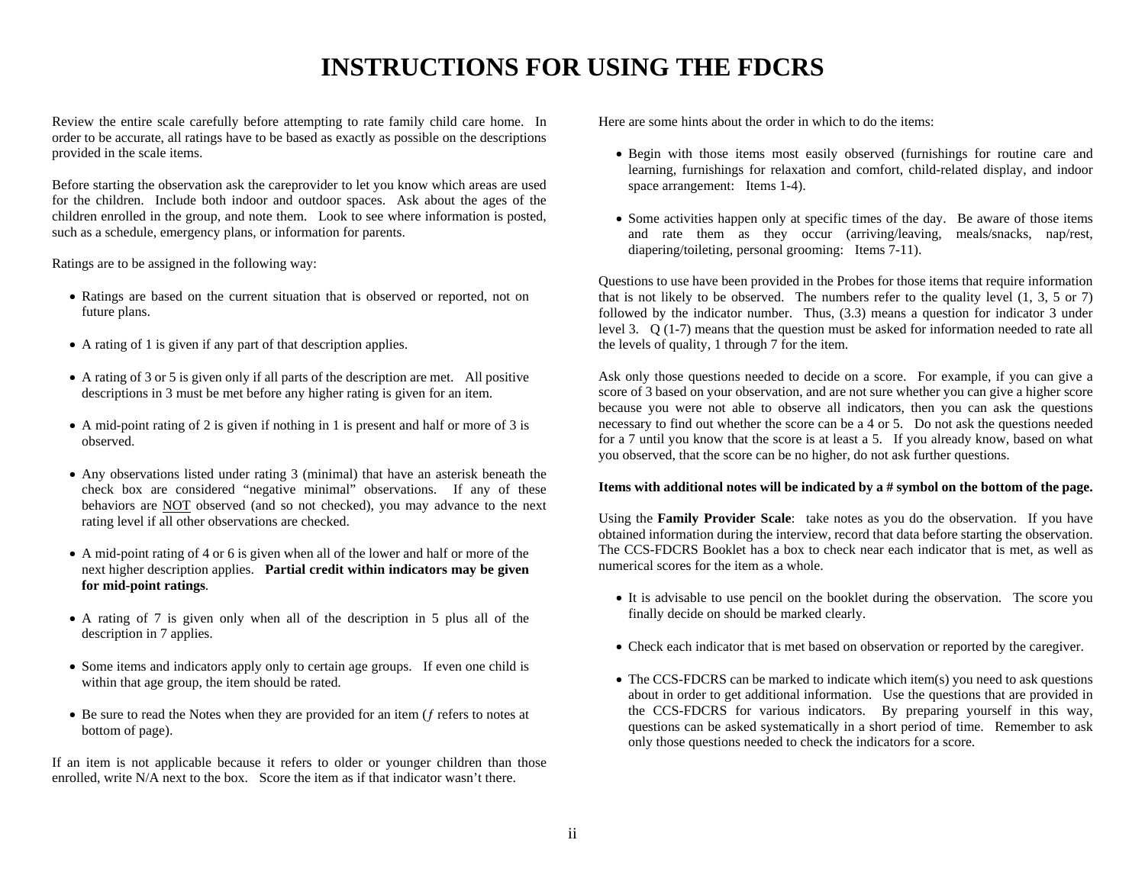## **INSTRUCTIONS FOR USING THE FDCRS**

Review the entire scale carefully before attempting to rate family child care home. In order to be accurate, all ratings have to be based as exactly as possible on the descriptions provided in the scale items.

Before starting the observation ask the careprovider to let you know which areas are used for the children. Include both indoor and outdoor spaces. Ask about the ages of the children enrolled in the group, and note them. Look to see where information is posted, such as a schedule, emergency plans, or information for parents.

Ratings are to be assigned in the following way:

- Ratings are based on the current situation that is observed or reported, not on future plans.
- A rating of 1 is given if any part of that description applies.
- A rating of 3 or 5 is given only if all parts of the description are met. All positive descriptions in 3 must be met before any higher rating is given for an item.
- A mid-point rating of 2 is given if nothing in 1 is present and half or more of 3 is observed.
- Any observations listed under rating 3 (minimal) that have an asterisk beneath the check box are considered "negative minimal" observations. If any of these behaviors are NOT observed (and so not checked), you may advance to the next rating level if all other observations are checked.
- A mid-point rating of 4 or 6 is given when all of the lower and half or more of the next higher description applies. **Partial credit within indicators may be given for mid-point ratings**.
- A rating of 7 is given only when all of the description in 5 plus all of the description in 7 applies.
- Some items and indicators apply only to certain age groups. If even one child is within that age group, the item should be rated.
- Be sure to read the Notes when they are provided for an item ( $f$  refers to notes at bottom of page).

If an item is not applicable because it refers to older or younger children than those enrolled, write N/A next to the box. Score the item as if that indicator wasn't there.

Here are some hints about the order in which to do the items:

- Begin with those items most easily observed (furnishings for routine care and learning, furnishings for relaxation and comfort, child-related display, and indoor space arrangement: Items 1-4).
- Some activities happen only at specific times of the day. Be aware of those items and rate them as they occur (arriving/leaving, meals/snacks, nap/rest, diapering/toileting, personal grooming: Items 7-11).

Questions to use have been provided in the Probes for those items that require information that is not likely to be observed. The numbers refer to the quality level  $(1, 3, 5 \text{ or } 7)$ followed by the indicator number. Thus, (3.3) means a question for indicator 3 under level 3. Q (1-7) means that the question must be asked for information needed to rate all the levels of quality, 1 through 7 for the item.

Ask only those questions needed to decide on a score. For example, if you can give a score of 3 based on your observation, and are not sure whether you can give a higher score because you were not able to observe all indicators, then you can ask the questions necessary to find out whether the score can be a 4 or 5. Do not ask the questions needed for a 7 until you know that the score is at least a 5. If you already know, based on what you observed, that the score can be no higher, do not ask further questions.

## **Items with additional notes will be indicated by a # symbol on the bottom of the page.**

Using the **Family Provider Scale**: take notes as you do the observation. If you have obtained information during the interview, record that data before starting the observation. The CCS-FDCRS Booklet has a box to check near each indicator that is met, as well as numerical scores for the item as a whole.

- It is advisable to use pencil on the booklet during the observation. The score you finally decide on should be marked clearly.
- Check each indicator that is met based on observation or reported by the caregiver.
- The CCS-FDCRS can be marked to indicate which item(s) you need to ask questions about in order to get additional information. Use the questions that are provided in the CCS-FDCRS for various indicators. By preparing yourself in this way, questions can be asked systematically in a short period of time. Remember to ask only those questions needed to check the indicators for a score.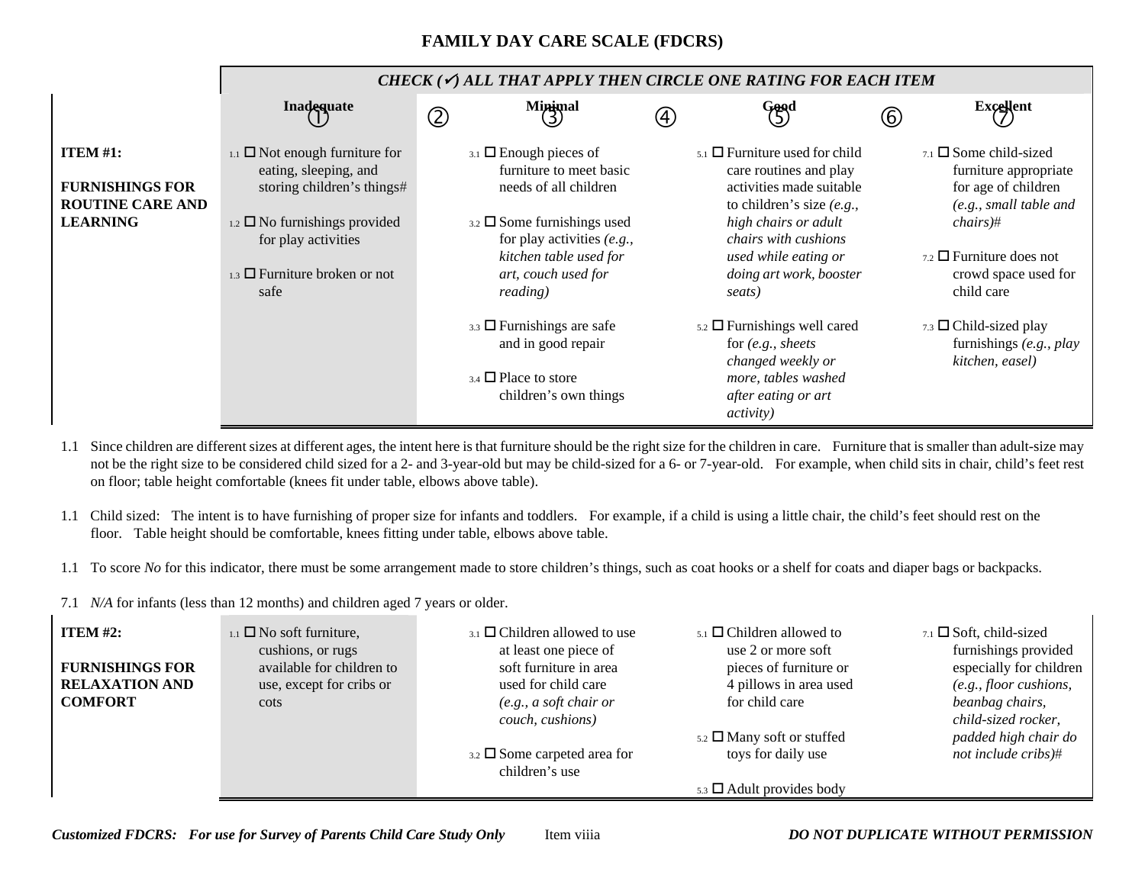## **FAMILY DAY CARE SCALE (FDCRS)**

|                                                                                         |                                                                                                                                                                                                                         | CHECK ( $\checkmark$ ) ALL THAT APPLY THEN CIRCLE ONE RATING FOR EACH ITEM                                  |     |                                                                                                                                                                                                                                                   |               |                                                                                                                                                                                                             |
|-----------------------------------------------------------------------------------------|-------------------------------------------------------------------------------------------------------------------------------------------------------------------------------------------------------------------------|-------------------------------------------------------------------------------------------------------------|-----|---------------------------------------------------------------------------------------------------------------------------------------------------------------------------------------------------------------------------------------------------|---------------|-------------------------------------------------------------------------------------------------------------------------------------------------------------------------------------------------------------|
|                                                                                         | Inadequate                                                                                                                                                                                                              | $M$ inimal<br>$\circledZ$                                                                                   | (4) | Good                                                                                                                                                                                                                                              | $\circled{6}$ | <b>Excellent</b>                                                                                                                                                                                            |
| <b>ITEM</b> #1:<br><b>FURNISHINGS FOR</b><br><b>ROUTINE CARE AND</b><br><b>LEARNING</b> | $_{1.1}$ $\Box$ Not enough furniture for<br>eating, sleeping, and<br>storing children's things#<br>$_{1.2}$ $\square$ No furnishings provided<br>for play activities<br>$_{1.3}$ $\Box$ Furniture broken or not<br>safe |                                                                                                             |     | $_{5.1}$ $\Box$ Furniture used for child<br>care routines and play<br>activities made suitable<br>to children's size $(e.g.,$<br>high chairs or adult<br><i>chairs with cushions</i><br>used while eating or<br>doing art work, booster<br>seats) |               | $_{7.1}$ $\square$ Some child-sized<br>furniture appropriate<br>for age of children<br>(e.g., small table and<br>$chairs)$ #<br>$_{7.2}$ $\square$ Furniture does not<br>crowd space used for<br>child care |
|                                                                                         |                                                                                                                                                                                                                         | $_{3.3}$ $\Box$ Furnishings are safe<br>and in good repair<br>3.4 □ Place to store<br>children's own things |     | $_{5.2}$ $\square$ Furnishings well cared<br>for $(e.g., sheets)$<br>changed weekly or<br>more, tables washed<br>after eating or art<br><i>activity</i> )                                                                                         |               | 7.3 $\Box$ Child-sized play<br>furnishings (e.g., play<br>kitchen, easel)                                                                                                                                   |

1.1 Since children are different sizes at different ages, the intent here is that furniture should be the right size for the children in care. Furniture that is smaller than adult-size may not be the right size to be considered child sized for a 2- and 3-year-old but may be child-sized for a 6- or 7-year-old. For example, when child sits in chair, child's feet rest on floor; table height comfortable (knees fit under table, elbows above table).

1.1 Child sized: The intent is to have furnishing of proper size for infants and toddlers. For example, if a child is using a little chair, the child's feet should rest on the floor. Table height should be comfortable, knees fitting under table, elbows above table.

- 1.1 To score *No* for this indicator, there must be some arrangement made to store children's things, such as coat hooks or a shelf for coats and diaper bags or backpacks.
- 7.1 *N/A* for infants (less than 12 months) and children aged 7 years or older.

 $\mathbf{I}$ 

| ITEM $#2$ :            | $_{1.1}$ $\square$ No soft furniture, | $_{3.1}$ $\Box$ Children allowed to use | $_{5.1}$ $\square$ Children allowed to | $7.1$ $\square$ Soft, child-sized |
|------------------------|---------------------------------------|-----------------------------------------|----------------------------------------|-----------------------------------|
|                        | cushions, or rugs                     | at least one piece of                   | use 2 or more soft                     | furnishings provided              |
| <b>FURNISHINGS FOR</b> | available for children to             | soft furniture in area                  | pieces of furniture or                 | especially for children           |
| <b>RELAXATION AND</b>  | use, except for cribs or              | used for child care                     | 4 pillows in area used                 | $(e.g., floor \textit{cusions},$  |
| <b>COMFORT</b>         | cots                                  | (e.g., a soft chair or                  | for child care                         | beanbag chairs,                   |
|                        |                                       | couch, cushions)                        |                                        | child-sized rocker,               |
|                        |                                       |                                         | $5.2$ $\Box$ Many soft or stuffed      | padded high chair do              |
|                        |                                       | $3.2 \square$ Some carpeted area for    | toys for daily use                     | not include cribs)#               |
|                        |                                       | children's use                          |                                        |                                   |
|                        |                                       |                                         | $5.3$ $\Box$ Adult provides body       |                                   |

*Customized FDCRS: For use for Survey of Parents Child Care Study Only* Item viiia *DO NOT DUPLICATE WITHOUT PERMISSION*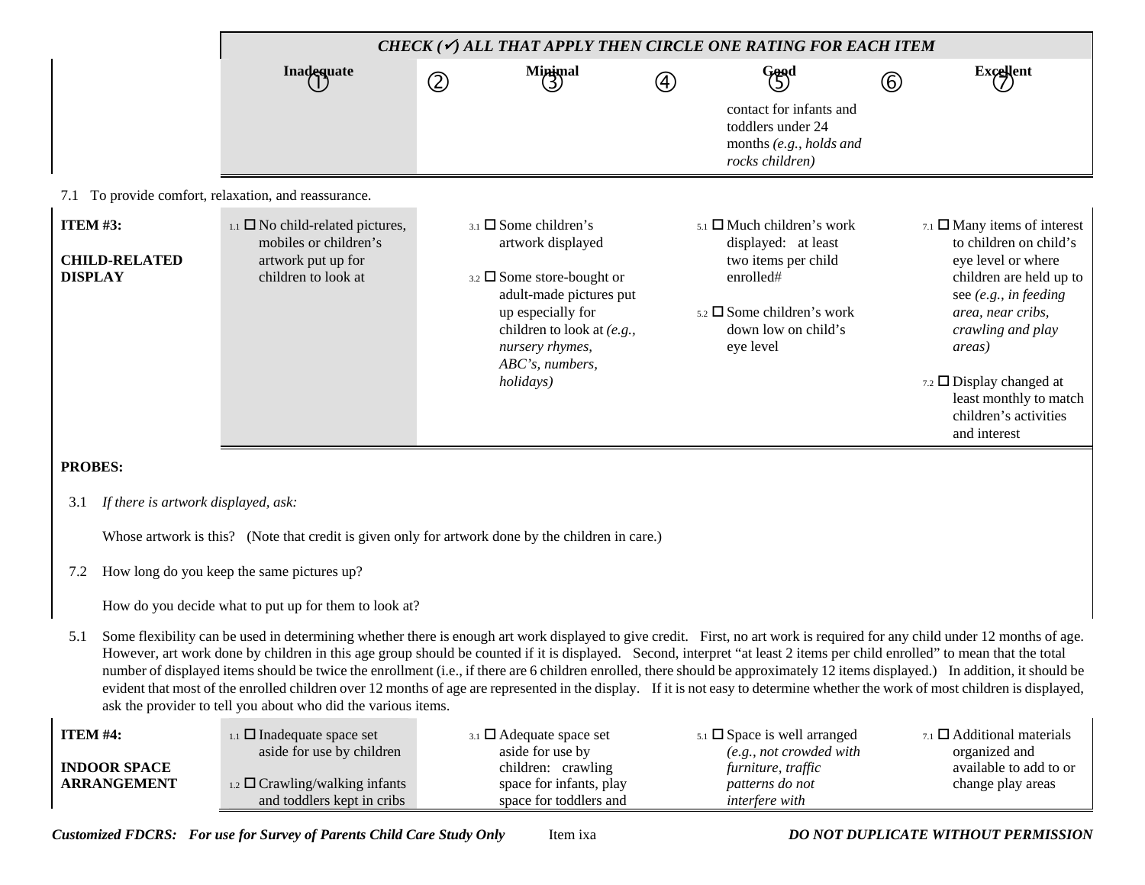|                                   |                                           | CHECK ( $\checkmark$ ) ALL THAT APPLY THEN CIRCLE ONE RATING FOR EACH ITEM                                                                                                                                                                                                                                                                                                                                                                                                                                                                                                                                                                                                                                                                                                                     |               |                                                                                                                                                                                                                        |             |                                                                                                                                                                           |             |                                                                                                                                                                                                                                                                                                 |
|-----------------------------------|-------------------------------------------|------------------------------------------------------------------------------------------------------------------------------------------------------------------------------------------------------------------------------------------------------------------------------------------------------------------------------------------------------------------------------------------------------------------------------------------------------------------------------------------------------------------------------------------------------------------------------------------------------------------------------------------------------------------------------------------------------------------------------------------------------------------------------------------------|---------------|------------------------------------------------------------------------------------------------------------------------------------------------------------------------------------------------------------------------|-------------|---------------------------------------------------------------------------------------------------------------------------------------------------------------------------|-------------|-------------------------------------------------------------------------------------------------------------------------------------------------------------------------------------------------------------------------------------------------------------------------------------------------|
|                                   |                                           | Inadequate                                                                                                                                                                                                                                                                                                                                                                                                                                                                                                                                                                                                                                                                                                                                                                                     | $^\copyright$ | $M$ inimal                                                                                                                                                                                                             | $\circledA$ | Good                                                                                                                                                                      | $\circledS$ | <b>Excellent</b>                                                                                                                                                                                                                                                                                |
|                                   |                                           |                                                                                                                                                                                                                                                                                                                                                                                                                                                                                                                                                                                                                                                                                                                                                                                                |               |                                                                                                                                                                                                                        |             | contact for infants and<br>toddlers under 24<br>months (e.g., holds and<br>rocks children)                                                                                |             |                                                                                                                                                                                                                                                                                                 |
|                                   |                                           | 7.1 To provide comfort, relaxation, and reassurance.                                                                                                                                                                                                                                                                                                                                                                                                                                                                                                                                                                                                                                                                                                                                           |               |                                                                                                                                                                                                                        |             |                                                                                                                                                                           |             |                                                                                                                                                                                                                                                                                                 |
| <b>ITEM #3:</b><br><b>DISPLAY</b> | <b>CHILD-RELATED</b>                      | $_{1.1}$ $\square$ No child-related pictures,<br>mobiles or children's<br>artwork put up for<br>children to look at                                                                                                                                                                                                                                                                                                                                                                                                                                                                                                                                                                                                                                                                            |               | $_{3.1}$ $\square$ Some children's<br>artwork displayed<br>3.2 □ Some store-bought or<br>adult-made pictures put<br>up especially for<br>children to look at (e.g.,<br>nursery rhymes,<br>ABC's, numbers,<br>holidays) |             | $_{5.1}$ $\Box$ Much children's work<br>displayed: at least<br>two items per child<br>enrolled#<br>$5.2 \square$ Some children's work<br>down low on child's<br>eye level |             | $7.1$ $\Box$ Many items of interest<br>to children on child's<br>eye level or where<br>children are held up to<br>see (e.g., in feeding<br>area, near cribs,<br>crawling and play<br>areas)<br>7.2 $\Box$ Display changed at<br>least monthly to match<br>children's activities<br>and interest |
| <b>PROBES:</b>                    |                                           |                                                                                                                                                                                                                                                                                                                                                                                                                                                                                                                                                                                                                                                                                                                                                                                                |               |                                                                                                                                                                                                                        |             |                                                                                                                                                                           |             |                                                                                                                                                                                                                                                                                                 |
| 3.1                               | If there is artwork displayed, ask:       |                                                                                                                                                                                                                                                                                                                                                                                                                                                                                                                                                                                                                                                                                                                                                                                                |               |                                                                                                                                                                                                                        |             |                                                                                                                                                                           |             |                                                                                                                                                                                                                                                                                                 |
|                                   |                                           | Whose artwork is this? (Note that credit is given only for artwork done by the children in care.)                                                                                                                                                                                                                                                                                                                                                                                                                                                                                                                                                                                                                                                                                              |               |                                                                                                                                                                                                                        |             |                                                                                                                                                                           |             |                                                                                                                                                                                                                                                                                                 |
| 7.2                               |                                           | How long do you keep the same pictures up?                                                                                                                                                                                                                                                                                                                                                                                                                                                                                                                                                                                                                                                                                                                                                     |               |                                                                                                                                                                                                                        |             |                                                                                                                                                                           |             |                                                                                                                                                                                                                                                                                                 |
|                                   |                                           | How do you decide what to put up for them to look at?                                                                                                                                                                                                                                                                                                                                                                                                                                                                                                                                                                                                                                                                                                                                          |               |                                                                                                                                                                                                                        |             |                                                                                                                                                                           |             |                                                                                                                                                                                                                                                                                                 |
| 5.1                               |                                           | Some flexibility can be used in determining whether there is enough art work displayed to give credit. First, no art work is required for any child under 12 months of age.<br>However, art work done by children in this age group should be counted if it is displayed. Second, interpret "at least 2 items per child enrolled" to mean that the total<br>number of displayed items should be twice the enrollment (i.e., if there are 6 children enrolled, there should be approximately 12 items displayed.) In addition, it should be<br>evident that most of the enrolled children over 12 months of age are represented in the display. If it is not easy to determine whether the work of most children is displayed,<br>ask the provider to tell you about who did the various items. |               |                                                                                                                                                                                                                        |             |                                                                                                                                                                           |             |                                                                                                                                                                                                                                                                                                 |
| ITEM #4:                          | <b>INDOOR SPACE</b><br><b>ARRANGEMENT</b> | $_{1.1}$ $\square$ Inadequate space set<br>aside for use by children<br>1.2 $\Box$ Crawling/walking infants<br>and toddlers kept in cribs                                                                                                                                                                                                                                                                                                                                                                                                                                                                                                                                                                                                                                                      |               | 3.1 D Adequate space set<br>aside for use by<br>children: crawling<br>space for infants, play<br>space for toddlers and                                                                                                |             | $5.1$ $\square$ Space is well arranged<br>(e.g., not crowded with<br>furniture, traffic<br>patterns do not<br>interfere with                                              |             | $_{7.1}$ $\square$ Additional materials<br>organized and<br>available to add to or<br>change play areas                                                                                                                                                                                         |

*Customized FDCRS: For use for Survey of Parents Child Care Study Only* Item ixa *DO NOT DUPLICATE WITHOUT PERMISSION*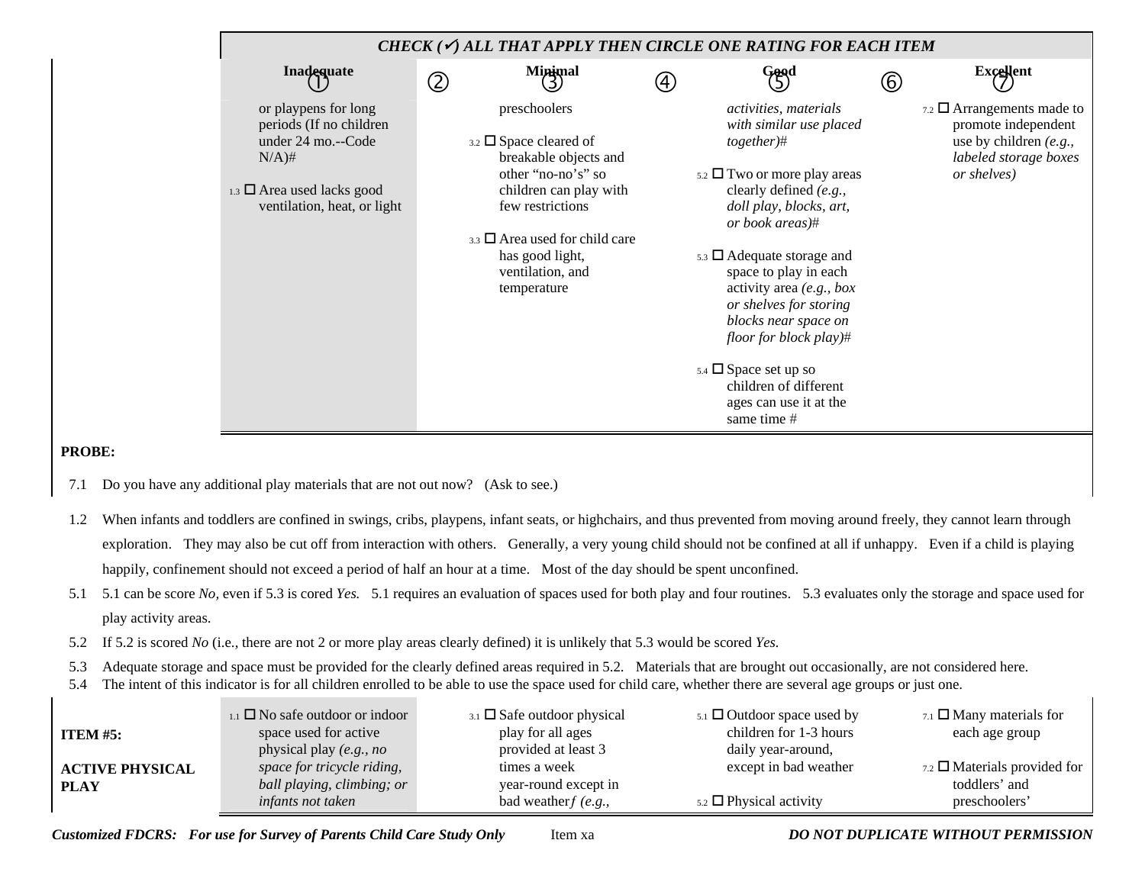|                                                                                                                                                     | CHECK ( $\checkmark$ ) ALL THAT APPLY THEN CIRCLE ONE RATING FOR EACH ITEM                                                                                                                                                                       |                   |                                                                                                                                                                                                                                                                                                                                                                                                                                                               |   |                                                                                                                                    |
|-----------------------------------------------------------------------------------------------------------------------------------------------------|--------------------------------------------------------------------------------------------------------------------------------------------------------------------------------------------------------------------------------------------------|-------------------|---------------------------------------------------------------------------------------------------------------------------------------------------------------------------------------------------------------------------------------------------------------------------------------------------------------------------------------------------------------------------------------------------------------------------------------------------------------|---|------------------------------------------------------------------------------------------------------------------------------------|
| Inadequate                                                                                                                                          | <b>Minimal</b><br>$\mathcal{D}% _{M_{1},M_{2}}^{\alpha,\beta}(\varepsilon)$                                                                                                                                                                      | $\left( 4\right)$ | Good                                                                                                                                                                                                                                                                                                                                                                                                                                                          | 6 | <b>Excellent</b>                                                                                                                   |
| or playpens for long<br>periods (If no children<br>under 24 mo.--Code<br>$N/A)$ #<br>1.3 $\Box$ Area used lacks good<br>ventilation, heat, or light | preschoolers<br>$3.2 \square$ Space cleared of<br>breakable objects and<br>other "no-no's" so<br>children can play with<br>few restrictions<br>$_{3,3}$ $\square$ Area used for child care<br>has good light,<br>ventilation, and<br>temperature |                   | activities, materials<br>with similar use placed<br>$together)$ #<br>$5.2 \square$ Two or more play areas<br>clearly defined (e.g.,<br>doll play, blocks, art,<br>or book areas)#<br>$5.3$ $\Box$ Adequate storage and<br>space to play in each<br>activity area $(e.g., box)$<br>or shelves for storing<br>blocks near space on<br>floor for block play)#<br>$5.4 \square$ Space set up so<br>children of different<br>ages can use it at the<br>same time # |   | $_{7.2}$ $\square$ Arrangements made to<br>promote independent<br>use by children $(e.g.,$<br>labeled storage boxes<br>or shelves) |

## **PROBE:**

- 7.1 Do you have any additional play materials that are not out now? (Ask to see.)
- 1.2 When infants and toddlers are confined in swings, cribs, playpens, infant seats, or highchairs, and thus prevented from moving around freely, they cannot learn through exploration. They may also be cut off from interaction with others. Generally, a very young child should not be confined at all if unhappy. Even if a child is playing happily, confinement should not exceed a period of half an hour at a time. Most of the day should be spent unconfined.
- 5.1 5.1 can be score *No,* even if 5.3 is cored *Yes.* 5.1 requires an evaluation of spaces used for both play and four routines. 5.3 evaluates only the storage and space used for play activity areas.
- 5.2 If 5.2 is scored *No* (i.e., there are not 2 or more play areas clearly defined) it is unlikely that 5.3 would be scored *Yes.*
- 5.3 Adequate storage and space must be provided for the clearly defined areas required in 5.2. Materials that are brought out occasionally, are not considered here.
- 5.4 The intent of this indicator is for all children enrolled to be able to use the space used for child care, whether there are several age groups or just one.

| ITEM $#5:$                            | $_{1.1}$ $\Box$ No safe outdoor or indoor<br>space used for active<br>physical play $(e.g., no$ | $_{3.1}$ $\square$ Safe outdoor physical<br>play for all ages<br>provided at least 3 | $5.1$ Outdoor space used by<br>children for 1-3 hours<br>daily year-around, | $7.1$ $\Box$ Many materials for<br>each age group                           |
|---------------------------------------|-------------------------------------------------------------------------------------------------|--------------------------------------------------------------------------------------|-----------------------------------------------------------------------------|-----------------------------------------------------------------------------|
| <b>ACTIVE PHYSICAL</b><br><b>PLAY</b> | space for tricycle riding,<br>ball playing, climbing; or<br><i>infants not taken</i>            | times a week<br>year-round except in<br>bad weather $f(e.g.,$                        | except in bad weather<br>$_{5.2}$ $\Box$ Physical activity                  | $_{7.2}$ $\square$ Materials provided for<br>toddlers' and<br>preschoolers' |

*Customized FDCRS: For use for Survey of Parents Child Care Study Only* Item xa *DO NOT DUPLICATE WITHOUT PERMISSION*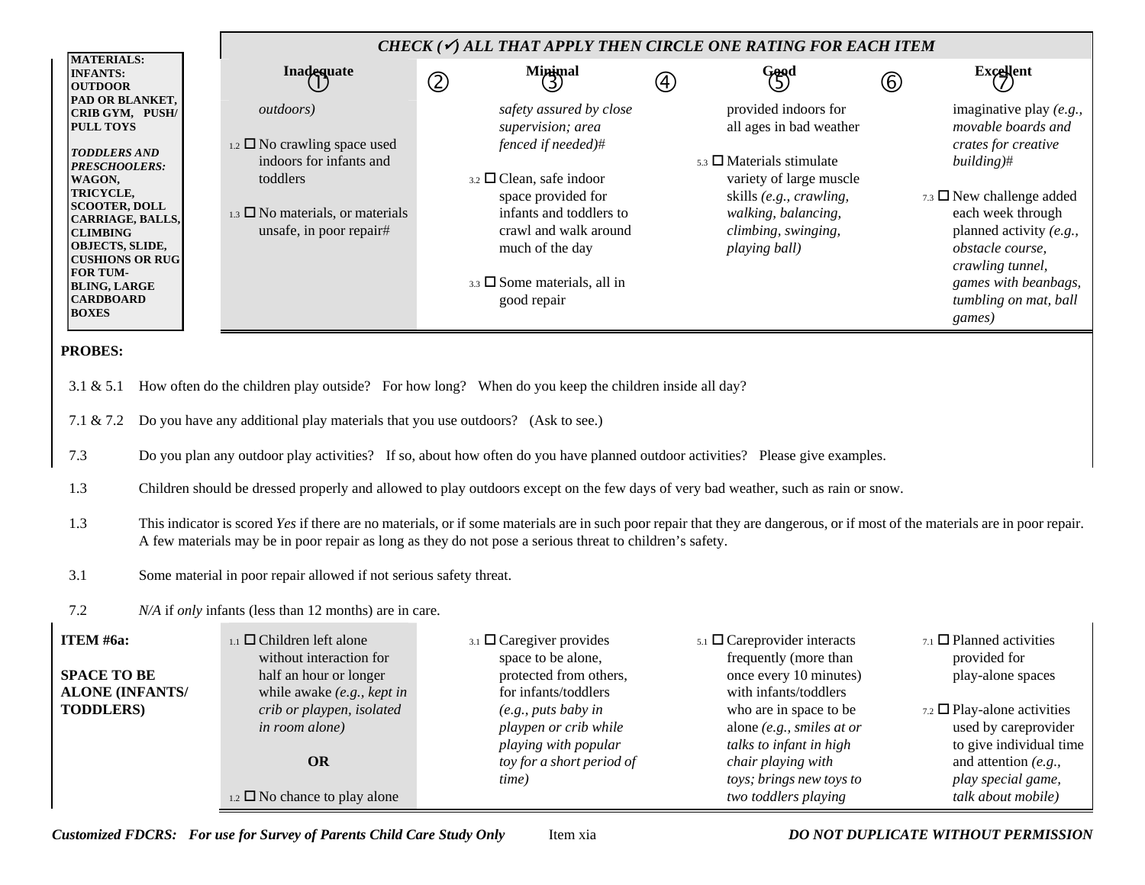|                                                                                                                                                                                                                                                                                                                 |                                                                                                                                                                                   | CHECK ( $\checkmark$ ) ALL THAT APPLY THEN CIRCLE ONE RATING FOR EACH ITEM                                                                                                                                                                                                                                                                                                                                                                                                                                                                                                                                                                                              |               |                                                                                                                                                                                                                                                     |               |                                                                                                                                                                                                                                                                                   |
|-----------------------------------------------------------------------------------------------------------------------------------------------------------------------------------------------------------------------------------------------------------------------------------------------------------------|-----------------------------------------------------------------------------------------------------------------------------------------------------------------------------------|-------------------------------------------------------------------------------------------------------------------------------------------------------------------------------------------------------------------------------------------------------------------------------------------------------------------------------------------------------------------------------------------------------------------------------------------------------------------------------------------------------------------------------------------------------------------------------------------------------------------------------------------------------------------------|---------------|-----------------------------------------------------------------------------------------------------------------------------------------------------------------------------------------------------------------------------------------------------|---------------|-----------------------------------------------------------------------------------------------------------------------------------------------------------------------------------------------------------------------------------------------------------------------------------|
| <b>MATERIALS:</b><br><b>INFANTS:</b><br><b>OUTDOOR</b>                                                                                                                                                                                                                                                          | Inadequate                                                                                                                                                                        | Minimal<br>(3)<br>$\circledZ$                                                                                                                                                                                                                                                                                                                                                                                                                                                                                                                                                                                                                                           | $\circled{4}$ | Good                                                                                                                                                                                                                                                | $^\copyright$ | $\text{Excellent}$                                                                                                                                                                                                                                                                |
| <b>PAD OR BLANKET,</b><br>CRIB GYM, PUSH/<br><b>PULL TOYS</b><br><b>TODDLERS AND</b><br>PRESCHOOLERS:<br>WAGON,<br>TRICYCLE,<br><b>SCOOTER, DOLL</b><br>CARRIAGE, BALLS,<br><b>CLIMBING</b><br>OBJECTS, SLIDE,<br><b>CUSHIONS OR RUG</b><br>FOR TUM-<br><b>BLING, LARGE</b><br><b>CARDBOARD</b><br><b>BOXES</b> | <i>outdoors</i> )<br>$_{1.2}$ $\square$ No crawling space used<br>indoors for infants and<br>toddlers<br>$_{1.3}$ $\square$ No materials, or materials<br>unsafe, in poor repair# | safety assured by close<br>supervision; area<br>fenced if needed)#<br>$3.2$ $\Box$ Clean, safe indoor<br>space provided for<br>infants and toddlers to<br>crawl and walk around<br>much of the day<br>3.3 $\Box$ Some materials, all in<br>good repair                                                                                                                                                                                                                                                                                                                                                                                                                  |               | provided indoors for<br>all ages in bad weather<br>$5.3$ $\square$ Materials stimulate<br>variety of large muscle<br>skills (e.g., crawling,<br>walking, balancing,<br>climbing, swinging,<br>playing ball)                                         |               | imaginative play $(e.g.,$<br>movable boards and<br>crates for creative<br>building)#<br>$_{7.3}$ $\square$ New challenge added<br>each week through<br>planned activity (e.g.,<br>obstacle course,<br>crawling tunnel,<br>games with beanbags,<br>tumbling on mat, ball<br>games) |
| <b>PROBES:</b><br>3.1 & 5.1<br>7.1 & 7.2<br>7.3<br>1.3<br>1.3                                                                                                                                                                                                                                                   | Do you have any additional play materials that you use outdoors? (Ask to see.)                                                                                                    | How often do the children play outside? For how long? When do you keep the children inside all day?<br>Do you plan any outdoor play activities? If so, about how often do you have planned outdoor activities? Please give examples.<br>Children should be dressed properly and allowed to play outdoors except on the few days of very bad weather, such as rain or snow.<br>This indicator is scored Yes if there are no materials, or if some materials are in such poor repair that they are dangerous, or if most of the materials are in poor repair.<br>A few materials may be in poor repair as long as they do not pose a serious threat to children's safety. |               |                                                                                                                                                                                                                                                     |               |                                                                                                                                                                                                                                                                                   |
| 3.1<br>7.2                                                                                                                                                                                                                                                                                                      | Some material in poor repair allowed if not serious safety threat.<br>N/A if only infants (less than 12 months) are in care.                                                      |                                                                                                                                                                                                                                                                                                                                                                                                                                                                                                                                                                                                                                                                         |               |                                                                                                                                                                                                                                                     |               |                                                                                                                                                                                                                                                                                   |
| ITEM #6a:<br><b>SPACE TO BE</b><br><b>ALONE (INFANTS/</b><br><b>TODDLERS)</b>                                                                                                                                                                                                                                   | $_{1.1}$ $\Box$ Children left alone<br>without interaction for<br>half an hour or longer<br>while awake $(e.g., kept in$<br>crib or playpen, isolated<br>in room alone)<br>OR     | $_{3.1}$ $\square$ Caregiver provides<br>space to be alone,<br>protected from others,<br>for infants/toddlers<br>(e.g., puts baby in<br>playpen or crib while<br>playing with popular<br>toy for a short period of<br>time)                                                                                                                                                                                                                                                                                                                                                                                                                                             |               | $5.1$ $\Box$ Careprovider interacts<br>frequently (more than<br>once every 10 minutes)<br>with infants/toddlers<br>who are in space to be<br>alone (e.g., smiles at or<br>talks to infant in high<br>chair playing with<br>toys; brings new toys to |               | $7.1$ $\Box$ Planned activities<br>provided for<br>play-alone spaces<br>$7.2$ $\Box$ Play-alone activities<br>used by careprovider<br>to give individual time<br>and attention $(e.g.,$<br>play special game,                                                                     |

*Customized FDCRS: For use for Survey of Parents Child Care Study Only* Item xia *DO NOT DUPLICATE WITHOUT PERMISSION*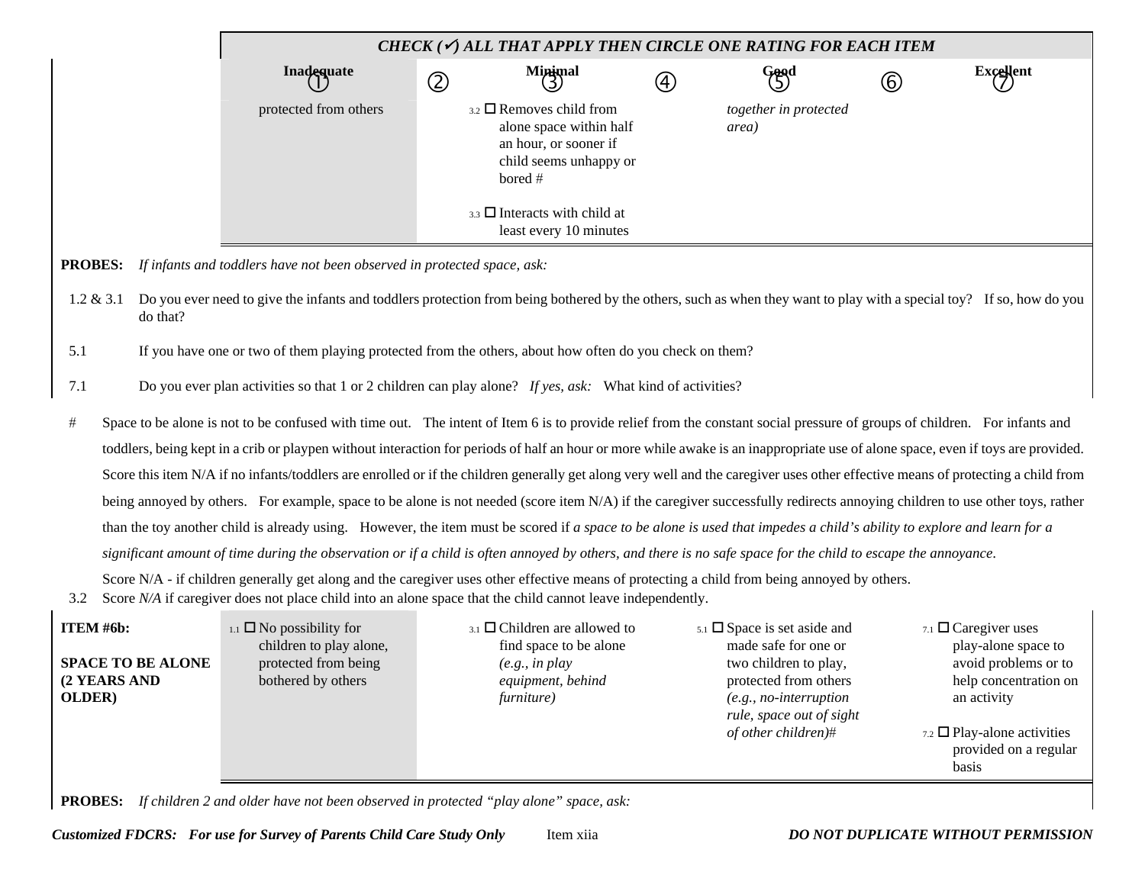| CHECK ( $\checkmark$ ) ALL THAT APPLY THEN CIRCLE ONE RATING FOR EACH ITEM |         |                                                                                                                     |                                |   |           |  |  |  |
|----------------------------------------------------------------------------|---------|---------------------------------------------------------------------------------------------------------------------|--------------------------------|---|-----------|--|--|--|
| Inadequate                                                                 | C       | $M$ inimal<br>(4)                                                                                                   | Good<br>G                      | 6 | Excellent |  |  |  |
| protected from others                                                      | bored # | $_{3.2}$ $\square$ Removes child from<br>alone space within half<br>an hour, or sooner if<br>child seems unhappy or | together in protected<br>area) |   |           |  |  |  |
|                                                                            |         | $_{3.3}$ $\square$ Interacts with child at<br>least every 10 minutes                                                |                                |   |           |  |  |  |

**PROBES:***If infants and toddlers have not been observed in protected space, ask:*

1.2 & 3.1 Do you ever need to give the infants and toddlers protection from being bothered by the others, such as when they want to play with a special toy? If so, how do you do that?

5.1 If you have one or two of them playing protected from the others, about how often do you check on them?

- 7.1 Do you ever plan activities so that 1 or 2 children can play alone? *If yes, ask:* What kind of activities?
- # Space to be alone is not to be confused with time out. The intent of Item 6 is to provide relief from the constant social pressure of groups of children. For infants and toddlers, being kept in a crib or playpen without interaction for periods of half an hour or more while awake is an inappropriate use of alone space, even if toys are provided. Score this item N/A if no infants/toddlers are enrolled or if the children generally get along very well and the caregiver uses other effective means of protecting a child from being annoyed by others. For example, space to be alone is not needed (score item N/A) if the caregiver successfully redirects annoying children to use other toys, rather than the toy another child is already using. However, the item must be scored if *a space to be alone is used that impedes a child's ability to explore and learn for a significant amount of time during the observation or if a child is often annoyed by others, and there is no safe space for the child to escape the annoyance*.

Score N/A - if children generally get along and the caregiver uses other effective means of protecting a child from being annoyed by others.

3.2 Score *N/A* if caregiver does not place child into an alone space that the child cannot leave independently.

| <b>ITEM</b> #6b:         | $_{1.1}$ $\Box$ No possibility for | $_{3.1}$ $\square$ Children are allowed to | $5.1$ $\Box$ Space is set aside and                   | 7.1 $\Box$ Caregiver uses                                            |
|--------------------------|------------------------------------|--------------------------------------------|-------------------------------------------------------|----------------------------------------------------------------------|
|                          | children to play alone,            | find space to be alone                     | made safe for one or                                  | play-alone space to                                                  |
| <b>SPACE TO BE ALONE</b> | protected from being               | (e.g., in play)                            | two children to play,                                 | avoid problems or to                                                 |
| (2 YEARS AND             | bothered by others                 | equipment, behind                          | protected from others                                 | help concentration on                                                |
| OLDER)                   |                                    | furniture)                                 | $(e.g., no-interruption)$<br>rule, space out of sight | an activity                                                          |
|                          |                                    |                                            | of other children)#                                   | $7.2$ $\Box$ Play-alone activities<br>provided on a regular<br>basis |

**PROBES:** *If children 2 and older have not been observed in protected "play alone" space, ask:*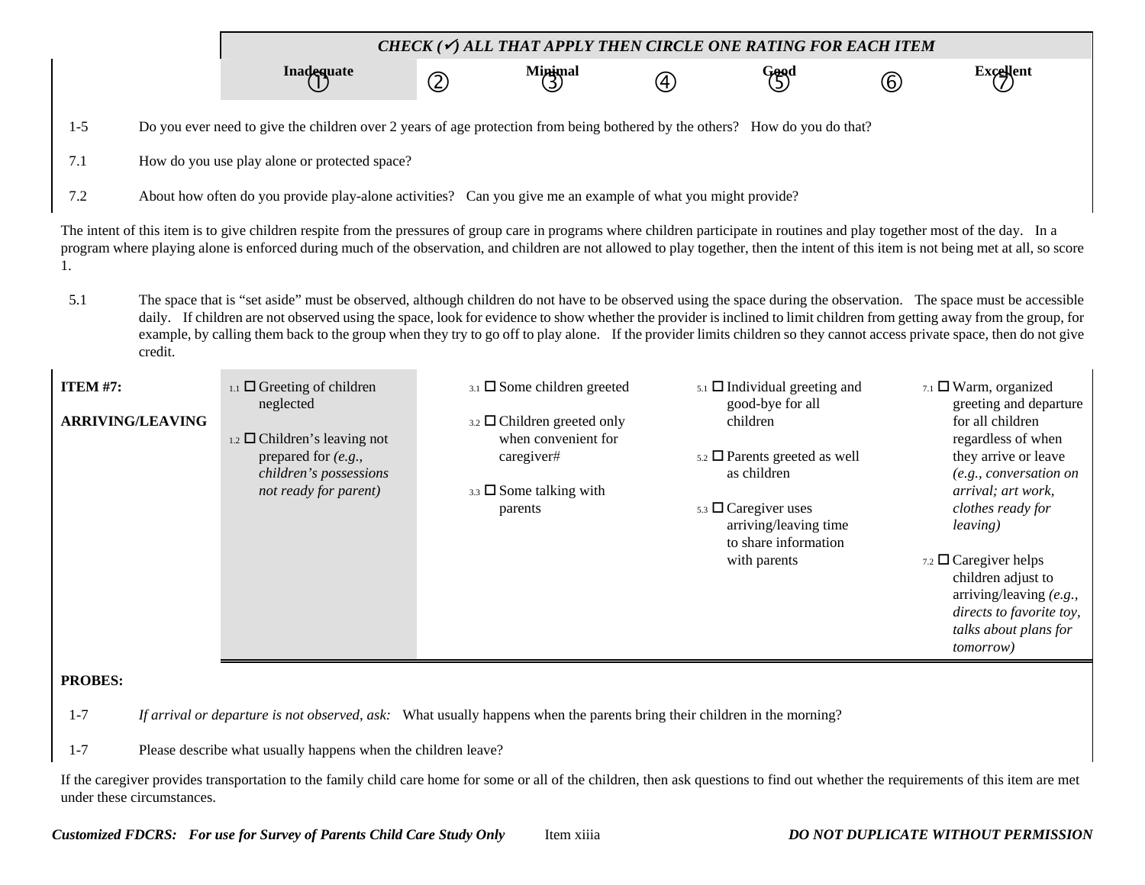*CHECK (*9*) ALL THAT APPLY THEN CIRCLE ONE RATING FOR EACH ITEM*

**Inadequate** dequate a contract contract of the minimal contract of the form of the form of the second in the form of the form of the second in the form of the second in the second in the second in the second in the second in the secon

- 1-5 Do you ever need to give the children over 2 years of age protection from being bothered by the others? How do you do that?
- 7.1 How do you use play alone or protected space?
- 7.2 About how often do you provide play-alone activities? Can you give me an example of what you might provide?

The intent of this item is to give children respite from the pressures of group care in programs where children participate in routines and play together most of the day. In a program where playing alone is enforced during much of the observation, and children are not allowed to play together, then the intent of this item is not being met at all, so score 1.

5.1 The space that is "set aside" must be observed, although children do not have to be observed using the space during the observation. The space must be accessible daily. If children are not observed using the space, look for evidence to show whether the provider is inclined to limit children from getting away from the group, for example, by calling them back to the group when they try to go off to play alone. If the provider limits children so they cannot access private space, then do not give credit.

| <b>ITEM #7:</b><br><b>ARRIVING/LEAVING</b>                                                                                          | $_{1.1}$ $\Box$ Greeting of children<br>neglected<br>$_{1.2}$ $\square$ Children's leaving not<br>prepared for $(e.g.,$<br>children's possessions<br>not ready for parent) | $_{3.1}$ $\square$ Some children greeted<br>$_{3.2}$ $\square$ Children greeted only<br>when convenient for<br>caregiver#<br>3.3 $\Box$ Some talking with<br>parents | $_{5.1}$ $\Box$ Individual greeting and<br>good-bye for all<br>children<br>$5.2 \square$ Parents greeted as well<br>as children<br>$5.3 \square$ Caregiver uses<br>arriving/leaving time<br>to share information<br>with parents | $_{7.1}$ $\Box$ Warm, organized<br>greeting and departure<br>for all children<br>regardless of when<br>they arrive or leave<br>(e.g., conversation on<br>arrival; art work,<br>clothes ready for<br><i>leaving</i> )<br>7.2 $\Box$ Caregiver helps<br>children adjust to<br>arriving/leaving $(e.g.,$<br>directs to favorite toy,<br>talks about plans for |  |  |  |  |  |  |
|-------------------------------------------------------------------------------------------------------------------------------------|----------------------------------------------------------------------------------------------------------------------------------------------------------------------------|----------------------------------------------------------------------------------------------------------------------------------------------------------------------|----------------------------------------------------------------------------------------------------------------------------------------------------------------------------------------------------------------------------------|------------------------------------------------------------------------------------------------------------------------------------------------------------------------------------------------------------------------------------------------------------------------------------------------------------------------------------------------------------|--|--|--|--|--|--|
| <b>PROBES:</b>                                                                                                                      |                                                                                                                                                                            |                                                                                                                                                                      |                                                                                                                                                                                                                                  | <i>tomorrow</i> )                                                                                                                                                                                                                                                                                                                                          |  |  |  |  |  |  |
| $1 - 7$<br>If arrival or departure is not observed, ask: What usually happens when the parents bring their children in the morning? |                                                                                                                                                                            |                                                                                                                                                                      |                                                                                                                                                                                                                                  |                                                                                                                                                                                                                                                                                                                                                            |  |  |  |  |  |  |
| $1 - 7$                                                                                                                             | Please describe what usually happens when the children leave?                                                                                                              |                                                                                                                                                                      |                                                                                                                                                                                                                                  |                                                                                                                                                                                                                                                                                                                                                            |  |  |  |  |  |  |

If the caregiver provides transportation to the family child care home for some or all of the children, then ask questions to find out whether the requirements of this item are met under these circumstances.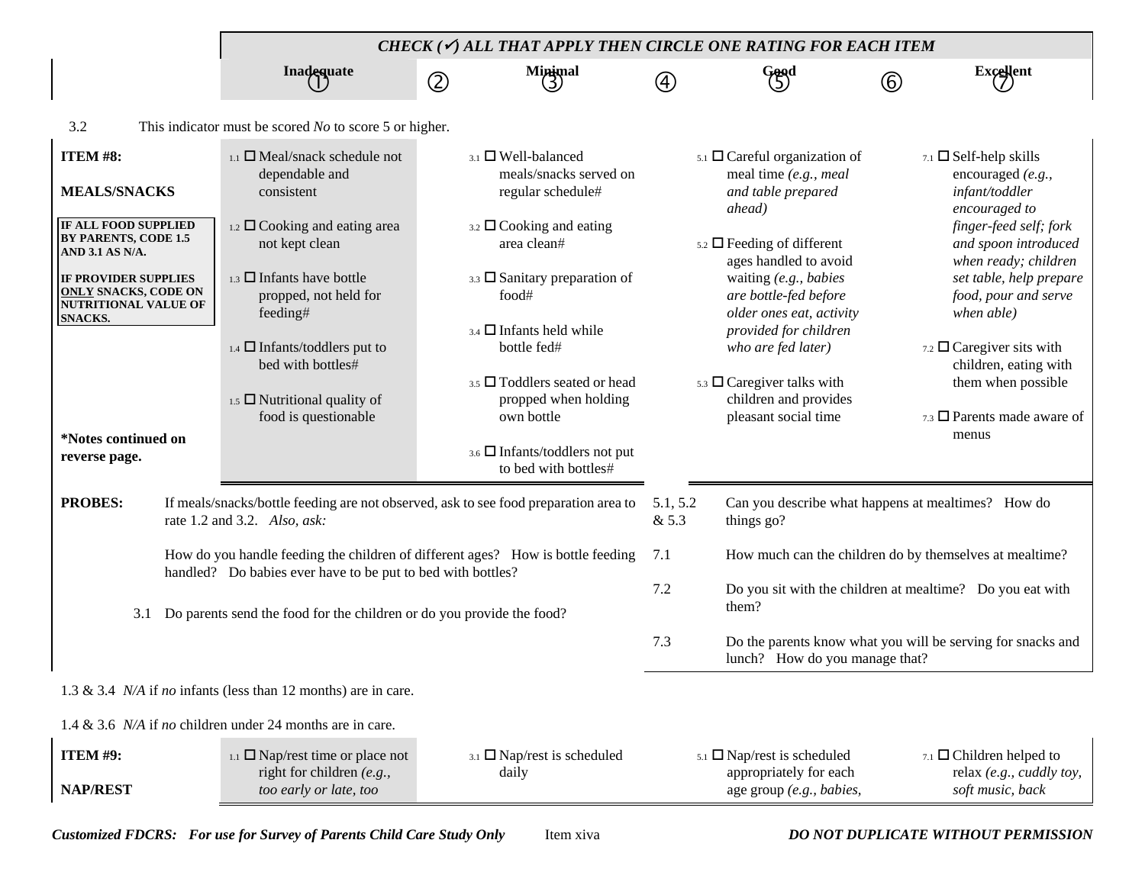|                                                                                                                         |                                                                                                                                          | CHECK ( $\checkmark$ ) ALL THAT APPLY THEN CIRCLE ONE RATING FOR EACH ITEM                                            |                                         |                                                                                                                                                                                          |                                                         |                                                                                                                                                 |  |
|-------------------------------------------------------------------------------------------------------------------------|------------------------------------------------------------------------------------------------------------------------------------------|-----------------------------------------------------------------------------------------------------------------------|-----------------------------------------|------------------------------------------------------------------------------------------------------------------------------------------------------------------------------------------|---------------------------------------------------------|-------------------------------------------------------------------------------------------------------------------------------------------------|--|
|                                                                                                                         | Inadequate                                                                                                                               | $M$ inimal<br>$\circled{2}$                                                                                           | $\left( 4\right)$                       | Good<br>(5)                                                                                                                                                                              | (6)                                                     | <b>Excellent</b>                                                                                                                                |  |
| 3.2                                                                                                                     | This indicator must be scored $No$ to score 5 or higher.                                                                                 |                                                                                                                       |                                         |                                                                                                                                                                                          |                                                         |                                                                                                                                                 |  |
| ITEM #8:<br><b>MEALS/SNACKS</b><br>IF ALL FOOD SUPPLIED<br>BY PARENTS, CODE 1.5                                         | $_{1.1}$ $\square$ Meal/snack schedule not<br>dependable and<br>consistent<br>1.2 $\Box$ Cooking and eating area                         | $_{3.1}$ $\Box$ Well-balanced<br>meals/snacks served on<br>regular schedule#<br>$_{3.2}$ $\square$ Cooking and eating |                                         | $5.1$ $\Box$ Careful organization of<br>meal time (e.g., meal<br>and table prepared<br>ahead)                                                                                            |                                                         | $7.1$ $\Box$ Self-help skills<br>encouraged (e.g.,<br>infant/toddler<br>encouraged to<br>finger-feed self; fork                                 |  |
| AND 3.1 AS N/A.<br><b>IF PROVIDER SUPPLIES</b><br><b>ONLY SNACKS, CODE ON</b><br><b>NUTRITIONAL VALUE OF</b><br>SNACKS. | not kept clean<br>$_{1.3}$ $\Box$ Infants have bottle<br>propped, not held for<br>feeding#<br>$_{1.4}$ $\square$ Infants/toddlers put to | area clean#<br>3.3 $\Box$ Sanitary preparation of<br>food#<br>$_{3.4}$ $\square$ Infants held while<br>bottle fed#    |                                         | $5.2 \square$ Feeding of different<br>ages handled to avoid<br>waiting (e.g., babies<br>are bottle-fed before<br>older ones eat, activity<br>provided for children<br>who are fed later) |                                                         | and spoon introduced<br>when ready; children<br>set table, help prepare<br>food, pour and serve<br>when able)<br>7.2 $\Box$ Caregiver sits with |  |
| *Notes continued on                                                                                                     | bed with bottles#<br>$_{1.5}$ $\square$ Nutritional quality of<br>food is questionable                                                   | 3.5 Toddlers seated or head<br>propped when holding<br>own bottle<br>3.6 Infants/toddlers not put                     | $_{5.3}$ $\square$ Caregiver talks with |                                                                                                                                                                                          |                                                         | children, eating with<br>them when possible<br>$_{7.3}$ $\square$ Parents made aware of<br>menus                                                |  |
| reverse page.                                                                                                           |                                                                                                                                          | to bed with bottles#                                                                                                  |                                         |                                                                                                                                                                                          |                                                         |                                                                                                                                                 |  |
| <b>PROBES:</b>                                                                                                          | rate 1.2 and 3.2. Also, ask:                                                                                                             | If meals/snacks/bottle feeding are not observed, ask to see food preparation area to                                  | & 5.3                                   | 5.1, 5.2<br>Can you describe what happens at mealtimes? How do<br>things go?                                                                                                             |                                                         |                                                                                                                                                 |  |
|                                                                                                                         | handled? Do babies ever have to be put to bed with bottles?                                                                              | How do you handle feeding the children of different ages? How is bottle feeding                                       | 7.1                                     |                                                                                                                                                                                          | How much can the children do by themselves at mealtime? |                                                                                                                                                 |  |
| 3.1                                                                                                                     | Do parents send the food for the children or do you provide the food?                                                                    |                                                                                                                       | 7.2                                     | Do you sit with the children at mealtime? Do you eat with<br>them?                                                                                                                       |                                                         |                                                                                                                                                 |  |
|                                                                                                                         |                                                                                                                                          |                                                                                                                       | 7.3                                     | Do the parents know what you will be serving for snacks and<br>lunch? How do you manage that?                                                                                            |                                                         |                                                                                                                                                 |  |
|                                                                                                                         | 1.3 & 3.4 $N/A$ if no infants (less than 12 months) are in care.                                                                         |                                                                                                                       |                                         |                                                                                                                                                                                          |                                                         |                                                                                                                                                 |  |
|                                                                                                                         | 1.4 & 3.6 $N/A$ if no children under 24 months are in care.                                                                              |                                                                                                                       |                                         |                                                                                                                                                                                          |                                                         |                                                                                                                                                 |  |
| <b>ITEM #9:</b><br><b>NAP/REST</b>                                                                                      | 1.1 $\Box$ Nap/rest time or place not<br>right for children (e.g.,<br>too early or late, too                                             | $_{3.1}$ $\Box$ Nap/rest is scheduled<br>daily                                                                        |                                         | $5.1$ $\Box$ Nap/rest is scheduled<br>appropriately for each<br>age group (e.g., babies,                                                                                                 |                                                         | $7.1$ $\Box$ Children helped to<br>relax (e.g., cuddly toy,<br>soft music, back                                                                 |  |

*Customized FDCRS: For use for Survey of Parents Child Care Study Only* Item xiva *DO NOT DUPLICATE WITHOUT PERMISSION*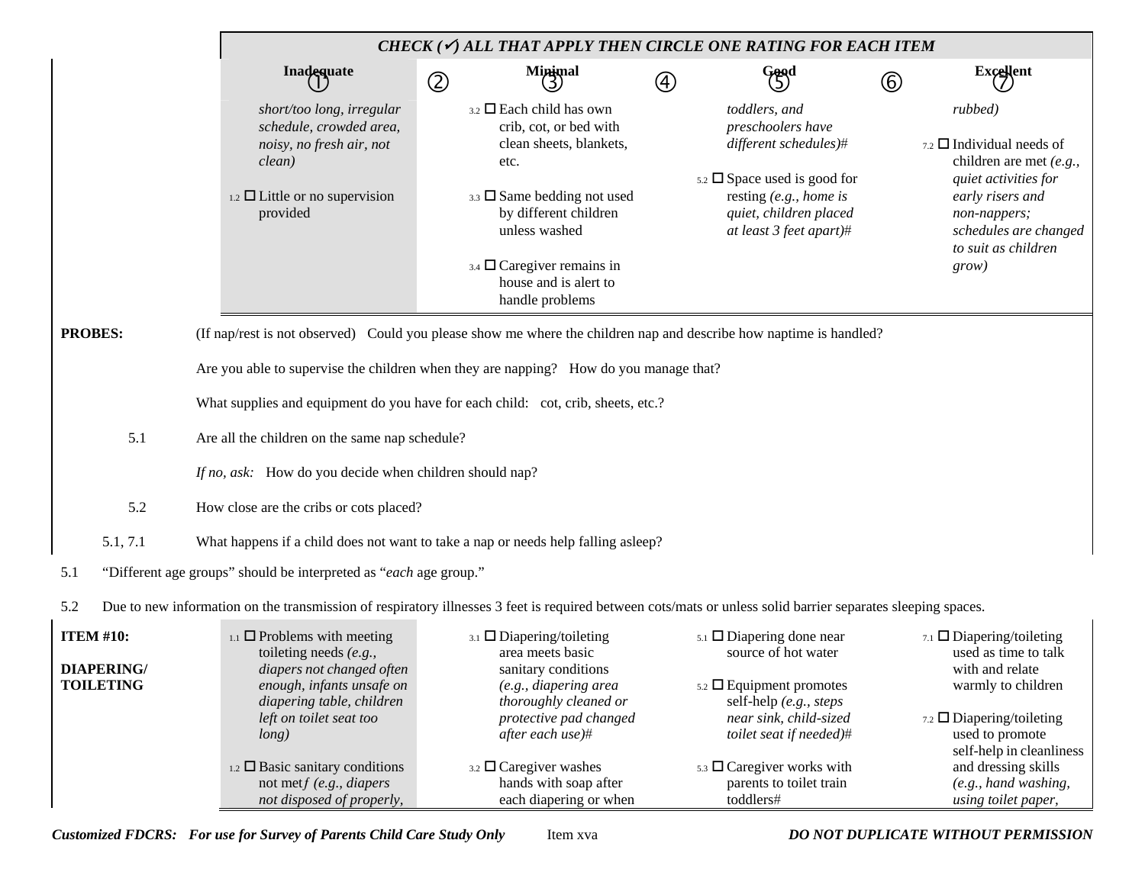|                                                           |     | CHECK ( $\checkmark$ ) ALL THAT APPLY THEN CIRCLE ONE RATING FOR EACH ITEM                                                                                                                                                                                                                              |                                                                                                                                                                     |                                                                                                                                                    |                           |                                                                                                                                                                                                                                                            |               |                                                                                                                                                                                                                                                      |
|-----------------------------------------------------------|-----|---------------------------------------------------------------------------------------------------------------------------------------------------------------------------------------------------------------------------------------------------------------------------------------------------------|---------------------------------------------------------------------------------------------------------------------------------------------------------------------|----------------------------------------------------------------------------------------------------------------------------------------------------|---------------------------|------------------------------------------------------------------------------------------------------------------------------------------------------------------------------------------------------------------------------------------------------------|---------------|------------------------------------------------------------------------------------------------------------------------------------------------------------------------------------------------------------------------------------------------------|
|                                                           |     | <b>Inadequate</b>                                                                                                                                                                                                                                                                                       | Minimal<br>3<br>$^{\circledR}$                                                                                                                                      |                                                                                                                                                    | $^\text{\textregistered}$ | Good                                                                                                                                                                                                                                                       | $^\copyright$ | Excellent                                                                                                                                                                                                                                            |
|                                                           |     | short/too long, irregular<br>schedule, crowded area,<br>noisy, no fresh air, not<br>clean)<br>$_{1.2}$ $\square$ Little or no supervision<br>provided                                                                                                                                                   | $_{3.2}$ $\square$ Each child has own<br>etc.<br>3.3 $\square$ Same bedding not used<br>unless washed<br>$_{3.4}$ $\square$ Caregiver remains in<br>handle problems | crib, cot, or bed with<br>clean sheets, blankets,<br>by different children<br>house and is alert to                                                |                           | toddlers, and<br>preschoolers have<br>different schedules)#<br>$5.2 \square$ Space used is good for<br>resting $(e.g., home is$<br>quiet, children placed<br>at least 3 feet apart)#                                                                       |               | rubbed)<br>$_{7.2}$ $\square$ Individual needs of<br>children are met $(e.g.,$<br>quiet activities for<br>early risers and<br>non-nappers;<br>schedules are changed<br>to suit as children<br>grow)                                                  |
| <b>PROBES:</b>                                            |     | (If nap/rest is not observed) Could you please show me where the children nap and describe how naptime is handled?                                                                                                                                                                                      |                                                                                                                                                                     |                                                                                                                                                    |                           |                                                                                                                                                                                                                                                            |               |                                                                                                                                                                                                                                                      |
|                                                           |     | Are you able to supervise the children when they are napping? How do you manage that?                                                                                                                                                                                                                   |                                                                                                                                                                     |                                                                                                                                                    |                           |                                                                                                                                                                                                                                                            |               |                                                                                                                                                                                                                                                      |
|                                                           |     | What supplies and equipment do you have for each child: cot, crib, sheets, etc.?                                                                                                                                                                                                                        |                                                                                                                                                                     |                                                                                                                                                    |                           |                                                                                                                                                                                                                                                            |               |                                                                                                                                                                                                                                                      |
|                                                           | 5.1 | Are all the children on the same nap schedule?                                                                                                                                                                                                                                                          |                                                                                                                                                                     |                                                                                                                                                    |                           |                                                                                                                                                                                                                                                            |               |                                                                                                                                                                                                                                                      |
|                                                           |     | If no, ask: How do you decide when children should nap?                                                                                                                                                                                                                                                 |                                                                                                                                                                     |                                                                                                                                                    |                           |                                                                                                                                                                                                                                                            |               |                                                                                                                                                                                                                                                      |
|                                                           | 5.2 | How close are the cribs or cots placed?                                                                                                                                                                                                                                                                 |                                                                                                                                                                     |                                                                                                                                                    |                           |                                                                                                                                                                                                                                                            |               |                                                                                                                                                                                                                                                      |
| 5.1, 7.1                                                  |     | What happens if a child does not want to take a nap or needs help falling asleep?                                                                                                                                                                                                                       |                                                                                                                                                                     |                                                                                                                                                    |                           |                                                                                                                                                                                                                                                            |               |                                                                                                                                                                                                                                                      |
| 5.1                                                       |     | "Different age groups" should be interpreted as "each age group."                                                                                                                                                                                                                                       |                                                                                                                                                                     |                                                                                                                                                    |                           |                                                                                                                                                                                                                                                            |               |                                                                                                                                                                                                                                                      |
| 5.2                                                       |     | Due to new information on the transmission of respiratory illnesses 3 feet is required between cots/mats or unless solid barrier separates sleeping spaces.                                                                                                                                             |                                                                                                                                                                     |                                                                                                                                                    |                           |                                                                                                                                                                                                                                                            |               |                                                                                                                                                                                                                                                      |
| <b>ITEM #10:</b><br><b>DIAPERING/</b><br><b>TOILETING</b> |     | $_{1.1}$ $\Box$ Problems with meeting<br>toileting needs $(e.g.,$<br>diapers not changed often<br>enough, infants unsafe on<br>diapering table, children<br>left on toilet seat too<br>long)<br>$_{1.2}$ $\square$ Basic sanitary conditions<br>not met $f(e.g., diapers)$<br>not disposed of properly, | $_{3.1}$ $\square$ Diapering/toileting<br>area meets basic<br>after each use)#<br>3.2 $\Box$ Caregiver washes                                                       | sanitary conditions<br>(e.g., diapering area<br>thoroughly cleaned or<br>protective pad changed<br>hands with soap after<br>each diapering or when |                           | $5.1$ $\Box$ Diapering done near<br>source of hot water<br>$5.2 \square$ Equipment promotes<br>self-help (e.g., steps<br>near sink, child-sized<br>toilet seat if needed)#<br>$5.3$ $\square$ Caregiver works with<br>parents to toilet train<br>toddlers# |               | $_{7.1}$ $\Box$ Diapering/toileting<br>used as time to talk<br>with and relate<br>warmly to children<br>7.2 Diapering/toileting<br>used to promote<br>self-help in cleanliness<br>and dressing skills<br>(e.g., hand washing,<br>using toilet paper, |

*Customized FDCRS: For use for Survey of Parents Child Care Study Only* Item xva *DO NOT DUPLICATE WITHOUT PERMISSION*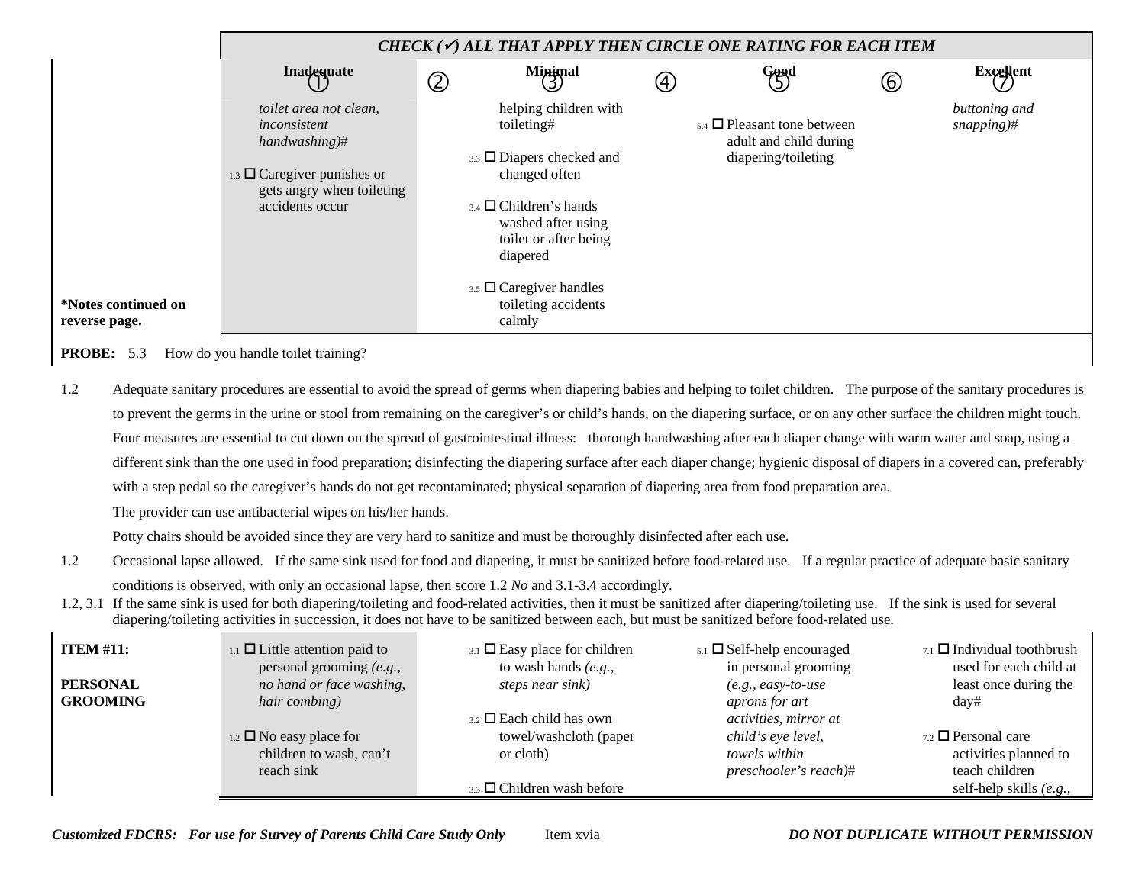|                                      | CHECK ( $\checkmark$ ) ALL THAT APPLY THEN CIRCLE ONE RATING FOR EACH ITEM       |   |                                                                                                           |                   |                                                                                        |               |                                |  |  |  |  |
|--------------------------------------|----------------------------------------------------------------------------------|---|-----------------------------------------------------------------------------------------------------------|-------------------|----------------------------------------------------------------------------------------|---------------|--------------------------------|--|--|--|--|
|                                      | Inadequate                                                                       | ② | $M$ inimal                                                                                                | $\left( 4\right)$ | Good<br>(5)                                                                            | $\circledast$ | <b>Excellent</b>               |  |  |  |  |
|                                      | toilet area not clean,<br>inconsistent<br>$handwashing$ <sup>#</sup>             |   | helping children with<br>toileting#<br>$3.3$ $\square$ Diapers checked and                                |                   | $_{5.4}$ $\Box$ Pleasant tone between<br>adult and child during<br>diapering/toileting |               | buttoning and<br>$s$ napping)# |  |  |  |  |
|                                      | 1.3 $\Box$ Caregiver punishes or<br>gets angry when toileting<br>accidents occur |   | changed often<br>$3.4$ $\Box$ Children's hands<br>washed after using<br>toilet or after being<br>diapered |                   |                                                                                        |               |                                |  |  |  |  |
| *Notes continued on<br>reverse page. |                                                                                  |   | $3.5$ $\Box$ Caregiver handles<br>toileting accidents<br>calmly                                           |                   |                                                                                        |               |                                |  |  |  |  |

**PROBE:** 5.3 How do you handle toilet training?

 $\mathbf{I}$ 

1.2 Adequate sanitary procedures are essential to avoid the spread of germs when diapering babies and helping to toilet children. The purpose of the sanitary procedures is to prevent the germs in the urine or stool from remaining on the caregiver's or child's hands, on the diapering surface, or on any other surface the children might touch. Four measures are essential to cut down on the spread of gastrointestinal illness: thorough handwashing after each diaper change with warm water and soap, using a different sink than the one used in food preparation; disinfecting the diapering surface after each diaper change; hygienic disposal of diapers in a covered can, preferably with a step pedal so the caregiver's hands do not get recontaminated; physical separation of diapering area from food preparation area.

The provider can use antibacterial wipes on his/her hands.

Potty chairs should be avoided since they are very hard to sanitize and must be thoroughly disinfected after each use.

- 1.2 Occasional lapse allowed. If the same sink used for food and diapering, it must be sanitized before food-related use. If a regular practice of adequate basic sanitary conditions is observed, with only an occasional lapse, then score 1.2 *No* and 3.1-3.4 accordingly.
- 1.2, 3.1 If the same sink is used for both diapering/toileting and food-related activities, then it must be sanitized after diapering/toileting use. If the sink is used for several diapering/toileting activities in succession, it does not have to be sanitized between each, but must be sanitized before food-related use.

| <b>ITEM #11:</b> | $_{1.1}$ $\Box$ Little attention paid to<br>personal grooming $(e.g.,$ | $_{3.1}$ $\square$ Easy place for children<br>to wash hands $(e.g.,$ | $5.1$ $\square$ Self-help encouraged<br>in personal grooming | $_{7.1}$ $\Box$ Individual toothbrush<br>used for each child at |
|------------------|------------------------------------------------------------------------|----------------------------------------------------------------------|--------------------------------------------------------------|-----------------------------------------------------------------|
| <b>PERSONAL</b>  | no hand or face washing,                                               | steps near sink)                                                     | $(e.g., easy-to-use$                                         | least once during the                                           |
| <b>GROOMING</b>  | hair combing)                                                          |                                                                      | aprons for art                                               | day#                                                            |
|                  |                                                                        | $_{3.2}$ $\square$ Each child has own                                | activities, mirror at                                        |                                                                 |
|                  | $_{1.2}$ $\square$ No easy place for                                   | towel/washcloth (paper                                               | child's eye level,                                           | $_{7.2}$ $\Box$ Personal care                                   |
|                  | children to wash, can't                                                | or cloth)                                                            | <i>towels</i> within                                         | activities planned to                                           |
|                  | reach sink                                                             |                                                                      | preschooler's reach)#                                        | teach children                                                  |
|                  |                                                                        | $_{3.3}$ $\square$ Children wash before                              |                                                              | self-help skills $(e.g.,$                                       |

*Customized FDCRS: For use for Survey of Parents Child Care Study Only* Item xvia *DO NOT DUPLICATE WITHOUT PERMISSION*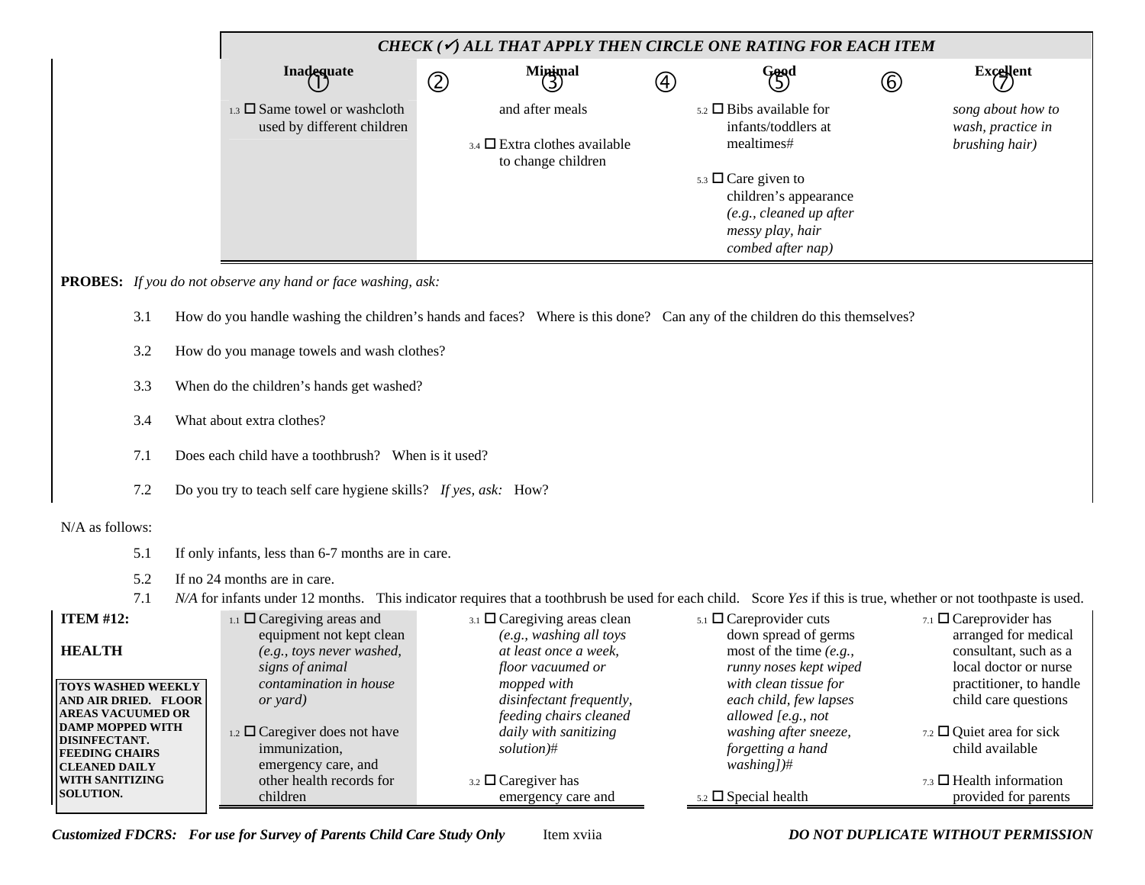|                                                                                                                                                                                               |                                                   |                                          | CHECK ( $\checkmark$ ) ALL THAT APPLY THEN CIRCLE ONE RATING FOR EACH ITEM                                                                                       |             |                                                                                                                                                              |            |                                                                                                                                                               |              |                                                                                                                                                                        |  |  |  |
|-----------------------------------------------------------------------------------------------------------------------------------------------------------------------------------------------|---------------------------------------------------|------------------------------------------|------------------------------------------------------------------------------------------------------------------------------------------------------------------|-------------|--------------------------------------------------------------------------------------------------------------------------------------------------------------|------------|---------------------------------------------------------------------------------------------------------------------------------------------------------------|--------------|------------------------------------------------------------------------------------------------------------------------------------------------------------------------|--|--|--|
|                                                                                                                                                                                               |                                                   |                                          | Inadequate                                                                                                                                                       | $\circledZ$ | Minimal                                                                                                                                                      | $\bigcirc$ | Good                                                                                                                                                          | $^\circledR$ | Excellent                                                                                                                                                              |  |  |  |
|                                                                                                                                                                                               |                                                   |                                          | 1.3 $\square$ Same towel or washcloth<br>used by different children                                                                                              |             | and after meals<br>$_{3.4}$ $\square$ Extra clothes available<br>to change children                                                                          |            | $5.2$ $\Box$ Bibs available for<br>infants/toddlers at<br>mealtimes#                                                                                          |              | song about how to<br>wash, practice in<br>brushing hair)                                                                                                               |  |  |  |
|                                                                                                                                                                                               |                                                   |                                          |                                                                                                                                                                  |             |                                                                                                                                                              |            | $5.3 \square$ Care given to<br>children's appearance<br>(e.g., cleaned up after<br>messy play, hair<br>combed after nap)                                      |              |                                                                                                                                                                        |  |  |  |
|                                                                                                                                                                                               |                                                   |                                          | <b>PROBES:</b> If you do not observe any hand or face washing, ask:                                                                                              |             |                                                                                                                                                              |            |                                                                                                                                                               |              |                                                                                                                                                                        |  |  |  |
|                                                                                                                                                                                               | 3.1                                               |                                          | How do you handle washing the children's hands and faces? Where is this done? Can any of the children do this themselves?                                        |             |                                                                                                                                                              |            |                                                                                                                                                               |              |                                                                                                                                                                        |  |  |  |
|                                                                                                                                                                                               | How do you manage towels and wash clothes?<br>3.2 |                                          |                                                                                                                                                                  |             |                                                                                                                                                              |            |                                                                                                                                                               |              |                                                                                                                                                                        |  |  |  |
|                                                                                                                                                                                               | 3.3                                               | When do the children's hands get washed? |                                                                                                                                                                  |             |                                                                                                                                                              |            |                                                                                                                                                               |              |                                                                                                                                                                        |  |  |  |
|                                                                                                                                                                                               | 3.4                                               | What about extra clothes?                |                                                                                                                                                                  |             |                                                                                                                                                              |            |                                                                                                                                                               |              |                                                                                                                                                                        |  |  |  |
|                                                                                                                                                                                               | 7.1                                               |                                          | Does each child have a toothbrush? When is it used?                                                                                                              |             |                                                                                                                                                              |            |                                                                                                                                                               |              |                                                                                                                                                                        |  |  |  |
|                                                                                                                                                                                               | 7.2                                               |                                          | Do you try to teach self care hygiene skills? If yes, ask: How?                                                                                                  |             |                                                                                                                                                              |            |                                                                                                                                                               |              |                                                                                                                                                                        |  |  |  |
| N/A as follows:                                                                                                                                                                               |                                                   |                                          |                                                                                                                                                                  |             |                                                                                                                                                              |            |                                                                                                                                                               |              |                                                                                                                                                                        |  |  |  |
|                                                                                                                                                                                               | 5.1                                               |                                          | If only infants, less than 6-7 months are in care.                                                                                                               |             |                                                                                                                                                              |            |                                                                                                                                                               |              |                                                                                                                                                                        |  |  |  |
|                                                                                                                                                                                               | 5.2                                               |                                          | If no 24 months are in care.                                                                                                                                     |             |                                                                                                                                                              |            |                                                                                                                                                               |              |                                                                                                                                                                        |  |  |  |
|                                                                                                                                                                                               | 7.1                                               |                                          | N/A for infants under 12 months. This indicator requires that a toothbrush be used for each child. Score Yes if this is true, whether or not toothpaste is used. |             |                                                                                                                                                              |            |                                                                                                                                                               |              |                                                                                                                                                                        |  |  |  |
| <b>ITEM #12:</b><br><b>HEALTH</b>                                                                                                                                                             |                                                   |                                          | $_{1.1}$ $\square$ Caregiving areas and<br>equipment not kept clean<br>(e.g., toys never washed,                                                                 |             | $_{3.1}$ $\square$ Caregiving areas clean<br>(e.g., washing all toys<br>at least once a week,                                                                |            | $5.1$ $\square$ Careprovider cuts<br>down spread of germs<br>most of the time $(e.g.,$                                                                        |              | 7.1 $\Box$ Careprovider has<br>arranged for medical<br>consultant, such as a                                                                                           |  |  |  |
| <b>TOYS WASHED WEEKLY</b><br>AND AIR DRIED. FLOOR<br><b>AREAS VACUUMED OR</b><br>DAMP MOPPED WITH<br><b>DISINFECTANT.</b><br><b>FEEDING CHAIRS</b><br><b>CLEANED DAILY</b><br>WITH SANITIZING |                                                   |                                          | signs of animal<br>contamination in house<br>or vard)<br>1.2 $\Box$ Caregiver does not have<br>immunization,<br>emergency care, and<br>other health records for  |             | floor vacuumed or<br>mopped with<br>disinfectant frequently,<br>feeding chairs cleaned<br>daily with sanitizing<br>solution)#<br>$3.2 \square$ Caregiver has |            | runny noses kept wiped<br>with clean tissue for<br>each child, few lapses<br>allowed [e.g., not<br>washing after sneeze,<br>forgetting a hand<br>$washing$ ]# |              | local doctor or nurse<br>practitioner, to handle<br>child care questions<br>7.2 $\Box$ Quiet area for sick<br>child available<br>$_{7.3}$ $\square$ Health information |  |  |  |
| <b>SOLUTION.</b>                                                                                                                                                                              |                                                   |                                          | children                                                                                                                                                         |             | emergency care and                                                                                                                                           |            | $5.2 \square$ Special health                                                                                                                                  |              | provided for parents                                                                                                                                                   |  |  |  |

*Customized FDCRS: For use for Survey of Parents Child Care Study Only* Item xviia *DO NOT DUPLICATE WITHOUT PERMISSION*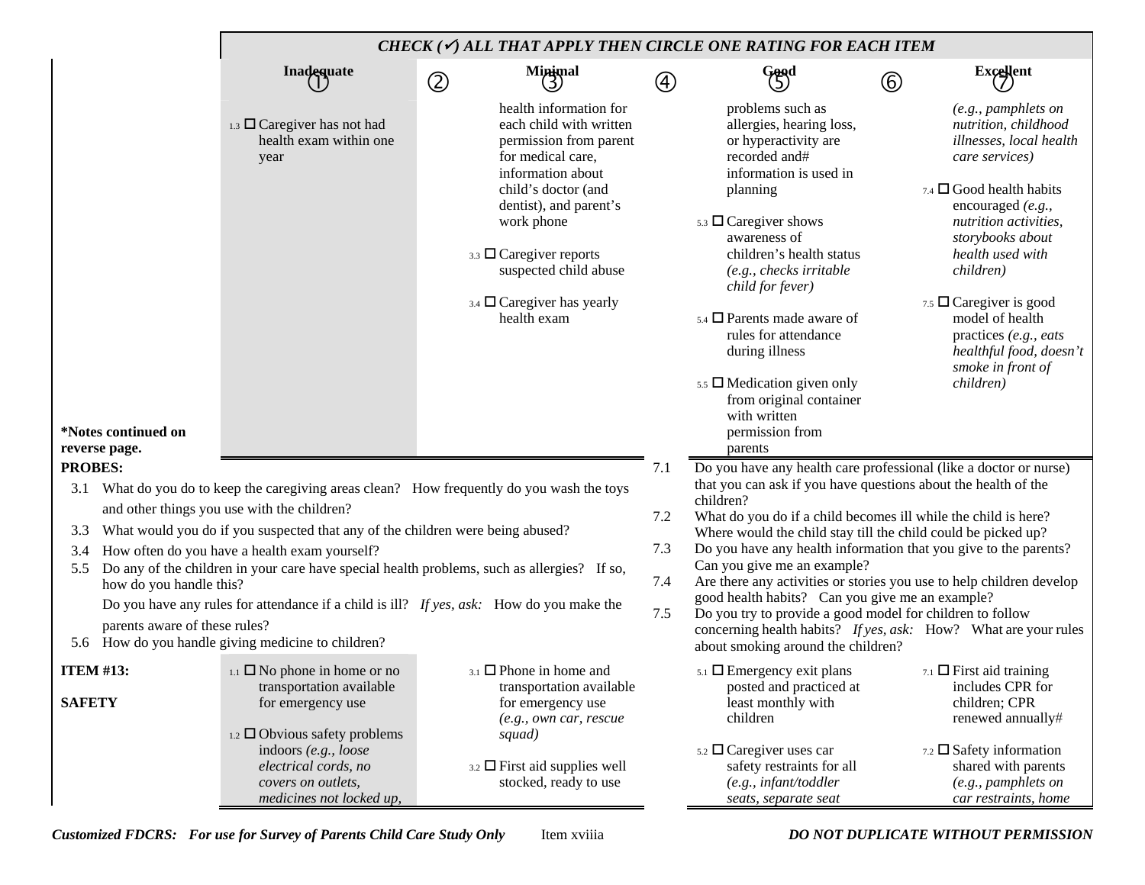|                                                                                                                                                                                                                                                                                                                                                                                                                                                  |                                                                                                                                                                                 | CHECK ( $\checkmark$ ) ALL THAT APPLY THEN CIRCLE ONE RATING FOR EACH ITEM                                                                                                                                                                                                                              |             |                                                                                                                                                                                                                                                                                                                                                                                                                                                                                                                   |                                                                                              |                                                                                                                                                                                                                                                                                                                                                                            |
|--------------------------------------------------------------------------------------------------------------------------------------------------------------------------------------------------------------------------------------------------------------------------------------------------------------------------------------------------------------------------------------------------------------------------------------------------|---------------------------------------------------------------------------------------------------------------------------------------------------------------------------------|---------------------------------------------------------------------------------------------------------------------------------------------------------------------------------------------------------------------------------------------------------------------------------------------------------|-------------|-------------------------------------------------------------------------------------------------------------------------------------------------------------------------------------------------------------------------------------------------------------------------------------------------------------------------------------------------------------------------------------------------------------------------------------------------------------------------------------------------------------------|----------------------------------------------------------------------------------------------|----------------------------------------------------------------------------------------------------------------------------------------------------------------------------------------------------------------------------------------------------------------------------------------------------------------------------------------------------------------------------|
|                                                                                                                                                                                                                                                                                                                                                                                                                                                  | Inadequate                                                                                                                                                                      | Minimal<br>3<br>$\circledZ$                                                                                                                                                                                                                                                                             | $\circledA$ | Good                                                                                                                                                                                                                                                                                                                                                                                                                                                                                                              | $^\copyright$                                                                                | <b>Excellent</b>                                                                                                                                                                                                                                                                                                                                                           |
| *Notes continued on                                                                                                                                                                                                                                                                                                                                                                                                                              | 1.3 $\Box$ Caregiver has not had<br>health exam within one<br>year                                                                                                              | health information for<br>each child with written<br>permission from parent<br>for medical care,<br>information about<br>child's doctor (and<br>dentist), and parent's<br>work phone<br>3.3 $\Box$ Caregiver reports<br>suspected child abuse<br>$_{3.4}$ $\square$ Caregiver has yearly<br>health exam |             | problems such as<br>allergies, hearing loss,<br>or hyperactivity are<br>recorded and#<br>information is used in<br>planning<br>$5.3$ $\square$ Caregiver shows<br>awareness of<br>children's health status<br>$(e.g., checks\,irritable$<br>child for fever)<br>$_{5.4}$ $\square$ Parents made aware of<br>rules for attendance<br>during illness<br>$5.5$ $\Box$ Medication given only<br>from original container<br>with written<br>permission from                                                            |                                                                                              | (e.g., pamphlets on<br>nutrition, childhood<br>illnesses, local health<br>care services)<br>$7.4$ $\square$ Good health habits<br>encouraged (e.g.,<br>nutrition activities,<br>storybooks about<br>health used with<br>children)<br>7.5 $\Box$ Caregiver is good<br>model of health<br>practices (e.g., eats<br>healthful food, doesn't<br>smoke in front of<br>children) |
| reverse page.                                                                                                                                                                                                                                                                                                                                                                                                                                    |                                                                                                                                                                                 |                                                                                                                                                                                                                                                                                                         |             | parents                                                                                                                                                                                                                                                                                                                                                                                                                                                                                                           |                                                                                              |                                                                                                                                                                                                                                                                                                                                                                            |
| <b>PROBES:</b><br>What do you do to keep the caregiving areas clean? How frequently do you wash the toys<br>3.1<br>and other things you use with the children?<br>What would you do if you suspected that any of the children were being abused?<br>3.3<br>How often do you have a health exam yourself?<br>3.4<br>Do any of the children in your care have special health problems, such as allergies? If so,<br>5.5<br>how do you handle this? |                                                                                                                                                                                 |                                                                                                                                                                                                                                                                                                         |             | Do you have any health care professional (like a doctor or nurse)<br>that you can ask if you have questions about the health of the<br>children?<br>What do you do if a child becomes ill while the child is here?<br>Where would the child stay till the child could be picked up?<br>Do you have any health information that you give to the parents?<br>Can you give me an example?<br>Are there any activities or stories you use to help children develop<br>good health habits? Can you give me an example? |                                                                                              |                                                                                                                                                                                                                                                                                                                                                                            |
|                                                                                                                                                                                                                                                                                                                                                                                                                                                  | Do you have any rules for attendance if a child is ill? If yes, ask: How do you make the<br>parents aware of these rules?<br>5.6 How do you handle giving medicine to children? |                                                                                                                                                                                                                                                                                                         | 7.5         | Do you try to provide a good model for children to follow<br>concerning health habits? If yes, ask: How? What are your rules<br>about smoking around the children?                                                                                                                                                                                                                                                                                                                                                |                                                                                              |                                                                                                                                                                                                                                                                                                                                                                            |
| <b>ITEM #13:</b><br><b>SAFETY</b>                                                                                                                                                                                                                                                                                                                                                                                                                | $_{1.1}$ $\Box$ No phone in home or no<br>transportation available<br>for emergency use<br>1.2 $\Box$ Obvious safety problems                                                   |                                                                                                                                                                                                                                                                                                         |             | $5.1$ $\Box$ Emergency exit plans<br>posted and practiced at<br>least monthly with<br>children                                                                                                                                                                                                                                                                                                                                                                                                                    | $_{7.1}$ $\Box$ First aid training<br>includes CPR for<br>children; CPR<br>renewed annually# |                                                                                                                                                                                                                                                                                                                                                                            |
|                                                                                                                                                                                                                                                                                                                                                                                                                                                  | indoors (e.g., loose<br>electrical cords, no<br>covers on outlets,<br>medicines not locked up,                                                                                  | squad)<br>$_{3.2}$ $\square$ First aid supplies well<br>stocked, ready to use                                                                                                                                                                                                                           |             | $5.2 \square$ Caregiver uses car<br>safety restraints for all<br>$(e.g., \text{infant/tod}$<br>seats, separate seat                                                                                                                                                                                                                                                                                                                                                                                               |                                                                                              | $7.2$ $\square$ Safety information<br>shared with parents<br>(e.g., pamphlets on<br>car restraints, home                                                                                                                                                                                                                                                                   |

*Customized FDCRS: For use for Survey of Parents Child Care Study Only* Item xviiia *DO NOT DUPLICATE WITHOUT PERMISSION*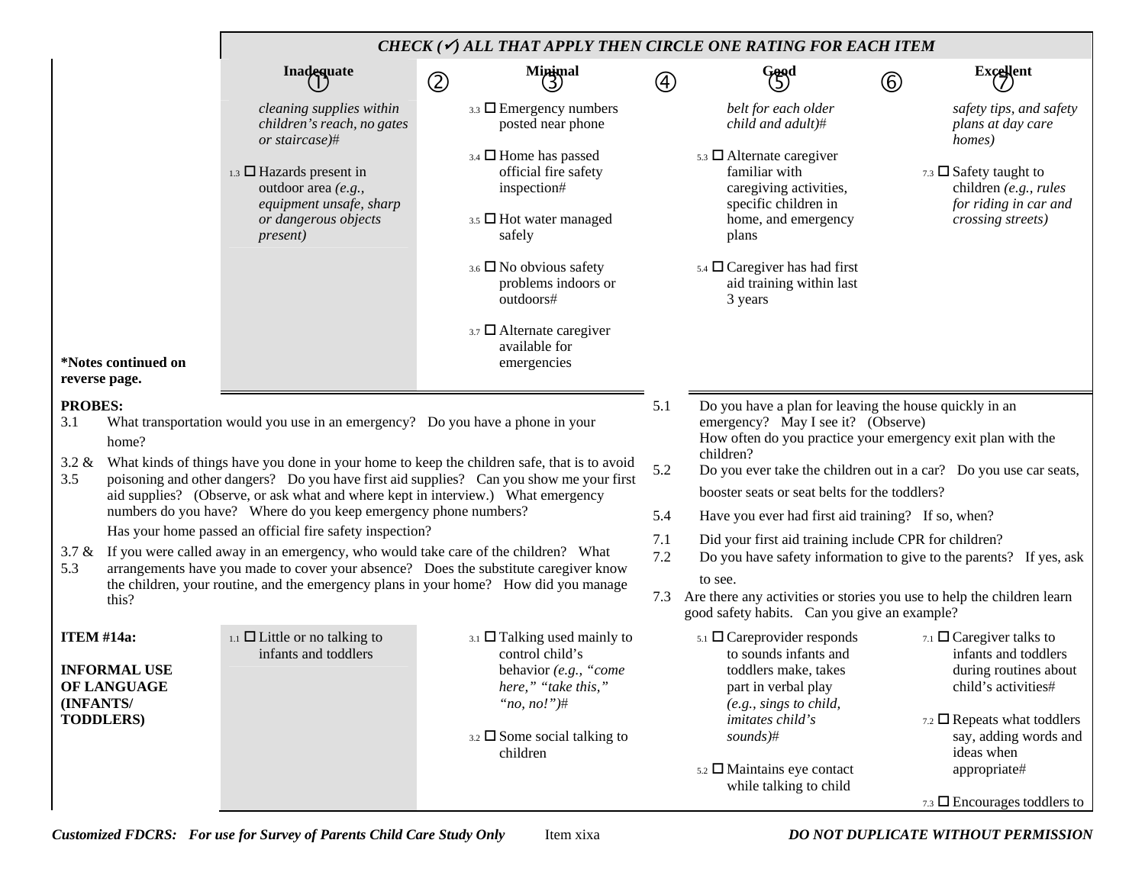|                                                                                                                  |                                                                                                                                     |                                                                                                                                                      | CHECK ( $\checkmark$ ) ALL THAT APPLY THEN CIRCLE ONE RATING FOR EACH ITEM                                                                                                              |                                                                                                                                                             |                                                                                                                                                                                                                                                            |               |                                                                                                                                                                                                                                       |  |
|------------------------------------------------------------------------------------------------------------------|-------------------------------------------------------------------------------------------------------------------------------------|------------------------------------------------------------------------------------------------------------------------------------------------------|-----------------------------------------------------------------------------------------------------------------------------------------------------------------------------------------|-------------------------------------------------------------------------------------------------------------------------------------------------------------|------------------------------------------------------------------------------------------------------------------------------------------------------------------------------------------------------------------------------------------------------------|---------------|---------------------------------------------------------------------------------------------------------------------------------------------------------------------------------------------------------------------------------------|--|
|                                                                                                                  |                                                                                                                                     | Inadequate                                                                                                                                           | Minimal<br>(3)<br>$\circledZ$                                                                                                                                                           | $^\text{\textregistered}$                                                                                                                                   | Good                                                                                                                                                                                                                                                       | $^\copyright$ | <b>Excellent</b>                                                                                                                                                                                                                      |  |
|                                                                                                                  |                                                                                                                                     | cleaning supplies within<br>children's reach, no gates<br>or staircase)#                                                                             | $3.3 \square$ Emergency numbers<br>posted near phone                                                                                                                                    |                                                                                                                                                             | belt for each older<br>child and adult)#                                                                                                                                                                                                                   |               | safety tips, and safety<br>plans at day care<br>homes)                                                                                                                                                                                |  |
|                                                                                                                  | $_{1.3}$ $\square$ Hazards present in<br>outdoor area (e.g.,<br>equipment unsafe, sharp<br>or dangerous objects<br><i>present</i> ) |                                                                                                                                                      | $3.4$ $\Box$ Home has passed<br>official fire safety<br>inspection#<br>3.5 D Hot water managed<br>safely                                                                                |                                                                                                                                                             | $5.3$ $\Box$ Alternate caregiver<br>familiar with<br>caregiving activities,<br>specific children in<br>home, and emergency<br>plans                                                                                                                        |               | 7.3 $\Box$ Safety taught to<br>children (e.g., rules<br>for riding in car and<br>crossing streets)                                                                                                                                    |  |
|                                                                                                                  |                                                                                                                                     | $3.6$ $\Box$ No obvious safety<br>problems indoors or<br>outdoors#                                                                                   |                                                                                                                                                                                         |                                                                                                                                                             | $5.4 \square$ Caregiver has had first<br>aid training within last<br>3 years                                                                                                                                                                               |               |                                                                                                                                                                                                                                       |  |
|                                                                                                                  | *Notes continued on<br>reverse page.                                                                                                |                                                                                                                                                      | $3.7$ $\Box$ Alternate caregiver<br>available for<br>emergencies                                                                                                                        |                                                                                                                                                             |                                                                                                                                                                                                                                                            |               |                                                                                                                                                                                                                                       |  |
| <b>PROBES:</b><br>3.1<br>What transportation would you use in an emergency? Do you have a phone in your<br>home? |                                                                                                                                     |                                                                                                                                                      | 5.1                                                                                                                                                                                     | Do you have a plan for leaving the house quickly in an<br>emergency? May I see it? (Observe)<br>How often do you practice your emergency exit plan with the |                                                                                                                                                                                                                                                            |               |                                                                                                                                                                                                                                       |  |
| $3.2 \&$<br>3.5                                                                                                  |                                                                                                                                     | aid supplies? (Observe, or ask what and where kept in interview.) What emergency                                                                     | What kinds of things have you done in your home to keep the children safe, that is to avoid<br>poisoning and other dangers? Do you have first aid supplies? Can you show me your first  | 5.2                                                                                                                                                         | children?<br>Do you ever take the children out in a car? Do you use car seats,<br>booster seats or seat belts for the toddlers?                                                                                                                            |               |                                                                                                                                                                                                                                       |  |
|                                                                                                                  |                                                                                                                                     | numbers do you have? Where do you keep emergency phone numbers?                                                                                      |                                                                                                                                                                                         | 5.4                                                                                                                                                         | Have you ever had first aid training? If so, when?                                                                                                                                                                                                         |               |                                                                                                                                                                                                                                       |  |
| 5.3                                                                                                              |                                                                                                                                     | Has your home passed an official fire safety inspection?<br>3.7 & If you were called away in an emergency, who would take care of the children? What | arrangements have you made to cover your absence? Does the substitute caregiver know                                                                                                    | 7.1<br>$7.2\,$                                                                                                                                              | Did your first aid training include CPR for children?<br>Do you have safety information to give to the parents? If yes, ask                                                                                                                                |               |                                                                                                                                                                                                                                       |  |
|                                                                                                                  | this?                                                                                                                               |                                                                                                                                                      | the children, your routine, and the emergency plans in your home? How did you manage                                                                                                    |                                                                                                                                                             | to see.<br>7.3 Are there any activities or stories you use to help the children learn<br>good safety habits. Can you give an example?                                                                                                                      |               |                                                                                                                                                                                                                                       |  |
| <b>ITEM #14a:</b><br>(INFANTS/                                                                                   | <b>INFORMAL USE</b><br>OF LANGUAGE<br><b>TODDLERS)</b>                                                                              | 1.1 $\Box$ Little or no talking to<br>infants and toddlers                                                                                           | $_{3.1}$ $\square$ Talking used mainly to<br>control child's<br>behavior (e.g., "come<br>here," "take this,"<br>"no, $no$ !")#<br>$_{3.2}$ $\square$ Some social talking to<br>children |                                                                                                                                                             | $5.1$ $\Box$ Careprovider responds<br>to sounds infants and<br>toddlers make, takes<br>part in verbal play<br>(e.g., <i>sings to child,</i> )<br><i>imitates child's</i><br>$sounds$ <sup>#</sup><br>5.2 □ Maintains eye contact<br>while talking to child |               | 7.1 $\Box$ Caregiver talks to<br>infants and toddlers<br>during routines about<br>child's activities#<br>7.2 $\Box$ Repeats what toddlers<br>say, adding words and<br>ideas when<br>appropriate#<br>7.3 $\Box$ Encourages toddlers to |  |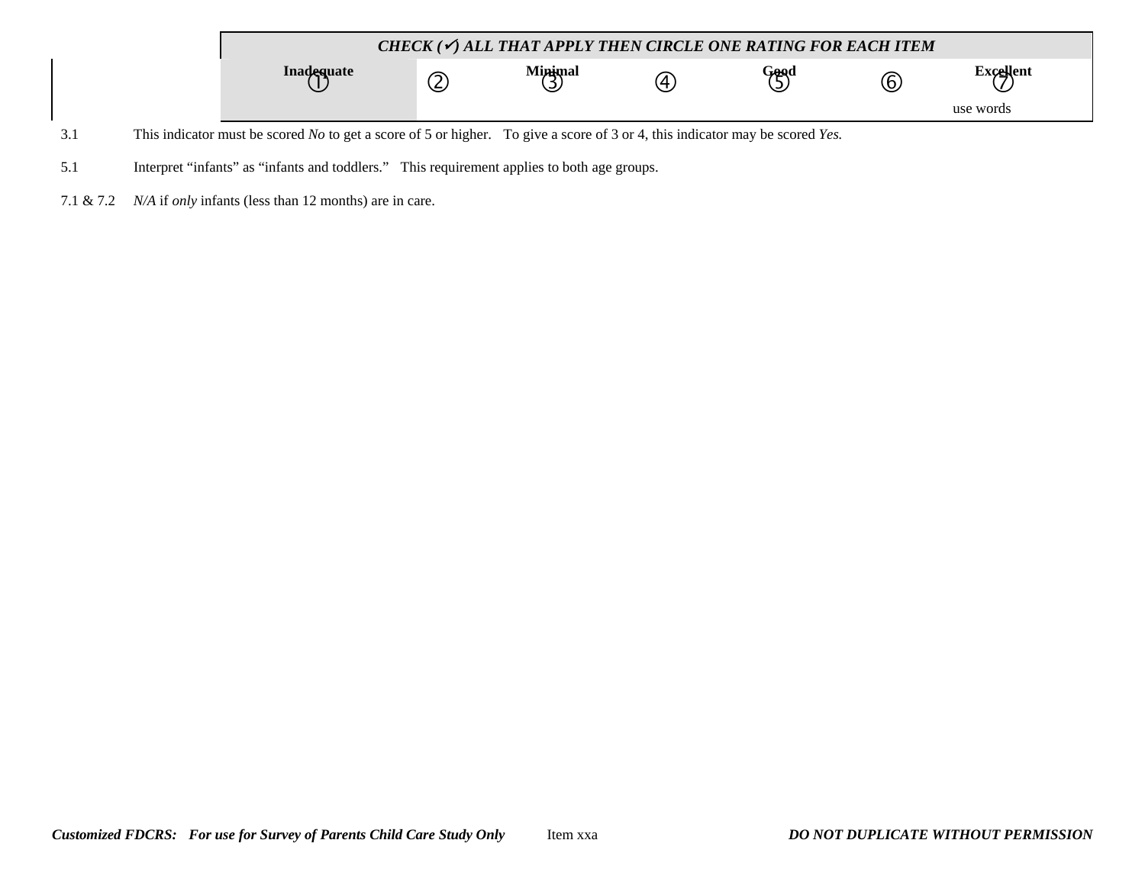

- 3.1 This indicator must be scored *No* to get a score of 5 or higher. To give a score of 3 or 4, this indicator may be scored *Yes.*
- 5.1 Interpret "infants" as "infants and toddlers." This requirement applies to both age groups.
- 7.1 & 7.2 *N/A* if *only* infants (less than 12 months) are in care.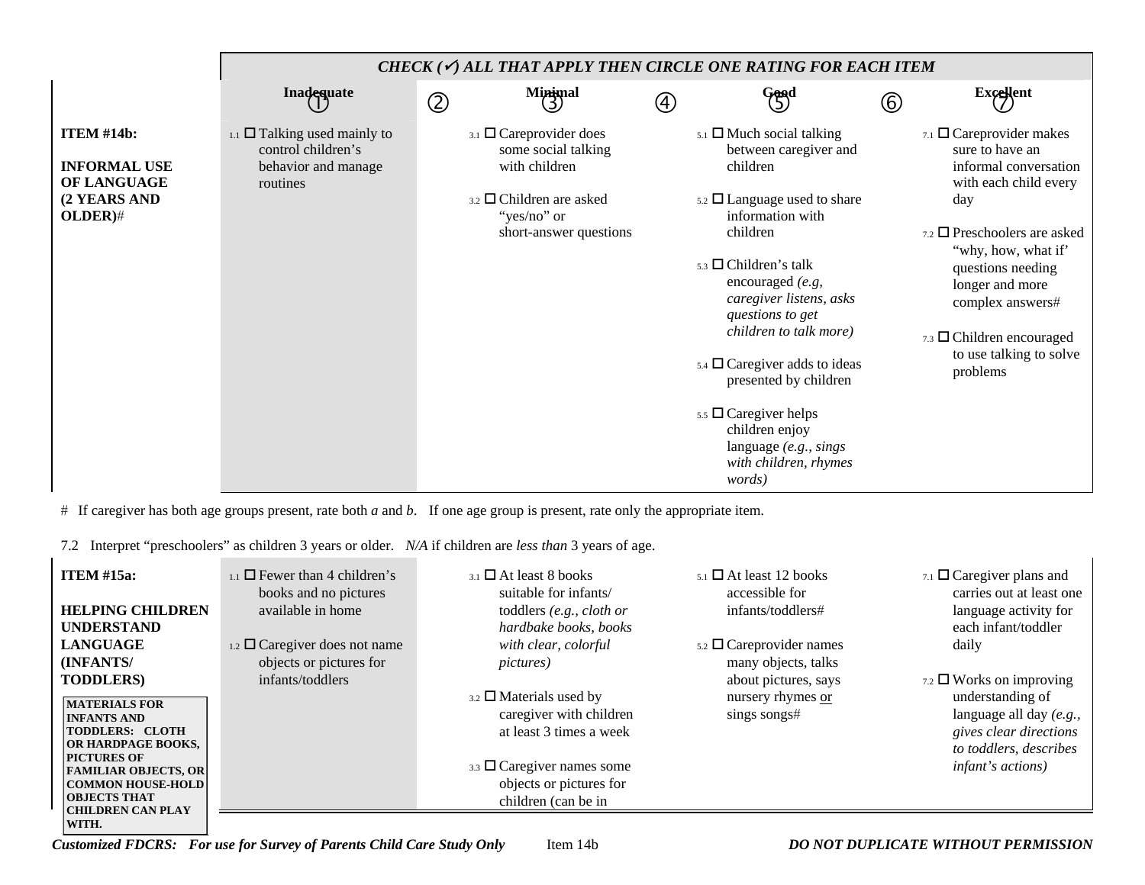|                                                                                    |                                                                                                    | CHECK $(\checkmark)$ all that apply then circle one rating for each item     |                   |                                                                                                                                                                                                                                                |     |                                                                                                                                                                                                         |
|------------------------------------------------------------------------------------|----------------------------------------------------------------------------------------------------|------------------------------------------------------------------------------|-------------------|------------------------------------------------------------------------------------------------------------------------------------------------------------------------------------------------------------------------------------------------|-----|---------------------------------------------------------------------------------------------------------------------------------------------------------------------------------------------------------|
|                                                                                    | Inadequate                                                                                         | $M$ inimal<br>$\circledZ$                                                    | $\left( 4\right)$ | $\begin{pmatrix} 6 & 6 \\ 5 & 7 \end{pmatrix}$                                                                                                                                                                                                 | 6   | <b>Excellent</b>                                                                                                                                                                                        |
| <b>ITEM #14b:</b><br><b>INFORMAL USE</b><br>OF LANGUAGE<br>(2 YEARS AND<br>OLDER)# | $_{1.1}$ $\square$ Talking used mainly to<br>control children's<br>behavior and manage<br>routines | $_{3.1}$ $\square$ Careprovider does<br>some social talking<br>with children |                   | $5.1$ $\Box$ Much social talking<br>between caregiver and<br>children                                                                                                                                                                          |     | 7.1 $\Box$ Careprovider makes<br>sure to have an<br>informal conversation<br>with each child every                                                                                                      |
|                                                                                    |                                                                                                    | $_{3.2}$ $\square$ Children are asked<br>"yes/no" or                         |                   | $5.2 \square$ Language used to share<br>information with                                                                                                                                                                                       | day |                                                                                                                                                                                                         |
|                                                                                    |                                                                                                    | short-answer questions                                                       |                   | children<br>$5.3$ $\Box$ Children's talk<br>encouraged $(e.g.$<br>caregiver listens, asks<br>questions to get<br>children to talk more)<br>$_{5.4}$ $\square$ Caregiver adds to ideas<br>presented by children<br>$5.5$ $\Box$ Caregiver helps |     | $_{7.2}$ $\square$ Preschoolers are asked<br>"why, how, what if"<br>questions needing<br>longer and more<br>complex answers#<br>$7.3$ $\Box$ Children encouraged<br>to use talking to solve<br>problems |
|                                                                                    |                                                                                                    |                                                                              |                   | children enjoy<br>language $(e.g., sings)$<br>with children, rhymes<br><i>words</i> )                                                                                                                                                          |     |                                                                                                                                                                                                         |

# If caregiver has both age groups present, rate both *a* and *b*. If one age group is present, rate only the appropriate item.

7.2 Interpret "preschoolers" as children 3 years or older. *N/A* if children are *less than* 3 years of age.

| <b>ITEM</b> #15a:                                                                                                                                                                                                                  | $_{1.1}$ $\Box$ Fewer than 4 children's<br>books and no pictures | $_3$ $\Box$ At least 8 books<br>suitable for infants/                                                                                                                        | $_{5.1}$ $\square$ At least 12 books<br>accessible for | 7.1 $\Box$ Caregiver plans and<br>carries out at least one                                                                  |
|------------------------------------------------------------------------------------------------------------------------------------------------------------------------------------------------------------------------------------|------------------------------------------------------------------|------------------------------------------------------------------------------------------------------------------------------------------------------------------------------|--------------------------------------------------------|-----------------------------------------------------------------------------------------------------------------------------|
| <b>HELPING CHILDREN</b>                                                                                                                                                                                                            | available in home                                                | toddlers $(e.g., cloth or$                                                                                                                                                   | infants/toddlers#                                      | language activity for                                                                                                       |
| <b>UNDERSTAND</b>                                                                                                                                                                                                                  |                                                                  | hardbake books, books                                                                                                                                                        |                                                        | each infant/toddler                                                                                                         |
| <b>LANGUAGE</b>                                                                                                                                                                                                                    | 1.2 $\Box$ Caregiver does not name                               | with clear, colorful                                                                                                                                                         | $5.2 \square$ Careprovider names                       | daily                                                                                                                       |
| (INFANTS/                                                                                                                                                                                                                          | objects or pictures for                                          | <i>pictures</i> )                                                                                                                                                            | many objects, talks                                    |                                                                                                                             |
| <b>TODDLERS</b> )                                                                                                                                                                                                                  | infants/toddlers                                                 |                                                                                                                                                                              | about pictures, says                                   | 7.2 $\Box$ Works on improving                                                                                               |
| <b>MATERIALS FOR</b><br><b>INFANTS AND</b><br><b>TODDLERS: CLOTH</b><br><b>OR HARDPAGE BOOKS,</b><br><b>PICTURES OF</b><br><b>FAMILIAR OBJECTS, OR</b><br>  COMMON HOUSE-HOLD  <br><b>OBJECTS THAT</b><br><b>CHILDREN CAN PLAY</b> |                                                                  | $3.2$ $\Box$ Materials used by<br>caregiver with children<br>at least 3 times a week<br>$3.3 \square$ Caregiver names some<br>objects or pictures for<br>children (can be in | nursery rhymes or<br>sings songs#                      | understanding of<br>language all day (e.g.,<br>gives clear directions<br>to toddlers, describes<br><i>infant's actions)</i> |
| WITH.                                                                                                                                                                                                                              |                                                                  |                                                                                                                                                                              |                                                        |                                                                                                                             |

*Customized FDCRS: For use for Survey of Parents Child Care Study Only* Item 14b *DO NOT DUPLICATE WITHOUT PERMISSION*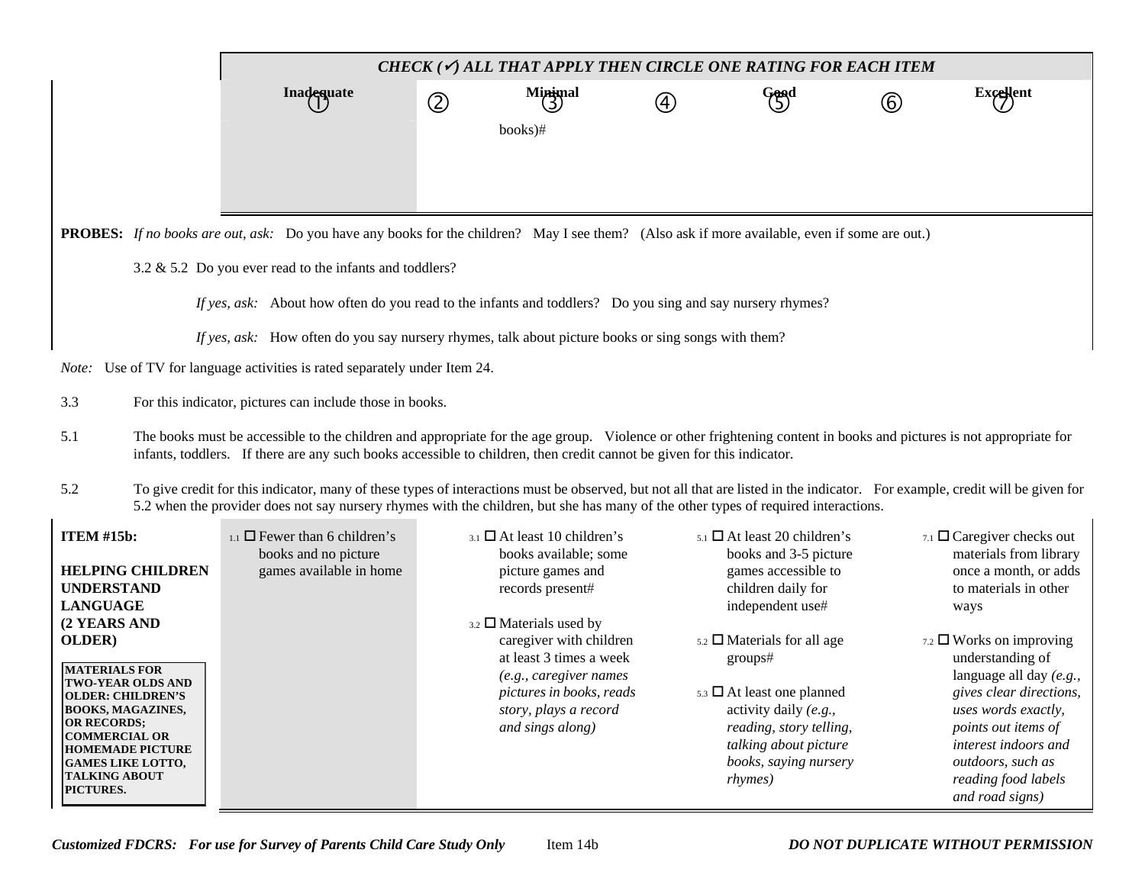*CHECK (*9*) ALL THAT APPLY THEN CIRCLE ONE RATING FOR EACH ITEM* **Inadequate** dequate (2) Minimal (4) Good Good Excellent books)# **PROBES:** *If no books are out, ask:* Do you have any books for the children? May I see them? (Also ask if more available, even if some are out.) 3.2 & 5.2 Do you ever read to the infants and toddlers? *If yes, ask:* About how often do you read to the infants and toddlers? Do you sing and say nursery rhymes? *If yes, ask:* How often do you say nursery rhymes, talk about picture books or sing songs with them? *Note:* Use of TV for language activities is rated separately under Item 24. 3.3 For this indicator, pictures can include those in books. 5.1 The books must be accessible to the children and appropriate for the age group. Violence or other frightening content in books and pictures is not appropriate for infants, toddlers. If there are any such books accessible to children, then credit cannot be given for this indicator. 5.2 To give credit for this indicator, many of these types of interactions must be observed, but not all that are listed in the indicator. For example, credit will be given for 5.2 when the provider does not say nursery rhymes with the children, but she has many of the other types of required interactions. **ITEM #15b: HELPING CHILDREN UNDERSTAND LANGUAGE (2 YEARS AND**   $_{1.1}$   $\Box$  Fewer than 6 children's books and no picture games available in home  $_{3.1}$   $\Box$  At least 10 children's books available; some picture games and records present# 3.2 $_2$   $\Box$  Materials used by  $_{5.1}$   $\Box$  At least 20 children's books and 3-5 picture games accessible to children daily for independent use# 7.1  $\Box$  Caregiver checks out materials from library once a month, or adds to materials in other ways

| <b>HELPING CHILDREN</b>                                                                                                                                                                                                                                    | games available in home | picture games and                                                                               | games accessible to                                                                                                                                         | once a month, or adds                                                                                                                                                                            |
|------------------------------------------------------------------------------------------------------------------------------------------------------------------------------------------------------------------------------------------------------------|-------------------------|-------------------------------------------------------------------------------------------------|-------------------------------------------------------------------------------------------------------------------------------------------------------------|--------------------------------------------------------------------------------------------------------------------------------------------------------------------------------------------------|
| <b>UNDERSTAND</b>                                                                                                                                                                                                                                          |                         | records present#                                                                                | children daily for                                                                                                                                          | to materials in other                                                                                                                                                                            |
| <b>LANGUAGE</b>                                                                                                                                                                                                                                            |                         |                                                                                                 | independent use#                                                                                                                                            | ways                                                                                                                                                                                             |
| (2 YEARS AND                                                                                                                                                                                                                                               |                         | $3.2$ $\Box$ Materials used by                                                                  |                                                                                                                                                             |                                                                                                                                                                                                  |
| OLDER)                                                                                                                                                                                                                                                     |                         | caregiver with children<br>at least 3 times a week                                              | $5.2$ $\Box$ Materials for all age<br>groups#                                                                                                               | $_{7.2}$ $\Box$ Works on improving<br>understanding of                                                                                                                                           |
| <b>MATERIALS FOR</b><br><b>TWO-YEAR OLDS AND</b><br><b>OLDER: CHILDREN'S</b><br><b>BOOKS, MAGAZINES,</b><br><b>JOR RECORDS:</b><br><b>COMMERCIAL OR</b><br><b>HOMEMADE PICTURE</b><br><b>GAMES LIKE LOTTO,</b><br><b>TALKING ABOUT</b><br><b>PICTURES.</b> |                         | (e.g., caregiver names<br>pictures in books, reads<br>story, plays a record<br>and sings along) | $5.3 \square$ At least one planned<br>activity daily (e.g.,<br>reading, story telling,<br>talking about picture<br>books, saying nursery<br><i>rhymes</i> ) | language all day $(e.g.,$<br>gives clear directions,<br>uses words exactly,<br>points out items of<br>interest indoors and<br><i>outdoors, such as</i><br>reading food labels<br>and road signs) |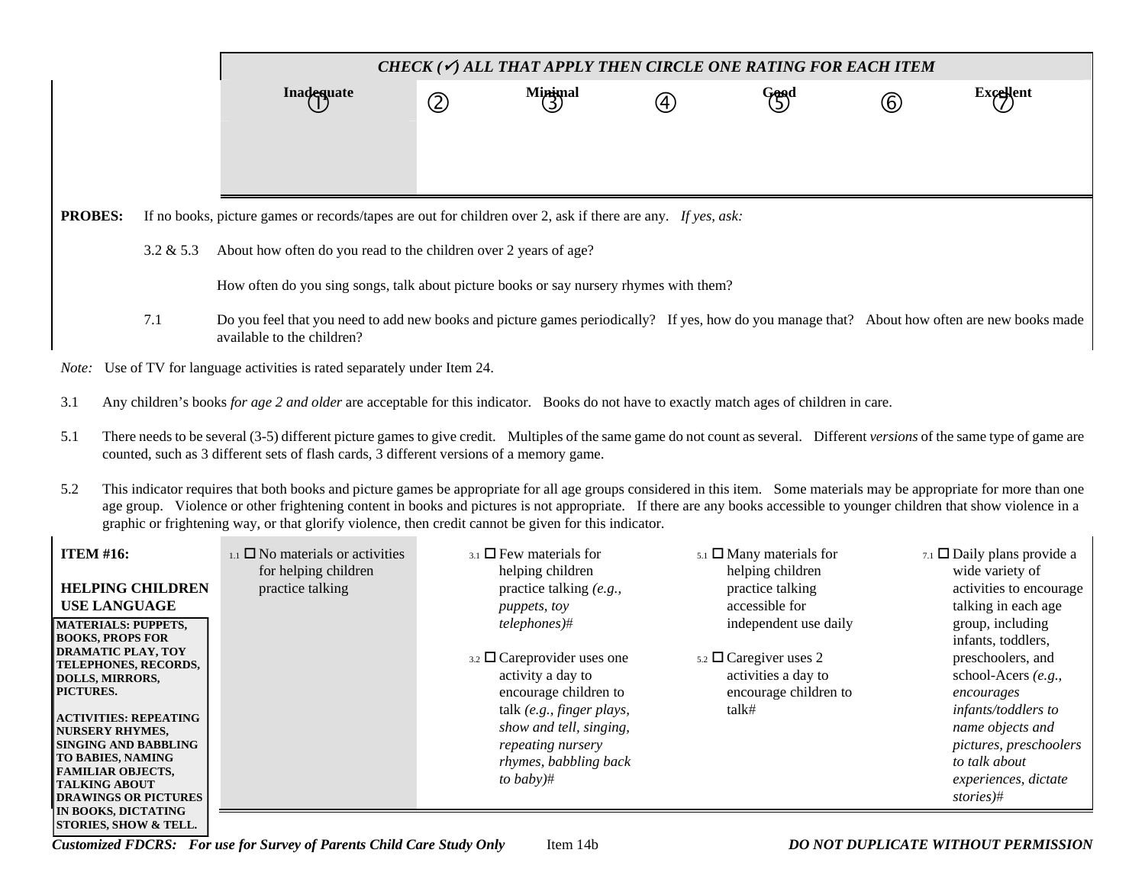| CHECK $(\checkmark)$ all that apply then circle one rating for each item                                                                                                           |             |                |                                                                                                                                                                                                                                                                                                                                                                                                |                                                                                                                                                                                          |                                                                                                                                                                          |                                                                                                                                                                                                                                                                                                                                                                                                                                                                                                                                                                                                                                                                                                                                   |  |  |  |  |
|------------------------------------------------------------------------------------------------------------------------------------------------------------------------------------|-------------|----------------|------------------------------------------------------------------------------------------------------------------------------------------------------------------------------------------------------------------------------------------------------------------------------------------------------------------------------------------------------------------------------------------------|------------------------------------------------------------------------------------------------------------------------------------------------------------------------------------------|--------------------------------------------------------------------------------------------------------------------------------------------------------------------------|-----------------------------------------------------------------------------------------------------------------------------------------------------------------------------------------------------------------------------------------------------------------------------------------------------------------------------------------------------------------------------------------------------------------------------------------------------------------------------------------------------------------------------------------------------------------------------------------------------------------------------------------------------------------------------------------------------------------------------------|--|--|--|--|
| <b>Inadequate</b>                                                                                                                                                                  | $\circledZ$ | Minimal<br>(3) | (4)                                                                                                                                                                                                                                                                                                                                                                                            | Good<br>(5)                                                                                                                                                                              | (6)                                                                                                                                                                      | <b>Excellent</b>                                                                                                                                                                                                                                                                                                                                                                                                                                                                                                                                                                                                                                                                                                                  |  |  |  |  |
|                                                                                                                                                                                    |             |                |                                                                                                                                                                                                                                                                                                                                                                                                |                                                                                                                                                                                          |                                                                                                                                                                          |                                                                                                                                                                                                                                                                                                                                                                                                                                                                                                                                                                                                                                                                                                                                   |  |  |  |  |
|                                                                                                                                                                                    |             |                |                                                                                                                                                                                                                                                                                                                                                                                                |                                                                                                                                                                                          |                                                                                                                                                                          |                                                                                                                                                                                                                                                                                                                                                                                                                                                                                                                                                                                                                                                                                                                                   |  |  |  |  |
|                                                                                                                                                                                    |             |                |                                                                                                                                                                                                                                                                                                                                                                                                |                                                                                                                                                                                          |                                                                                                                                                                          |                                                                                                                                                                                                                                                                                                                                                                                                                                                                                                                                                                                                                                                                                                                                   |  |  |  |  |
| How often do you sing songs, talk about picture books or say nursery rhymes with them?                                                                                             |             |                |                                                                                                                                                                                                                                                                                                                                                                                                |                                                                                                                                                                                          |                                                                                                                                                                          |                                                                                                                                                                                                                                                                                                                                                                                                                                                                                                                                                                                                                                                                                                                                   |  |  |  |  |
| 7.1<br>Do you feel that you need to add new books and picture games periodically? If yes, how do you manage that? About how often are new books made<br>available to the children? |             |                |                                                                                                                                                                                                                                                                                                                                                                                                |                                                                                                                                                                                          |                                                                                                                                                                          |                                                                                                                                                                                                                                                                                                                                                                                                                                                                                                                                                                                                                                                                                                                                   |  |  |  |  |
| Use of TV for language activities is rated separately under Item 24.<br>Note:                                                                                                      |             |                |                                                                                                                                                                                                                                                                                                                                                                                                |                                                                                                                                                                                          |                                                                                                                                                                          |                                                                                                                                                                                                                                                                                                                                                                                                                                                                                                                                                                                                                                                                                                                                   |  |  |  |  |
|                                                                                                                                                                                    |             |                |                                                                                                                                                                                                                                                                                                                                                                                                |                                                                                                                                                                                          |                                                                                                                                                                          |                                                                                                                                                                                                                                                                                                                                                                                                                                                                                                                                                                                                                                                                                                                                   |  |  |  |  |
|                                                                                                                                                                                    |             |                |                                                                                                                                                                                                                                                                                                                                                                                                |                                                                                                                                                                                          |                                                                                                                                                                          |                                                                                                                                                                                                                                                                                                                                                                                                                                                                                                                                                                                                                                                                                                                                   |  |  |  |  |
|                                                                                                                                                                                    |             |                |                                                                                                                                                                                                                                                                                                                                                                                                |                                                                                                                                                                                          |                                                                                                                                                                          |                                                                                                                                                                                                                                                                                                                                                                                                                                                                                                                                                                                                                                                                                                                                   |  |  |  |  |
| $_{1.1}$ $\square$ No materials or activities<br>for helping children<br>practice talking                                                                                          |             |                |                                                                                                                                                                                                                                                                                                                                                                                                | helping children<br>practice talking<br>accessible for<br>activities a day to<br>talk#                                                                                                   |                                                                                                                                                                          | 7.1 $\Box$ Daily plans provide a<br>wide variety of<br>activities to encourage<br>talking in each age<br>group, including<br>infants, toddlers,<br>preschoolers, and<br>school-Acers (e.g.,<br>encourages<br>infants/toddlers to<br>name objects and<br>pictures, preschoolers<br>to talk about<br>experiences, dictate<br>stories)#                                                                                                                                                                                                                                                                                                                                                                                              |  |  |  |  |
|                                                                                                                                                                                    |             |                | About how often do you read to the children over 2 years of age?<br>counted, such as 3 different sets of flash cards, 3 different versions of a memory game.<br>$_{3.1}$ $\square$ Few materials for<br>helping children<br>practice talking (e.g.,<br>puppets, toy<br>telephones)#<br>activity a day to<br>encourage children to<br>show and tell, singing,<br>repeating nursery<br>to baby)# | graphic or frightening way, or that glorify violence, then credit cannot be given for this indicator.<br>3.2 Careprovider uses one<br>talk (e.g., finger plays,<br>rhymes, babbling back | If no books, picture games or records/tapes are out for children over 2, ask if there are any. If yes, ask:<br>$5.1$ $\Box$ Many materials for<br>5.2 □ Caregiver uses 2 | Any children's books for age 2 and older are acceptable for this indicator. Books do not have to exactly match ages of children in care.<br>There needs to be several (3-5) different picture games to give credit. Multiples of the same game do not count as several. Different versions of the same type of game are<br>This indicator requires that both books and picture games be appropriate for all age groups considered in this item. Some materials may be appropriate for more than one<br>age group. Violence or other frightening content in books and pictures is not appropriate. If there are any books accessible to younger children that show violence in a<br>independent use daily<br>encourage children to |  |  |  |  |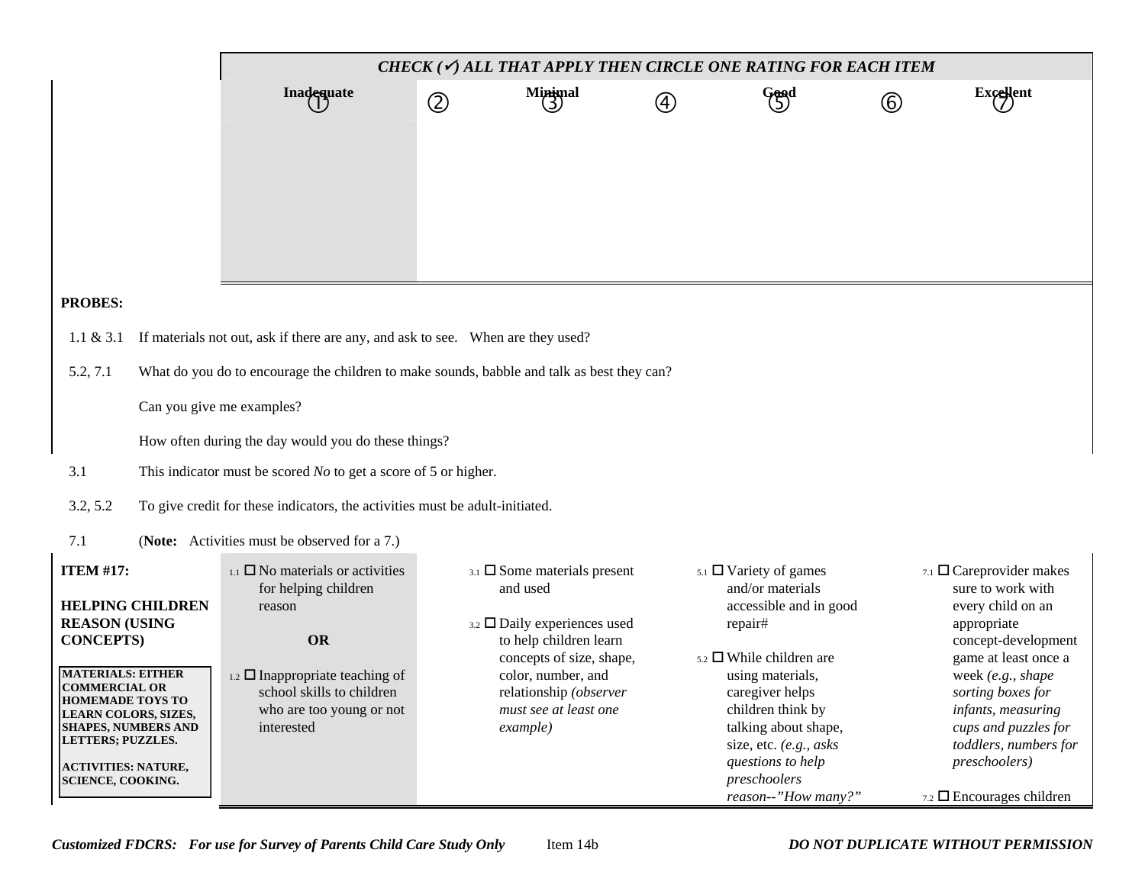|                                                                                                                                                                                                                                                                                                                            | CHECK ( $\checkmark$ ) ALL THAT APPLY THEN CIRCLE ONE RATING FOR EACH ITEM                                                                                                                                       |               |                                                                                                                                                                                                                                        |   |                                                                                                                                                                                                                                                                                              |              |                                                                                                                                                                                                                                                                                                                           |  |  |  |
|----------------------------------------------------------------------------------------------------------------------------------------------------------------------------------------------------------------------------------------------------------------------------------------------------------------------------|------------------------------------------------------------------------------------------------------------------------------------------------------------------------------------------------------------------|---------------|----------------------------------------------------------------------------------------------------------------------------------------------------------------------------------------------------------------------------------------|---|----------------------------------------------------------------------------------------------------------------------------------------------------------------------------------------------------------------------------------------------------------------------------------------------|--------------|---------------------------------------------------------------------------------------------------------------------------------------------------------------------------------------------------------------------------------------------------------------------------------------------------------------------------|--|--|--|
|                                                                                                                                                                                                                                                                                                                            | Inadequate                                                                                                                                                                                                       | $\circled{2}$ | $M$ inimal                                                                                                                                                                                                                             | 4 | Good                                                                                                                                                                                                                                                                                         | $^\circledR$ | Excellent                                                                                                                                                                                                                                                                                                                 |  |  |  |
|                                                                                                                                                                                                                                                                                                                            |                                                                                                                                                                                                                  |               |                                                                                                                                                                                                                                        |   |                                                                                                                                                                                                                                                                                              |              |                                                                                                                                                                                                                                                                                                                           |  |  |  |
| <b>PROBES:</b>                                                                                                                                                                                                                                                                                                             |                                                                                                                                                                                                                  |               |                                                                                                                                                                                                                                        |   |                                                                                                                                                                                                                                                                                              |              |                                                                                                                                                                                                                                                                                                                           |  |  |  |
| If materials not out, ask if there are any, and ask to see. When are they used?<br>$1.1 \& 3.1$                                                                                                                                                                                                                            |                                                                                                                                                                                                                  |               |                                                                                                                                                                                                                                        |   |                                                                                                                                                                                                                                                                                              |              |                                                                                                                                                                                                                                                                                                                           |  |  |  |
| 5.2, 7.1                                                                                                                                                                                                                                                                                                                   | What do you do to encourage the children to make sounds, babble and talk as best they can?                                                                                                                       |               |                                                                                                                                                                                                                                        |   |                                                                                                                                                                                                                                                                                              |              |                                                                                                                                                                                                                                                                                                                           |  |  |  |
|                                                                                                                                                                                                                                                                                                                            | Can you give me examples?                                                                                                                                                                                        |               |                                                                                                                                                                                                                                        |   |                                                                                                                                                                                                                                                                                              |              |                                                                                                                                                                                                                                                                                                                           |  |  |  |
|                                                                                                                                                                                                                                                                                                                            | How often during the day would you do these things?                                                                                                                                                              |               |                                                                                                                                                                                                                                        |   |                                                                                                                                                                                                                                                                                              |              |                                                                                                                                                                                                                                                                                                                           |  |  |  |
| 3.1                                                                                                                                                                                                                                                                                                                        | This indicator must be scored $No$ to get a score of 5 or higher.                                                                                                                                                |               |                                                                                                                                                                                                                                        |   |                                                                                                                                                                                                                                                                                              |              |                                                                                                                                                                                                                                                                                                                           |  |  |  |
| 3.2, 5.2                                                                                                                                                                                                                                                                                                                   | To give credit for these indicators, the activities must be adult-initiated.                                                                                                                                     |               |                                                                                                                                                                                                                                        |   |                                                                                                                                                                                                                                                                                              |              |                                                                                                                                                                                                                                                                                                                           |  |  |  |
| 7.1                                                                                                                                                                                                                                                                                                                        | (Note: Activities must be observed for a 7.)                                                                                                                                                                     |               |                                                                                                                                                                                                                                        |   |                                                                                                                                                                                                                                                                                              |              |                                                                                                                                                                                                                                                                                                                           |  |  |  |
| <b>ITEM #17:</b><br><b>HELPING CHILDREN</b><br><b>REASON (USING</b><br><b>CONCEPTS</b> )<br><b>MATERIALS: EITHER</b><br><b>COMMERCIAL OR</b><br><b>HOMEMADE TOYS TO</b><br><b>LEARN COLORS, SIZES,</b><br><b>SHAPES, NUMBERS AND</b><br><b>LETTERS; PUZZLES.</b><br><b>ACTIVITIES: NATURE,</b><br><b>SCIENCE, COOKING.</b> | $_{1.1}$ $\Box$ No materials or activities<br>for helping children<br>reason<br><b>OR</b><br>$_{1.2}$ $\square$ Inappropriate teaching of<br>school skills to children<br>who are too young or not<br>interested |               | $_{3.1}$ $\square$ Some materials present<br>and used<br>3.2 $\Box$ Daily experiences used<br>to help children learn<br>concepts of size, shape,<br>color, number, and<br>relationship (observer<br>must see at least one<br>$\exp(e)$ |   | $5.1$ $\Box$ Variety of games<br>and/or materials<br>accessible and in good<br>repair#<br>$5.2$ While children are<br>using materials,<br>caregiver helps<br>children think by<br>talking about shape,<br>size, etc. (e.g., asks<br>questions to help<br>preschoolers<br>reason--"How many?" |              | 7.1 $\Box$ Careprovider makes<br>sure to work with<br>every child on an<br>appropriate<br>concept-development<br>game at least once a<br>week (e.g., shape<br>sorting boxes for<br>infants, measuring<br>cups and puzzles for<br>toddlers, numbers for<br><i>preschoolers</i> )<br>$_{7.2}$ $\square$ Encourages children |  |  |  |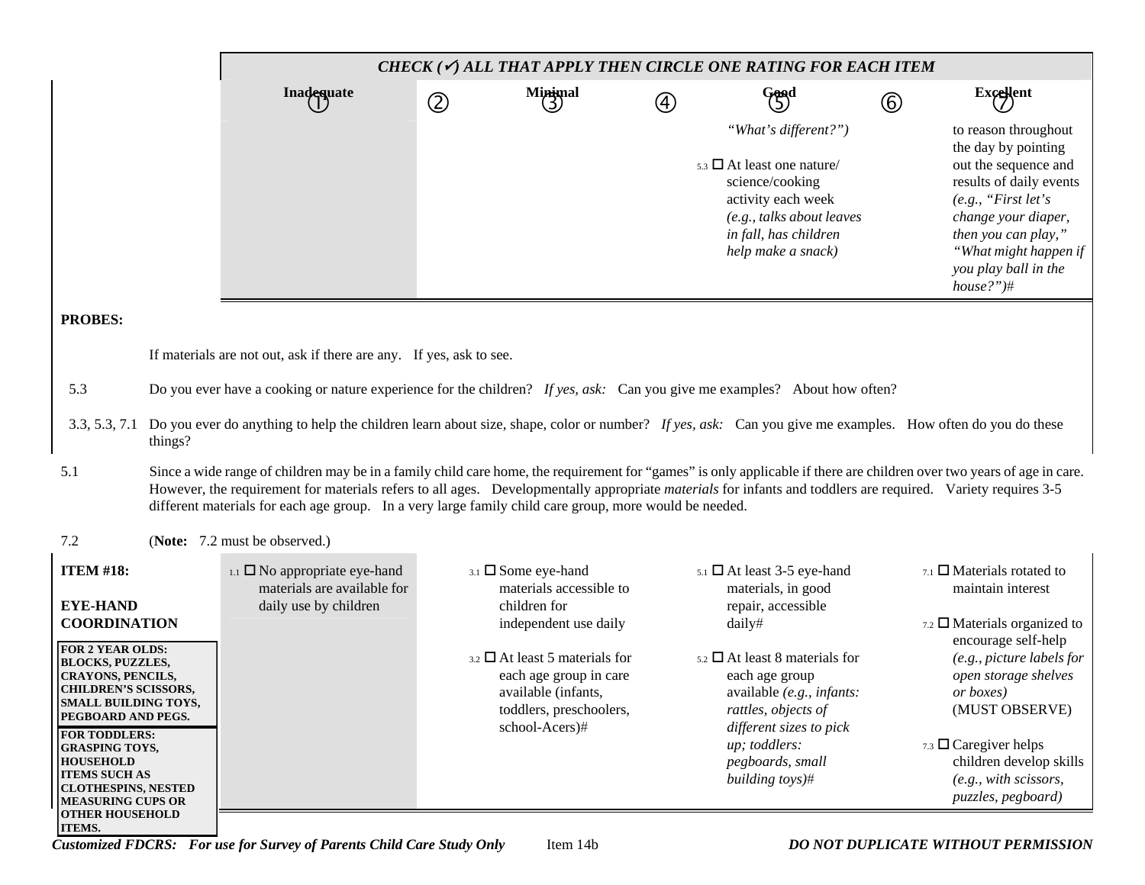|                                                                                                                                                                                                                                                                                                                                | CHECK $(\checkmark)$ all that apply then circle one rating for each item                                                                                                                                                                                                                                                                                                                                                                                |             |                                                                                                                                           |                |                                                                                                                                                                                                |                |                                                                                                                                                                                                                                      |  |  |  |
|--------------------------------------------------------------------------------------------------------------------------------------------------------------------------------------------------------------------------------------------------------------------------------------------------------------------------------|---------------------------------------------------------------------------------------------------------------------------------------------------------------------------------------------------------------------------------------------------------------------------------------------------------------------------------------------------------------------------------------------------------------------------------------------------------|-------------|-------------------------------------------------------------------------------------------------------------------------------------------|----------------|------------------------------------------------------------------------------------------------------------------------------------------------------------------------------------------------|----------------|--------------------------------------------------------------------------------------------------------------------------------------------------------------------------------------------------------------------------------------|--|--|--|
|                                                                                                                                                                                                                                                                                                                                | <b>Inadequate</b>                                                                                                                                                                                                                                                                                                                                                                                                                                       | $\circledZ$ | Minimal<br>(3)                                                                                                                            | $\bigcircledA$ | Good                                                                                                                                                                                           | $^{\circledR}$ | Excellent                                                                                                                                                                                                                            |  |  |  |
|                                                                                                                                                                                                                                                                                                                                |                                                                                                                                                                                                                                                                                                                                                                                                                                                         |             |                                                                                                                                           |                | "What's different?")<br>$5.3$ $\Box$ At least one nature/<br>science/cooking<br>activity each week<br>(e.g., talks about leaves<br>in fall, has children<br>help make a snack)                 |                | to reason throughout<br>the day by pointing<br>out the sequence and<br>results of daily events<br>(e.g., "First let's<br>change your diaper,<br>then you can play,"<br>"What might happen if<br>you play ball in the<br>$house?$ ")# |  |  |  |
| <b>PROBES:</b>                                                                                                                                                                                                                                                                                                                 |                                                                                                                                                                                                                                                                                                                                                                                                                                                         |             |                                                                                                                                           |                |                                                                                                                                                                                                |                |                                                                                                                                                                                                                                      |  |  |  |
|                                                                                                                                                                                                                                                                                                                                | If materials are not out, ask if there are any. If yes, ask to see.                                                                                                                                                                                                                                                                                                                                                                                     |             |                                                                                                                                           |                |                                                                                                                                                                                                |                |                                                                                                                                                                                                                                      |  |  |  |
| 5.3                                                                                                                                                                                                                                                                                                                            | Do you ever have a cooking or nature experience for the children? If yes, ask: Can you give me examples? About how often?                                                                                                                                                                                                                                                                                                                               |             |                                                                                                                                           |                |                                                                                                                                                                                                |                |                                                                                                                                                                                                                                      |  |  |  |
| 3.3, 5.3, 7.1<br>things?                                                                                                                                                                                                                                                                                                       | Do you ever do anything to help the children learn about size, shape, color or number? If yes, ask: Can you give me examples. How often do you do these                                                                                                                                                                                                                                                                                                 |             |                                                                                                                                           |                |                                                                                                                                                                                                |                |                                                                                                                                                                                                                                      |  |  |  |
| 5.1                                                                                                                                                                                                                                                                                                                            | Since a wide range of children may be in a family child care home, the requirement for "games" is only applicable if there are children over two years of age in care.<br>However, the requirement for materials refers to all ages. Developmentally appropriate <i>materials</i> for infants and toddlers are required. Variety requires 3-5<br>different materials for each age group. In a very large family child care group, more would be needed. |             |                                                                                                                                           |                |                                                                                                                                                                                                |                |                                                                                                                                                                                                                                      |  |  |  |
| 7.2                                                                                                                                                                                                                                                                                                                            | (Note: 7.2 must be observed.)                                                                                                                                                                                                                                                                                                                                                                                                                           |             |                                                                                                                                           |                |                                                                                                                                                                                                |                |                                                                                                                                                                                                                                      |  |  |  |
| <b>ITEM #18:</b><br><b>EYE-HAND</b>                                                                                                                                                                                                                                                                                            | $_{1.1}$ $\square$ No appropriate eye-hand<br>materials are available for<br>daily use by children                                                                                                                                                                                                                                                                                                                                                      |             | 3.1 Some eye-hand<br>materials accessible to<br>children for                                                                              |                | $5.1$ $\Box$ At least 3-5 eye-hand<br>materials, in good<br>repair, accessible                                                                                                                 |                | $_{7.1}$ $\Box$ Materials rotated to<br>maintain interest                                                                                                                                                                            |  |  |  |
| <b>COORDINATION</b>                                                                                                                                                                                                                                                                                                            |                                                                                                                                                                                                                                                                                                                                                                                                                                                         |             | independent use daily                                                                                                                     |                | daily#                                                                                                                                                                                         |                | 7.2 $\Box$ Materials organized to<br>encourage self-help                                                                                                                                                                             |  |  |  |
| FOR 2 YEAR OLDS:<br><b>BLOCKS, PUZZLES,</b><br>CRAYONS, PENCILS,<br><b>CHILDREN'S SCISSORS,</b><br>SMALL BUILDING TOYS,<br>PEGBOARD AND PEGS.<br><b>FOR TODDLERS:</b><br><b>GRASPING TOYS,</b><br><b>HOUSEHOLD</b><br><b>ITEMS SUCH AS</b><br><b>CLOTHESPINS, NESTED</b><br><b>MEASURING CUPS OR</b><br><b>OTHER HOUSEHOLD</b> |                                                                                                                                                                                                                                                                                                                                                                                                                                                         |             | $_{3.2}$ $\square$ At least 5 materials for<br>each age group in care<br>available (infants,<br>toddlers, preschoolers,<br>school-Acers)# |                | $5.2$ $\Box$ At least 8 materials for<br>each age group<br>available (e.g., infants:<br>rattles, objects of<br>different sizes to pick<br>up; toddlers:<br>pegboards, small<br>building toys)# |                | (e.g., picture labels for<br>open storage shelves<br><i>or boxes</i> )<br>(MUST OBSERVE)<br>7.3 $\Box$ Caregiver helps<br>children develop skills<br>(e.g., with scissors,<br>puzzles, pegboard)                                     |  |  |  |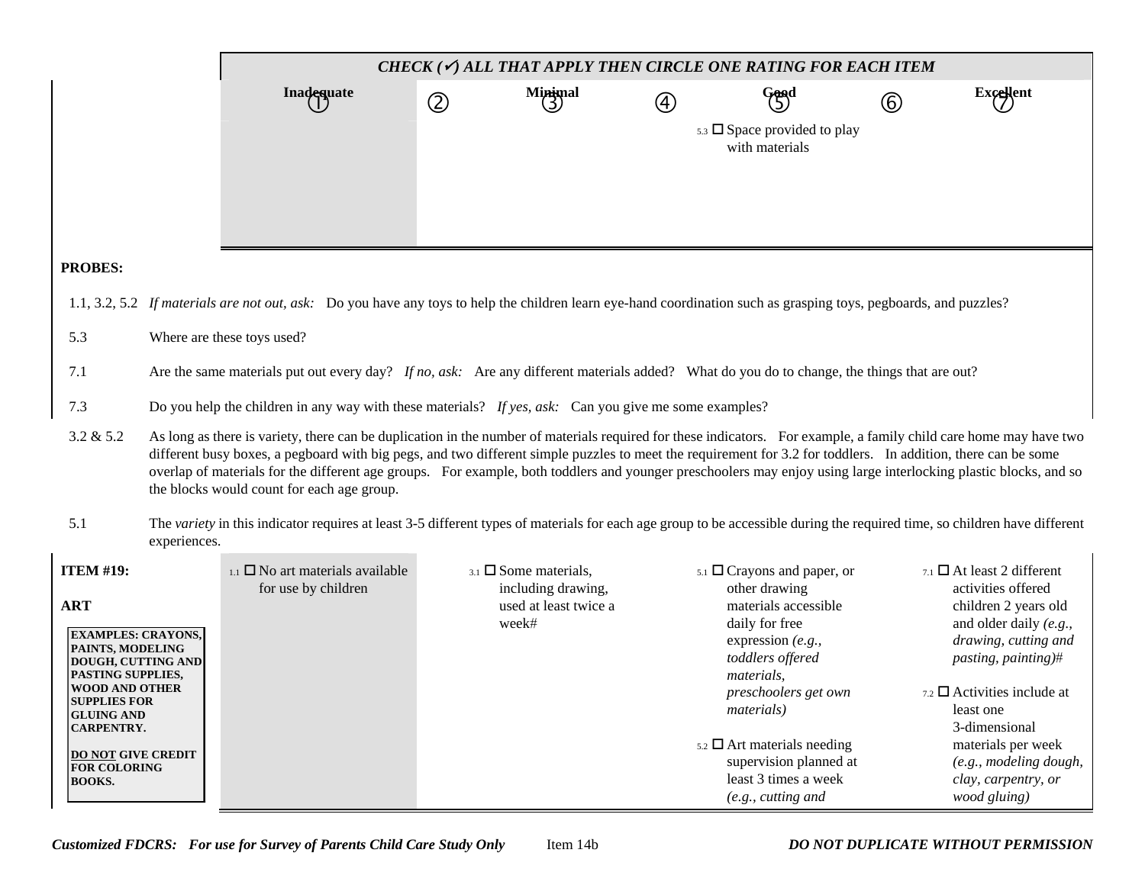|                                                                                                                                                    |                                                                                                                                                                                                                                                                                                                                                                                                                                                                                                                                                       | CHECK ( $\checkmark$ ) ALL THAT APPLY THEN CIRCLE ONE RATING FOR EACH ITEM                                                                                                |             |                                                                                            |               |                                                                                                                                        |             |                                                                                                                                                          |  |  |  |
|----------------------------------------------------------------------------------------------------------------------------------------------------|-------------------------------------------------------------------------------------------------------------------------------------------------------------------------------------------------------------------------------------------------------------------------------------------------------------------------------------------------------------------------------------------------------------------------------------------------------------------------------------------------------------------------------------------------------|---------------------------------------------------------------------------------------------------------------------------------------------------------------------------|-------------|--------------------------------------------------------------------------------------------|---------------|----------------------------------------------------------------------------------------------------------------------------------------|-------------|----------------------------------------------------------------------------------------------------------------------------------------------------------|--|--|--|
|                                                                                                                                                    |                                                                                                                                                                                                                                                                                                                                                                                                                                                                                                                                                       | Inadequate                                                                                                                                                                | $\circledZ$ | $M$ inimal                                                                                 | $\circled{4}$ | Good                                                                                                                                   | $\circledB$ | Excellent                                                                                                                                                |  |  |  |
|                                                                                                                                                    |                                                                                                                                                                                                                                                                                                                                                                                                                                                                                                                                                       |                                                                                                                                                                           |             |                                                                                            |               | $5.3 \square$ Space provided to play<br>with materials                                                                                 |             |                                                                                                                                                          |  |  |  |
| <b>PROBES:</b>                                                                                                                                     |                                                                                                                                                                                                                                                                                                                                                                                                                                                                                                                                                       |                                                                                                                                                                           |             |                                                                                            |               |                                                                                                                                        |             |                                                                                                                                                          |  |  |  |
| 1.1, 3.2, 5.2                                                                                                                                      |                                                                                                                                                                                                                                                                                                                                                                                                                                                                                                                                                       | If materials are not out, ask: Do you have any toys to help the children learn eye-hand coordination such as grasping toys, pegboards, and puzzles?                       |             |                                                                                            |               |                                                                                                                                        |             |                                                                                                                                                          |  |  |  |
| 5.3                                                                                                                                                |                                                                                                                                                                                                                                                                                                                                                                                                                                                                                                                                                       | Where are these toys used?                                                                                                                                                |             |                                                                                            |               |                                                                                                                                        |             |                                                                                                                                                          |  |  |  |
| Are the same materials put out every day? If no, ask: Are any different materials added? What do you do to change, the things that are out?<br>7.1 |                                                                                                                                                                                                                                                                                                                                                                                                                                                                                                                                                       |                                                                                                                                                                           |             |                                                                                            |               |                                                                                                                                        |             |                                                                                                                                                          |  |  |  |
| Do you help the children in any way with these materials? If yes, ask: Can you give me some examples?<br>7.3                                       |                                                                                                                                                                                                                                                                                                                                                                                                                                                                                                                                                       |                                                                                                                                                                           |             |                                                                                            |               |                                                                                                                                        |             |                                                                                                                                                          |  |  |  |
| 3.2 & 5.2                                                                                                                                          | As long as there is variety, there can be duplication in the number of materials required for these indicators. For example, a family child care home may have two<br>different busy boxes, a pegboard with big pegs, and two different simple puzzles to meet the requirement for 3.2 for toddlers. In addition, there can be some<br>overlap of materials for the different age groups. For example, both toddlers and younger preschoolers may enjoy using large interlocking plastic blocks, and so<br>the blocks would count for each age group. |                                                                                                                                                                           |             |                                                                                            |               |                                                                                                                                        |             |                                                                                                                                                          |  |  |  |
| 5.1                                                                                                                                                | experiences.                                                                                                                                                                                                                                                                                                                                                                                                                                                                                                                                          | The variety in this indicator requires at least 3-5 different types of materials for each age group to be accessible during the required time, so children have different |             |                                                                                            |               |                                                                                                                                        |             |                                                                                                                                                          |  |  |  |
| <b>ITEM #19:</b><br><b>ART</b><br><b>EXAMPLES: CRAYONS,</b><br>PAINTS, MODELING<br>DOUGH, CUTTING AND                                              |                                                                                                                                                                                                                                                                                                                                                                                                                                                                                                                                                       | $_{1.1}$ $\square$ No art materials available<br>for use by children                                                                                                      |             | $_{3.1}$ $\square$ Some materials,<br>including drawing,<br>used at least twice a<br>week# |               | $5.1$ $\Box$ Crayons and paper, or<br>other drawing<br>materials accessible<br>daily for free<br>expression (e.g.,<br>toddlers offered |             | $7.1$ $\Box$ At least 2 different<br>activities offered<br>children 2 years old<br>and older daily (e.g.,<br>drawing, cutting and<br>pasting, painting)# |  |  |  |
| PASTING SUPPLIES,<br><b>WOOD AND OTHER</b><br>SUPPLIES FOR<br><b>GLUING AND</b><br><b>CARPENTRY.</b>                                               |                                                                                                                                                                                                                                                                                                                                                                                                                                                                                                                                                       |                                                                                                                                                                           |             |                                                                                            |               | materials,<br>preschoolers get own<br><i>materials</i> )                                                                               |             | $_{7.2}$ $\square$ Activities include at<br>least one<br>3-dimensional                                                                                   |  |  |  |
| <b>DO NOT GIVE CREDIT</b><br><b>FOR COLORING</b><br><b>BOOKS.</b>                                                                                  |                                                                                                                                                                                                                                                                                                                                                                                                                                                                                                                                                       |                                                                                                                                                                           |             |                                                                                            |               | $5.2$ $\Box$ Art materials needing<br>supervision planned at<br>least 3 times a week<br>(e.g., cutting and                             |             | materials per week<br>(e.g., modeling dough,<br>clay, carpentry, or<br>wood gluing)                                                                      |  |  |  |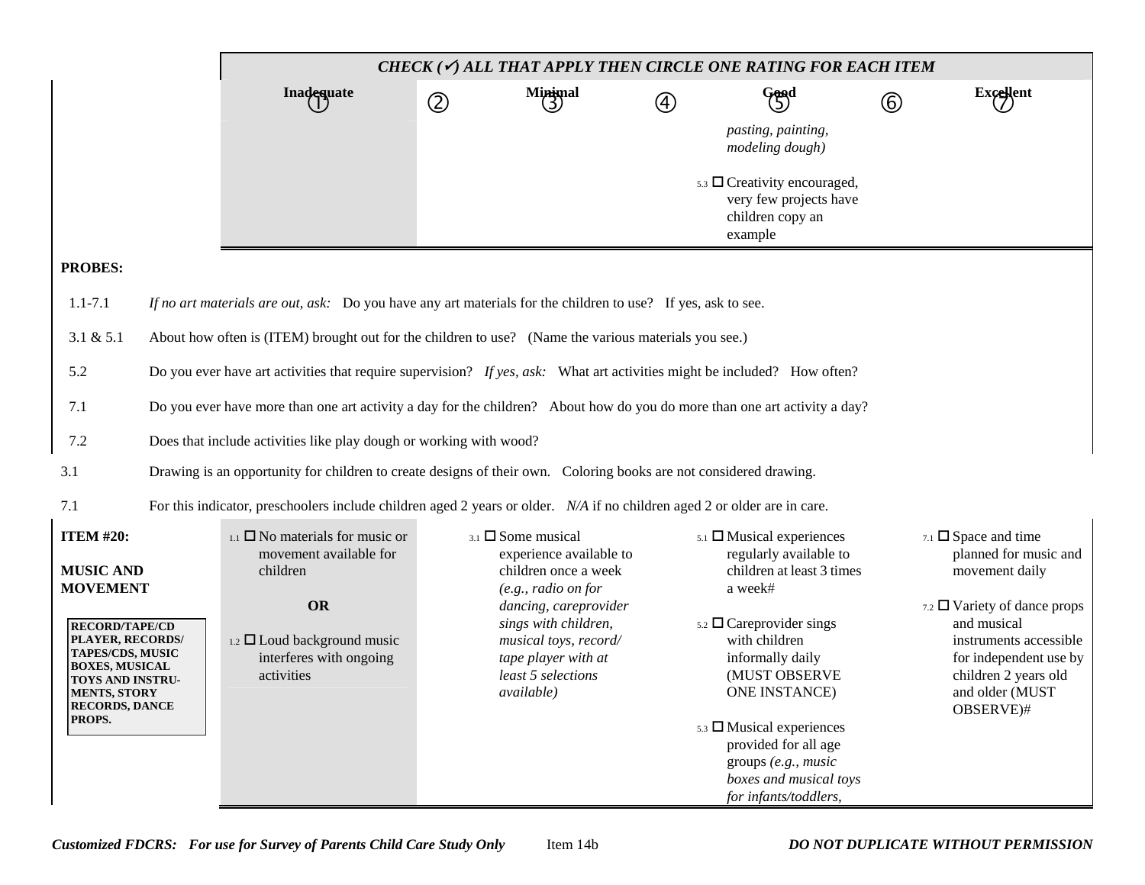|                                                                                                                                                                      | CHECK ( $\checkmark$ ) ALL THAT APPLY THEN CIRCLE ONE RATING FOR EACH ITEM                                                |                              |                                                                                                                                           |             |                                                                                                                                                                                                                                                |               |                                                                                                                                                              |  |  |
|----------------------------------------------------------------------------------------------------------------------------------------------------------------------|---------------------------------------------------------------------------------------------------------------------------|------------------------------|-------------------------------------------------------------------------------------------------------------------------------------------|-------------|------------------------------------------------------------------------------------------------------------------------------------------------------------------------------------------------------------------------------------------------|---------------|--------------------------------------------------------------------------------------------------------------------------------------------------------------|--|--|
|                                                                                                                                                                      | <b>Inadequate</b>                                                                                                         | $\circledZ$                  | Minimal<br>(3)                                                                                                                            | $\circledA$ | Good                                                                                                                                                                                                                                           | $^\copyright$ | Excellent                                                                                                                                                    |  |  |
|                                                                                                                                                                      |                                                                                                                           |                              |                                                                                                                                           |             | pasting, painting,<br>modeling dough)                                                                                                                                                                                                          |               |                                                                                                                                                              |  |  |
|                                                                                                                                                                      |                                                                                                                           |                              |                                                                                                                                           |             | $5.3 \square$ Creativity encouraged,<br>very few projects have<br>children copy an<br>example                                                                                                                                                  |               |                                                                                                                                                              |  |  |
| <b>PROBES:</b>                                                                                                                                                       |                                                                                                                           |                              |                                                                                                                                           |             |                                                                                                                                                                                                                                                |               |                                                                                                                                                              |  |  |
| $1.1 - 7.1$                                                                                                                                                          | If no art materials are out, ask: Do you have any art materials for the children to use? If yes, ask to see.              |                              |                                                                                                                                           |             |                                                                                                                                                                                                                                                |               |                                                                                                                                                              |  |  |
| 3.1 & 5.1                                                                                                                                                            | About how often is (ITEM) brought out for the children to use? (Name the various materials you see.)                      |                              |                                                                                                                                           |             |                                                                                                                                                                                                                                                |               |                                                                                                                                                              |  |  |
| 5.2                                                                                                                                                                  | Do you ever have art activities that require supervision? If yes, ask: What art activities might be included? How often?  |                              |                                                                                                                                           |             |                                                                                                                                                                                                                                                |               |                                                                                                                                                              |  |  |
| 7.1                                                                                                                                                                  | Do you ever have more than one art activity a day for the children? About how do you do more than one art activity a day? |                              |                                                                                                                                           |             |                                                                                                                                                                                                                                                |               |                                                                                                                                                              |  |  |
| 7.2                                                                                                                                                                  | Does that include activities like play dough or working with wood?                                                        |                              |                                                                                                                                           |             |                                                                                                                                                                                                                                                |               |                                                                                                                                                              |  |  |
| 3.1                                                                                                                                                                  | Drawing is an opportunity for children to create designs of their own. Coloring books are not considered drawing.         |                              |                                                                                                                                           |             |                                                                                                                                                                                                                                                |               |                                                                                                                                                              |  |  |
| 7.1                                                                                                                                                                  | For this indicator, preschoolers include children aged 2 years or older. N/A if no children aged 2 or older are in care.  |                              |                                                                                                                                           |             |                                                                                                                                                                                                                                                |               |                                                                                                                                                              |  |  |
| <b>ITEM #20:</b><br><b>MUSIC AND</b><br><b>MOVEMENT</b>                                                                                                              | $_{1.1}$ $\square$ No materials for music or<br>movement available for<br>children                                        | $3.1$ $\square$ Some musical | experience available to<br>children once a week<br>$(e.g., radio\ on\ for$                                                                |             | $5.1$ $\Box$ Musical experiences<br>regularly available to<br>children at least 3 times<br>a week#                                                                                                                                             |               | $7.1$ $\square$ Space and time<br>planned for music and<br>movement daily                                                                                    |  |  |
| <b>RECORD/TAPE/CD</b><br>PLAYER, RECORDS/<br>TAPES/CDS, MUSIC<br><b>BOXES, MUSICAL</b><br>TOYS AND INSTRU-<br><b>MENTS, STORY</b><br><b>RECORDS, DANCE</b><br>PROPS. | <b>OR</b><br>$_{1.2}$ $\square$ Loud background music<br>interferes with ongoing<br>activities                            |                              | dancing, careprovider<br>sings with children,<br>musical toys, record/<br>tape player with at<br>least 5 selections<br><i>available</i> ) |             | $5.2 \square$ Careprovider sings<br>with children<br>informally daily<br>(MUST OBSERVE<br>ONE INSTANCE)<br>$5.3 \square$ Musical experiences<br>provided for all age<br>groups (e.g., music<br>boxes and musical toys<br>for infants/toddlers, |               | 7.2 $\Box$ Variety of dance props<br>and musical<br>instruments accessible<br>for independent use by<br>children 2 years old<br>and older (MUST<br>OBSERVE)# |  |  |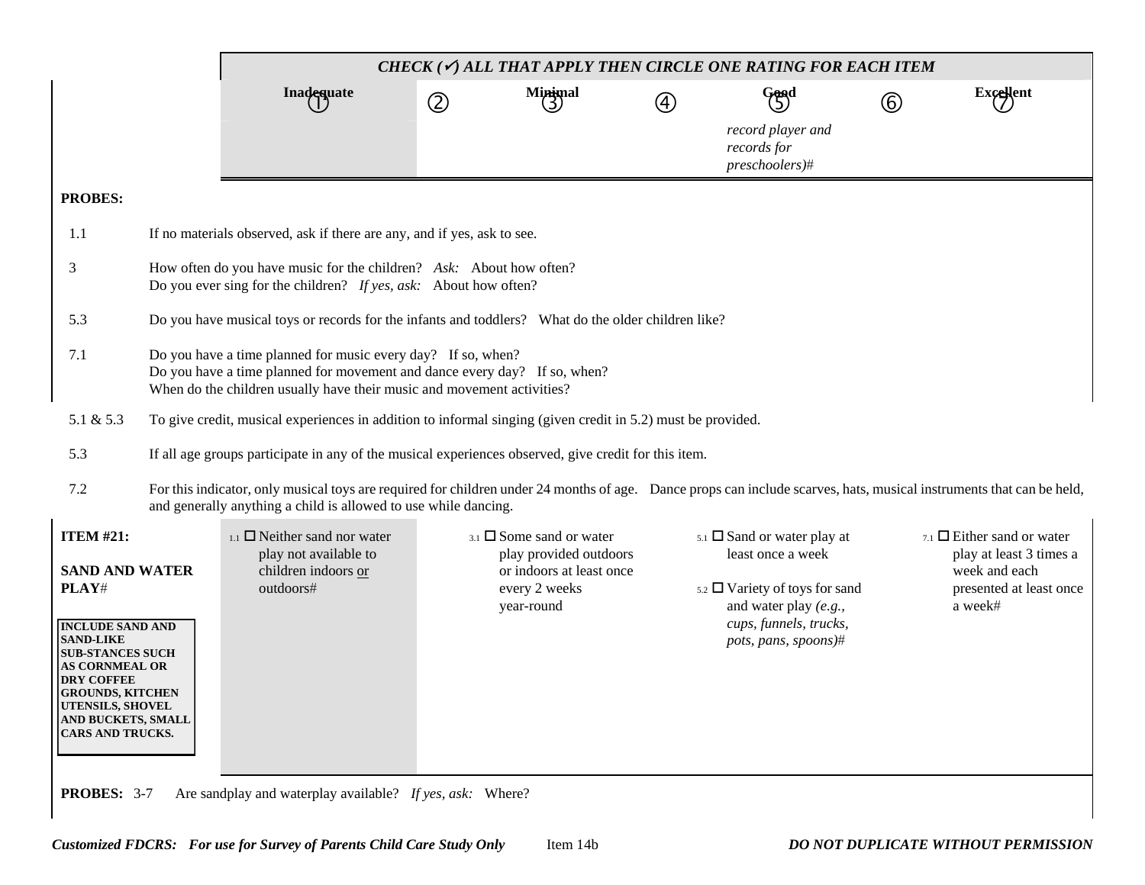|                                                                                                                                                                                                                                                                                          |                                                                                                                                                                                                                     | CHECK $(\checkmark)$ all that apply then circle one rating for each item                                                                                                                                                                |             |                                                                                                                            |   |                                                                                                                                                                                  |   |                                                                                                                        |  |  |  |
|------------------------------------------------------------------------------------------------------------------------------------------------------------------------------------------------------------------------------------------------------------------------------------------|---------------------------------------------------------------------------------------------------------------------------------------------------------------------------------------------------------------------|-----------------------------------------------------------------------------------------------------------------------------------------------------------------------------------------------------------------------------------------|-------------|----------------------------------------------------------------------------------------------------------------------------|---|----------------------------------------------------------------------------------------------------------------------------------------------------------------------------------|---|------------------------------------------------------------------------------------------------------------------------|--|--|--|
|                                                                                                                                                                                                                                                                                          |                                                                                                                                                                                                                     | Inadequate                                                                                                                                                                                                                              | $\circledZ$ | $M$ inimal                                                                                                                 | 4 | Good                                                                                                                                                                             | 6 | <b>Excellent</b>                                                                                                       |  |  |  |
|                                                                                                                                                                                                                                                                                          |                                                                                                                                                                                                                     |                                                                                                                                                                                                                                         |             |                                                                                                                            |   | record player and<br>records for<br>preschoolers)#                                                                                                                               |   |                                                                                                                        |  |  |  |
| <b>PROBES:</b>                                                                                                                                                                                                                                                                           |                                                                                                                                                                                                                     |                                                                                                                                                                                                                                         |             |                                                                                                                            |   |                                                                                                                                                                                  |   |                                                                                                                        |  |  |  |
| 1.1                                                                                                                                                                                                                                                                                      |                                                                                                                                                                                                                     | If no materials observed, ask if there are any, and if yes, ask to see.                                                                                                                                                                 |             |                                                                                                                            |   |                                                                                                                                                                                  |   |                                                                                                                        |  |  |  |
| 3                                                                                                                                                                                                                                                                                        |                                                                                                                                                                                                                     | How often do you have music for the children? Ask: About how often?<br>Do you ever sing for the children? If yes, ask: About how often?                                                                                                 |             |                                                                                                                            |   |                                                                                                                                                                                  |   |                                                                                                                        |  |  |  |
| 5.3                                                                                                                                                                                                                                                                                      |                                                                                                                                                                                                                     | Do you have musical toys or records for the infants and toddlers? What do the older children like?                                                                                                                                      |             |                                                                                                                            |   |                                                                                                                                                                                  |   |                                                                                                                        |  |  |  |
| 7.1                                                                                                                                                                                                                                                                                      | Do you have a time planned for music every day? If so, when?<br>Do you have a time planned for movement and dance every day? If so, when?<br>When do the children usually have their music and movement activities? |                                                                                                                                                                                                                                         |             |                                                                                                                            |   |                                                                                                                                                                                  |   |                                                                                                                        |  |  |  |
| 5.1 & 5.3                                                                                                                                                                                                                                                                                |                                                                                                                                                                                                                     | To give credit, musical experiences in addition to informal singing (given credit in 5.2) must be provided.                                                                                                                             |             |                                                                                                                            |   |                                                                                                                                                                                  |   |                                                                                                                        |  |  |  |
| 5.3                                                                                                                                                                                                                                                                                      |                                                                                                                                                                                                                     | If all age groups participate in any of the musical experiences observed, give credit for this item.                                                                                                                                    |             |                                                                                                                            |   |                                                                                                                                                                                  |   |                                                                                                                        |  |  |  |
| 7.2                                                                                                                                                                                                                                                                                      |                                                                                                                                                                                                                     | For this indicator, only musical toys are required for children under 24 months of age. Dance props can include scarves, hats, musical instruments that can be held,<br>and generally anything a child is allowed to use while dancing. |             |                                                                                                                            |   |                                                                                                                                                                                  |   |                                                                                                                        |  |  |  |
| <b>ITEM #21:</b><br><b>SAND AND WATER</b><br>PLAY#<br><b>INCLUDE SAND AND</b><br><b>SAND-LIKE</b><br><b>SUB-STANCES SUCH</b><br><b>AS CORNMEAL OR</b><br><b>DRY COFFEE</b><br><b>GROUNDS, KITCHEN</b><br><b>UTENSILS, SHOVEL</b><br><b>AND BUCKETS, SMALL</b><br><b>CARS AND TRUCKS.</b> |                                                                                                                                                                                                                     | $_{1.1}$ $\Box$ Neither sand nor water<br>play not available to<br>children indoors or<br>outdoors#                                                                                                                                     |             | $_{3.1}$ $\square$ Some sand or water<br>play provided outdoors<br>or indoors at least once<br>every 2 weeks<br>year-round |   | $5.1$ $\square$ Sand or water play at<br>least once a week<br>$5.2$ $\Box$ Variety of toys for sand<br>and water play $(e.g.,$<br>cups, funnels, trucks,<br>pots, pans, spoons)# |   | $_{7.1}$ $\Box$ Either sand or water<br>play at least 3 times a<br>week and each<br>presented at least once<br>a week# |  |  |  |
| <b>PROBES: 3-7</b>                                                                                                                                                                                                                                                                       |                                                                                                                                                                                                                     | Are sandplay and waterplay available? If yes, ask: Where?                                                                                                                                                                               |             |                                                                                                                            |   |                                                                                                                                                                                  |   |                                                                                                                        |  |  |  |

 $\mathbf l$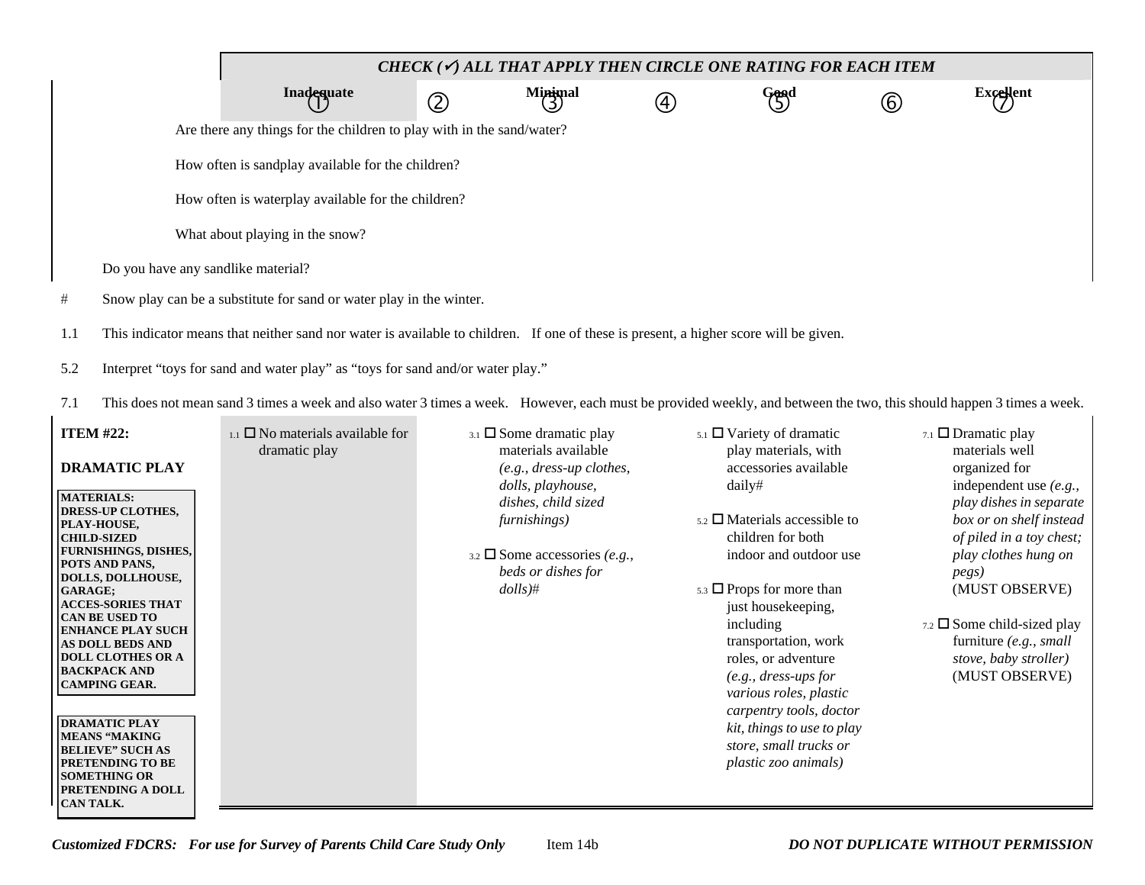|     | CHECK ( $\checkmark$ ) ALL THAT APPLY THEN CIRCLE ONE RATING FOR EACH ITEM                                                           |                   |             |                |               |             |               |           |  |  |  |
|-----|--------------------------------------------------------------------------------------------------------------------------------------|-------------------|-------------|----------------|---------------|-------------|---------------|-----------|--|--|--|
|     |                                                                                                                                      | <b>Inadequate</b> | $\circledZ$ | Minimal<br>(3) | $\circledast$ | Good<br>(5) | $\circled{6}$ | Excellent |  |  |  |
|     | Are there any things for the children to play with in the sand/water?                                                                |                   |             |                |               |             |               |           |  |  |  |
|     | How often is sandplay available for the children?                                                                                    |                   |             |                |               |             |               |           |  |  |  |
|     | How often is waterplay available for the children?                                                                                   |                   |             |                |               |             |               |           |  |  |  |
|     | What about playing in the snow?                                                                                                      |                   |             |                |               |             |               |           |  |  |  |
|     | Do you have any sandlike material?                                                                                                   |                   |             |                |               |             |               |           |  |  |  |
| #   | Snow play can be a substitute for sand or water play in the winter.                                                                  |                   |             |                |               |             |               |           |  |  |  |
| 1.1 | This indicator means that neither sand nor water is available to children. If one of these is present, a higher score will be given. |                   |             |                |               |             |               |           |  |  |  |
| 5.2 | Interpret "toys for sand and water play" as "toys for sand and/or water play."                                                       |                   |             |                |               |             |               |           |  |  |  |

7.1 This does not mean sand 3 times a week and also water 3 times a week. However, each must be provided weekly, and between the two, this should happen 3 times a week.

| <b>ITEM #22:</b>                                    | $_{1.1}$ $\Box$ No materials available for<br>dramatic play | $_{3.1}$ $\square$ Some dramatic play<br>materials available | $_{5.1}$ $\Box$ Variety of dramatic<br>play materials, with | 7.1 $\Box$ Dramatic play<br>materials well |
|-----------------------------------------------------|-------------------------------------------------------------|--------------------------------------------------------------|-------------------------------------------------------------|--------------------------------------------|
| <b>DRAMATIC PLAY</b>                                |                                                             | $(e.g., dress-up clothes,$                                   | accessories available                                       | organized for                              |
| MATERIALS:                                          |                                                             | dolls, playhouse,                                            | daily#                                                      | independent use $(e.g.,$                   |
| <b>DRESS-UP CLOTHES,</b>                            |                                                             | dishes, child sized                                          |                                                             | play dishes in separate                    |
| PLAY-HOUSE,                                         |                                                             | furnishings)                                                 | $_{5.2}$ $\square$ Materials accessible to                  | box or on shelf instead                    |
| <b>CHILD-SIZED</b>                                  |                                                             |                                                              | children for both                                           | of piled in a toy chest;                   |
| <b>FURNISHINGS, DISHES,</b>                         |                                                             | 3.2 $\Box$ Some accessories (e.g.,                           | indoor and outdoor use                                      | play clothes hung on                       |
| <b>POTS AND PANS,</b><br>DOLLS, DOLLHOUSE,          |                                                             | beds or dishes for                                           |                                                             | <i>pegs</i> )                              |
| <b>GARAGE;</b>                                      |                                                             | $dolls)$ #                                                   | $5.3 \square$ Props for more than                           | (MUST OBSERVE)                             |
| <b>ACCES-SORIES THAT</b>                            |                                                             |                                                              | just housekeeping,                                          |                                            |
| <b>CAN BE USED TO</b>                               |                                                             |                                                              | including                                                   | $_{7.2}$ $\square$ Some child-sized play   |
| <b>ENHANCE PLAY SUCH</b><br><b>AS DOLL BEDS AND</b> |                                                             |                                                              | transportation, work                                        | furniture $(e.g., small)$                  |
| <b>DOLL CLOTHES OR A</b>                            |                                                             |                                                              | roles, or adventure                                         | stove, baby stroller)                      |
| <b>BACKPACK AND</b>                                 |                                                             |                                                              | $(e.g., dress-ups for$                                      | (MUST OBSERVE)                             |
| <b>CAMPING GEAR.</b>                                |                                                             |                                                              | various roles, plastic                                      |                                            |
|                                                     |                                                             |                                                              |                                                             |                                            |
| <b>DRAMATIC PLAY</b>                                |                                                             |                                                              | carpentry tools, doctor                                     |                                            |
| <b>MEANS "MAKING"</b>                               |                                                             |                                                              | kit, things to use to play                                  |                                            |
| <b>BELIEVE" SUCH AS</b>                             |                                                             |                                                              | store, small trucks or                                      |                                            |
| <b>PRETENDING TO BE</b>                             |                                                             |                                                              | plastic zoo animals)                                        |                                            |
| <b>SOMETHING OR</b><br><b>PRETENDING A DOLL</b>     |                                                             |                                                              |                                                             |                                            |
|                                                     |                                                             |                                                              |                                                             |                                            |
| <b>CAN TALK.</b>                                    |                                                             |                                                              |                                                             |                                            |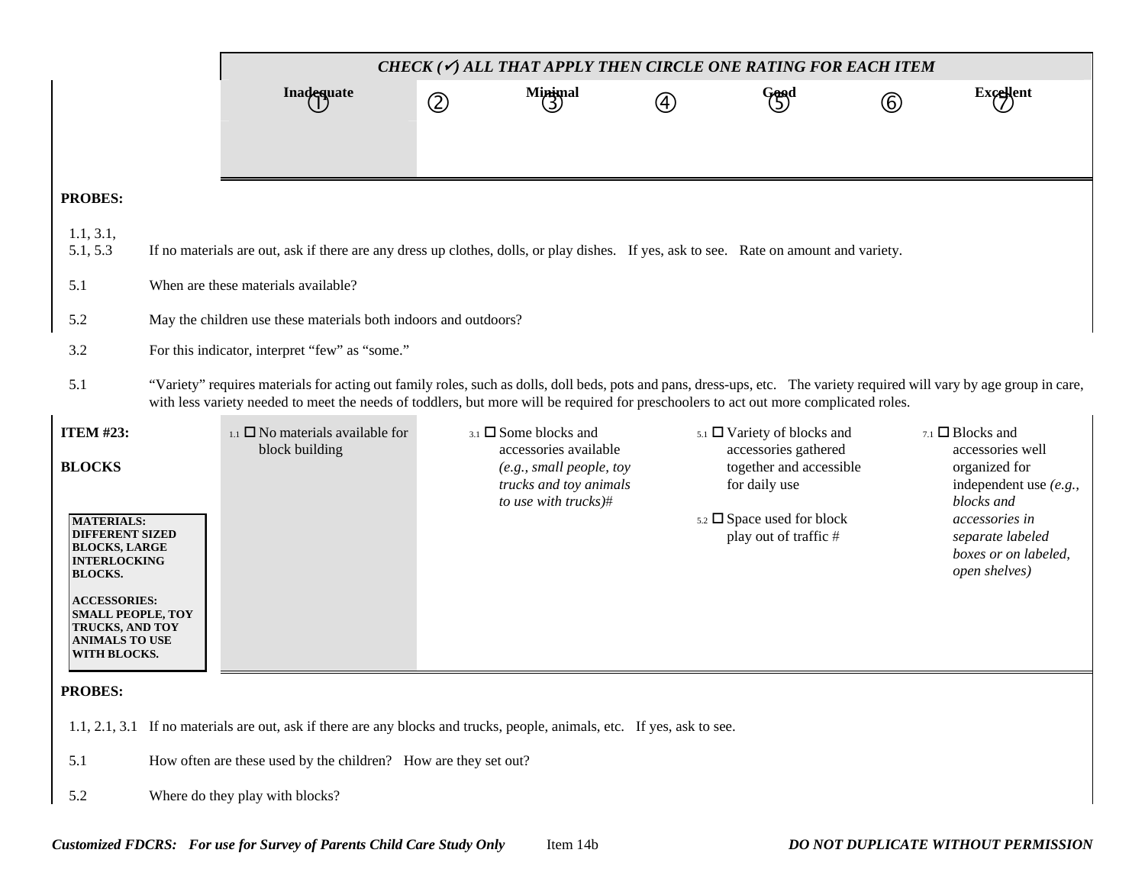|                                                                                                                                                                                                                                                                  | CHECK ( $\checkmark$ ) ALL THAT APPLY THEN CIRCLE ONE RATING FOR EACH ITEM                                                                                                                                                                                                                                       |                                                                                                                                        |                |                                                                                                                                            |             |                                                                                                                                                                       |             |                                                                                                                                                                                       |  |  |  |  |
|------------------------------------------------------------------------------------------------------------------------------------------------------------------------------------------------------------------------------------------------------------------|------------------------------------------------------------------------------------------------------------------------------------------------------------------------------------------------------------------------------------------------------------------------------------------------------------------|----------------------------------------------------------------------------------------------------------------------------------------|----------------|--------------------------------------------------------------------------------------------------------------------------------------------|-------------|-----------------------------------------------------------------------------------------------------------------------------------------------------------------------|-------------|---------------------------------------------------------------------------------------------------------------------------------------------------------------------------------------|--|--|--|--|
|                                                                                                                                                                                                                                                                  |                                                                                                                                                                                                                                                                                                                  | Inadequate                                                                                                                             | $^{\circledR}$ | Minimal<br>(3)                                                                                                                             | $\circledA$ | Good<br>(5)                                                                                                                                                           | $\circledB$ | <b>Excellent</b>                                                                                                                                                                      |  |  |  |  |
|                                                                                                                                                                                                                                                                  |                                                                                                                                                                                                                                                                                                                  |                                                                                                                                        |                |                                                                                                                                            |             |                                                                                                                                                                       |             |                                                                                                                                                                                       |  |  |  |  |
|                                                                                                                                                                                                                                                                  |                                                                                                                                                                                                                                                                                                                  |                                                                                                                                        |                |                                                                                                                                            |             |                                                                                                                                                                       |             |                                                                                                                                                                                       |  |  |  |  |
| <b>PROBES:</b>                                                                                                                                                                                                                                                   |                                                                                                                                                                                                                                                                                                                  |                                                                                                                                        |                |                                                                                                                                            |             |                                                                                                                                                                       |             |                                                                                                                                                                                       |  |  |  |  |
| 1.1, 3.1,<br>5.1, 5.3                                                                                                                                                                                                                                            |                                                                                                                                                                                                                                                                                                                  | If no materials are out, ask if there are any dress up clothes, dolls, or play dishes. If yes, ask to see. Rate on amount and variety. |                |                                                                                                                                            |             |                                                                                                                                                                       |             |                                                                                                                                                                                       |  |  |  |  |
| 5.1                                                                                                                                                                                                                                                              |                                                                                                                                                                                                                                                                                                                  | When are these materials available?                                                                                                    |                |                                                                                                                                            |             |                                                                                                                                                                       |             |                                                                                                                                                                                       |  |  |  |  |
| 5.2                                                                                                                                                                                                                                                              |                                                                                                                                                                                                                                                                                                                  | May the children use these materials both indoors and outdoors?                                                                        |                |                                                                                                                                            |             |                                                                                                                                                                       |             |                                                                                                                                                                                       |  |  |  |  |
| 3.2                                                                                                                                                                                                                                                              |                                                                                                                                                                                                                                                                                                                  | For this indicator, interpret "few" as "some."                                                                                         |                |                                                                                                                                            |             |                                                                                                                                                                       |             |                                                                                                                                                                                       |  |  |  |  |
| 5.1                                                                                                                                                                                                                                                              | "Variety" requires materials for acting out family roles, such as dolls, doll beds, pots and pans, dress-ups, etc. The variety required will vary by age group in care,<br>with less variety needed to meet the needs of toddlers, but more will be required for preschoolers to act out more complicated roles. |                                                                                                                                        |                |                                                                                                                                            |             |                                                                                                                                                                       |             |                                                                                                                                                                                       |  |  |  |  |
| <b>ITEM #23:</b><br><b>BLOCKS</b><br><b>MATERIALS:</b><br><b>DIFFERENT SIZED</b><br><b>BLOCKS, LARGE</b><br><b>INTERLOCKING</b><br><b>BLOCKS.</b><br><b>ACCESSORIES:</b><br><b>SMALL PEOPLE, TOY</b><br>TRUCKS, AND TOY<br><b>ANIMALS TO USE</b><br>WITH BLOCKS. |                                                                                                                                                                                                                                                                                                                  | $_{1.1}$ $\square$ No materials available for<br>block building                                                                        |                | $_{3.1}$ $\square$ Some blocks and<br>accessories available<br>(e.g., small people, toy)<br>trucks and toy animals<br>to use with trucks)# |             | $5.1$ $\Box$ Variety of blocks and<br>accessories gathered<br>together and accessible<br>for daily use<br>$5.2 \square$ Space used for block<br>play out of traffic # |             | $7.1$ $\Box$ Blocks and<br>accessories well<br>organized for<br>independent use $(e.g.,$<br>blocks and<br>accessories in<br>separate labeled<br>boxes or on labeled,<br>open shelves) |  |  |  |  |
| <b>PROBES:</b>                                                                                                                                                                                                                                                   |                                                                                                                                                                                                                                                                                                                  |                                                                                                                                        |                |                                                                                                                                            |             |                                                                                                                                                                       |             |                                                                                                                                                                                       |  |  |  |  |
|                                                                                                                                                                                                                                                                  |                                                                                                                                                                                                                                                                                                                  | 1.1, 2.1, 3.1 If no materials are out, ask if there are any blocks and trucks, people, animals, etc. If yes, ask to see.               |                |                                                                                                                                            |             |                                                                                                                                                                       |             |                                                                                                                                                                                       |  |  |  |  |
| 5.1                                                                                                                                                                                                                                                              |                                                                                                                                                                                                                                                                                                                  | How often are these used by the children? How are they set out?                                                                        |                |                                                                                                                                            |             |                                                                                                                                                                       |             |                                                                                                                                                                                       |  |  |  |  |
| 5.2                                                                                                                                                                                                                                                              |                                                                                                                                                                                                                                                                                                                  | Where do they play with blocks?                                                                                                        |                |                                                                                                                                            |             |                                                                                                                                                                       |             |                                                                                                                                                                                       |  |  |  |  |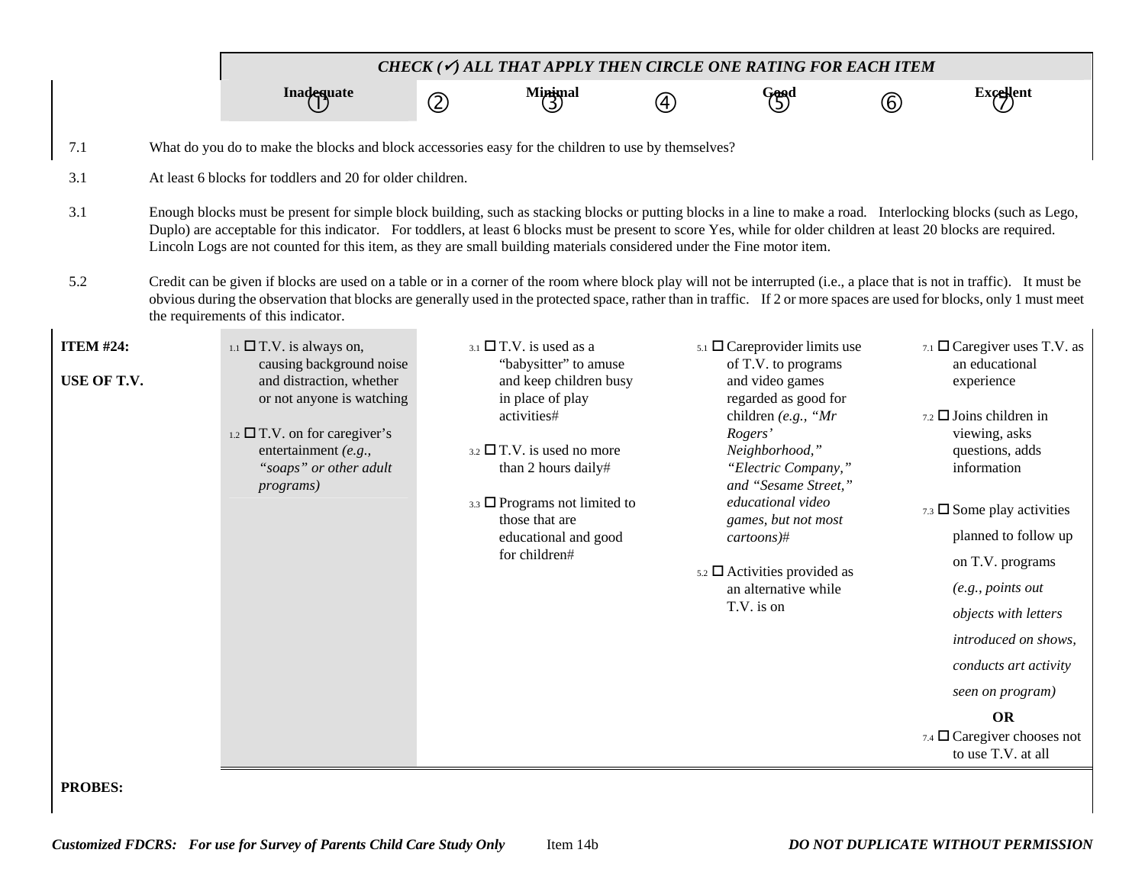|                  | CHECK ( $\checkmark$ ) ALL THAT APPLY THEN CIRCLE ONE RATING FOR EACH ITEM                                                                                                                                                                                                                                                                                                                                                                                     |                 |                                                                                                                                                                                                                                                 |   |                                                                                                                                                                                                                                                                                                          |             |                                                                                                                                                                                                                                                                                                                                                                                        |  |  |  |
|------------------|----------------------------------------------------------------------------------------------------------------------------------------------------------------------------------------------------------------------------------------------------------------------------------------------------------------------------------------------------------------------------------------------------------------------------------------------------------------|-----------------|-------------------------------------------------------------------------------------------------------------------------------------------------------------------------------------------------------------------------------------------------|---|----------------------------------------------------------------------------------------------------------------------------------------------------------------------------------------------------------------------------------------------------------------------------------------------------------|-------------|----------------------------------------------------------------------------------------------------------------------------------------------------------------------------------------------------------------------------------------------------------------------------------------------------------------------------------------------------------------------------------------|--|--|--|
|                  | Inadequate                                                                                                                                                                                                                                                                                                                                                                                                                                                     | $^{\copyright}$ | Minimal                                                                                                                                                                                                                                         | 4 | Good<br>(5)                                                                                                                                                                                                                                                                                              | $\circledB$ | <b>Excellent</b>                                                                                                                                                                                                                                                                                                                                                                       |  |  |  |
| 7.1              | What do you do to make the blocks and block accessories easy for the children to use by themselves?                                                                                                                                                                                                                                                                                                                                                            |                 |                                                                                                                                                                                                                                                 |   |                                                                                                                                                                                                                                                                                                          |             |                                                                                                                                                                                                                                                                                                                                                                                        |  |  |  |
| 3.1              | At least 6 blocks for toddlers and 20 for older children.                                                                                                                                                                                                                                                                                                                                                                                                      |                 |                                                                                                                                                                                                                                                 |   |                                                                                                                                                                                                                                                                                                          |             |                                                                                                                                                                                                                                                                                                                                                                                        |  |  |  |
| 3.1              | Enough blocks must be present for simple block building, such as stacking blocks or putting blocks in a line to make a road. Interlocking blocks (such as Lego,<br>Duplo) are acceptable for this indicator. For toddlers, at least 6 blocks must be present to score Yes, while for older children at least 20 blocks are required.<br>Lincoln Logs are not counted for this item, as they are small building materials considered under the Fine motor item. |                 |                                                                                                                                                                                                                                                 |   |                                                                                                                                                                                                                                                                                                          |             |                                                                                                                                                                                                                                                                                                                                                                                        |  |  |  |
| 5.2              | Credit can be given if blocks are used on a table or in a corner of the room where block play will not be interrupted (i.e., a place that is not in traffic). It must be<br>obvious during the observation that blocks are generally used in the protected space, rather than in traffic. If 2 or more spaces are used for blocks, only 1 must meet<br>the requirements of this indicator.                                                                     |                 |                                                                                                                                                                                                                                                 |   |                                                                                                                                                                                                                                                                                                          |             |                                                                                                                                                                                                                                                                                                                                                                                        |  |  |  |
| <b>ITEM #24:</b> | $1.1$ $\Box$ T.V. is always on,                                                                                                                                                                                                                                                                                                                                                                                                                                |                 | $3.1$ $\Box$ T.V. is used as a                                                                                                                                                                                                                  |   | $5.1$ $\Box$ Careprovider limits use                                                                                                                                                                                                                                                                     |             | 7.1 $\Box$ Caregiver uses T.V. as                                                                                                                                                                                                                                                                                                                                                      |  |  |  |
| USE OF T.V.      | causing background noise<br>and distraction, whether<br>or not anyone is watching<br>$_{1.2}$ $\square$ T.V. on for caregiver's<br>entertainment (e.g.,<br>"soaps" or other adult<br><i>programs</i> )                                                                                                                                                                                                                                                         |                 | "babysitter" to amuse<br>and keep children busy<br>in place of play<br>activities#<br>$3.2$ $\Box$ T.V. is used no more<br>than 2 hours daily#<br>3.3 $\Box$ Programs not limited to<br>those that are<br>educational and good<br>for children# |   | of T.V. to programs<br>and video games<br>regarded as good for<br>children (e.g., "Mr<br>Rogers'<br>Neighborhood,"<br>"Electric Company,"<br>and "Sesame Street,"<br>educational video<br>games, but not most<br>cartoons)#<br>$5.2$ $\Box$ Activities provided as<br>an alternative while<br>T.V. is on |             | an educational<br>experience<br>$7.2$ $\square$ Joins children in<br>viewing, asks<br>questions, adds<br>information<br>7.3 $\Box$ Some play activities<br>planned to follow up<br>on T.V. programs<br>(e.g., points out)<br>objects with letters<br>introduced on shows,<br>conducts art activity<br>seen on program)<br><b>OR</b><br>7.4 Caregiver chooses not<br>to use T.V. at all |  |  |  |
| <b>PROBES:</b>   |                                                                                                                                                                                                                                                                                                                                                                                                                                                                |                 |                                                                                                                                                                                                                                                 |   |                                                                                                                                                                                                                                                                                                          |             |                                                                                                                                                                                                                                                                                                                                                                                        |  |  |  |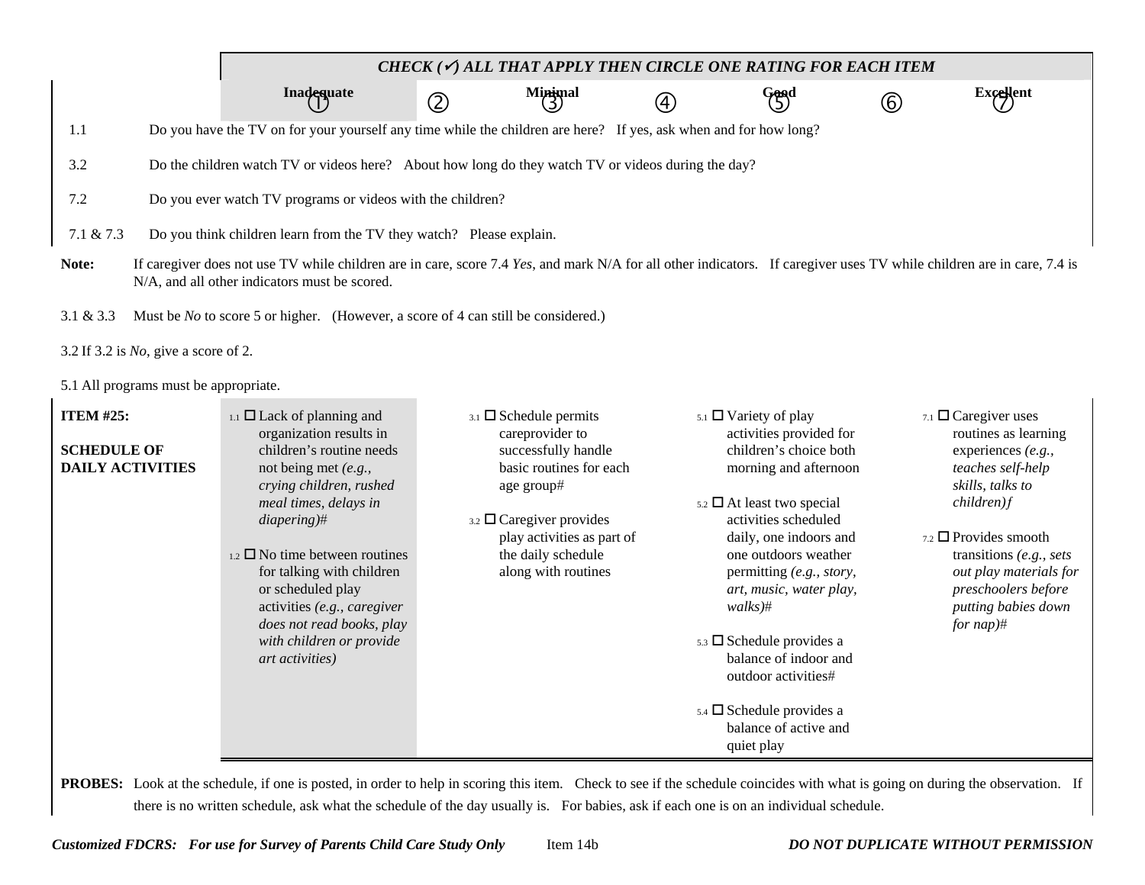|                                                                                               |                                                                                                                                                                                                                                                                                                                                                                                                                    |               | CHECK ( $\checkmark$ ) ALL THAT APPLY THEN CIRCLE ONE RATING FOR EACH ITEM                                                                                                                                                              |    |                                                                                                                                                                                                                                                                                                                                                                                                                                                                                 |     |                                                                                                                                                                                                                                                                                                   |
|-----------------------------------------------------------------------------------------------|--------------------------------------------------------------------------------------------------------------------------------------------------------------------------------------------------------------------------------------------------------------------------------------------------------------------------------------------------------------------------------------------------------------------|---------------|-----------------------------------------------------------------------------------------------------------------------------------------------------------------------------------------------------------------------------------------|----|---------------------------------------------------------------------------------------------------------------------------------------------------------------------------------------------------------------------------------------------------------------------------------------------------------------------------------------------------------------------------------------------------------------------------------------------------------------------------------|-----|---------------------------------------------------------------------------------------------------------------------------------------------------------------------------------------------------------------------------------------------------------------------------------------------------|
|                                                                                               | Inadequate                                                                                                                                                                                                                                                                                                                                                                                                         | $\circled{2}$ | Minimal                                                                                                                                                                                                                                 | A) | Good                                                                                                                                                                                                                                                                                                                                                                                                                                                                            | (6) | <b>Excellent</b>                                                                                                                                                                                                                                                                                  |
| 1.1                                                                                           | Do you have the TV on for your yourself any time while the children are here? If yes, ask when and for how long?                                                                                                                                                                                                                                                                                                   |               |                                                                                                                                                                                                                                         |    |                                                                                                                                                                                                                                                                                                                                                                                                                                                                                 |     |                                                                                                                                                                                                                                                                                                   |
| 3.2                                                                                           | Do the children watch TV or videos here? About how long do they watch TV or videos during the day?                                                                                                                                                                                                                                                                                                                 |               |                                                                                                                                                                                                                                         |    |                                                                                                                                                                                                                                                                                                                                                                                                                                                                                 |     |                                                                                                                                                                                                                                                                                                   |
| 7.2                                                                                           | Do you ever watch TV programs or videos with the children?                                                                                                                                                                                                                                                                                                                                                         |               |                                                                                                                                                                                                                                         |    |                                                                                                                                                                                                                                                                                                                                                                                                                                                                                 |     |                                                                                                                                                                                                                                                                                                   |
| $7.1 \& 7.3$                                                                                  | Do you think children learn from the TV they watch? Please explain.                                                                                                                                                                                                                                                                                                                                                |               |                                                                                                                                                                                                                                         |    |                                                                                                                                                                                                                                                                                                                                                                                                                                                                                 |     |                                                                                                                                                                                                                                                                                                   |
| Note:                                                                                         | If caregiver does not use TV while children are in care, score 7.4 Yes, and mark N/A for all other indicators. If caregiver uses TV while children are in care, 7.4 is<br>N/A, and all other indicators must be scored.                                                                                                                                                                                            |               |                                                                                                                                                                                                                                         |    |                                                                                                                                                                                                                                                                                                                                                                                                                                                                                 |     |                                                                                                                                                                                                                                                                                                   |
| 3.1 & 3.3<br>3.2 If 3.2 is $No$ , give a score of 2.<br>5.1 All programs must be appropriate. | Must be <i>No</i> to score 5 or higher. (However, a score of 4 can still be considered.)                                                                                                                                                                                                                                                                                                                           |               |                                                                                                                                                                                                                                         |    |                                                                                                                                                                                                                                                                                                                                                                                                                                                                                 |     |                                                                                                                                                                                                                                                                                                   |
| <b>ITEM #25:</b><br><b>SCHEDULE OF</b><br><b>DAILY ACTIVITIES</b>                             | $_{1.1}$ $\square$ Lack of planning and<br>organization results in<br>children's routine needs<br>not being met (e.g.,<br>crying children, rushed<br>meal times, delays in<br>$diapering$ <sup>#</sup><br>$_{1.2}$ $\square$ No time between routines<br>for talking with children<br>or scheduled play<br>activities (e.g., caregiver<br>does not read books, play<br>with children or provide<br>art activities) |               | $3.1$ $\square$ Schedule permits<br>careprovider to<br>successfully handle<br>basic routines for each<br>age group#<br>$_{3.2}$ $\square$ Caregiver provides<br>play activities as part of<br>the daily schedule<br>along with routines |    | $5.1$ $\square$ Variety of play<br>activities provided for<br>children's choice both<br>morning and afternoon<br>$5.2 \square$ At least two special<br>activities scheduled<br>daily, one indoors and<br>one outdoors weather<br>permitting (e.g., story,<br>art, music, water play,<br>$walks$ <sup>#</sup><br>$5.3 \square$ Schedule provides a<br>balance of indoor and<br>outdoor activities#<br>$5.4$ $\square$ Schedule provides a<br>balance of active and<br>quiet play |     | 7.1 $\Box$ Caregiver uses<br>routines as learning<br>experiences (e.g.,<br>teaches self-help<br>skills, talks to<br>$children)$ f<br>$7.2$ $\Box$ Provides smooth<br>transitions $(e.g., sets)$<br>out play materials for<br>preschoolers before<br>putting babies down<br>for $nap$ <sup>#</sup> |

PROBES: Look at the schedule, if one is posted, in order to help in scoring this item. Check to see if the schedule coincides with what is going on during the observation. If there is no written schedule, ask what the schedule of the day usually is. For babies, ask if each one is on an individual schedule.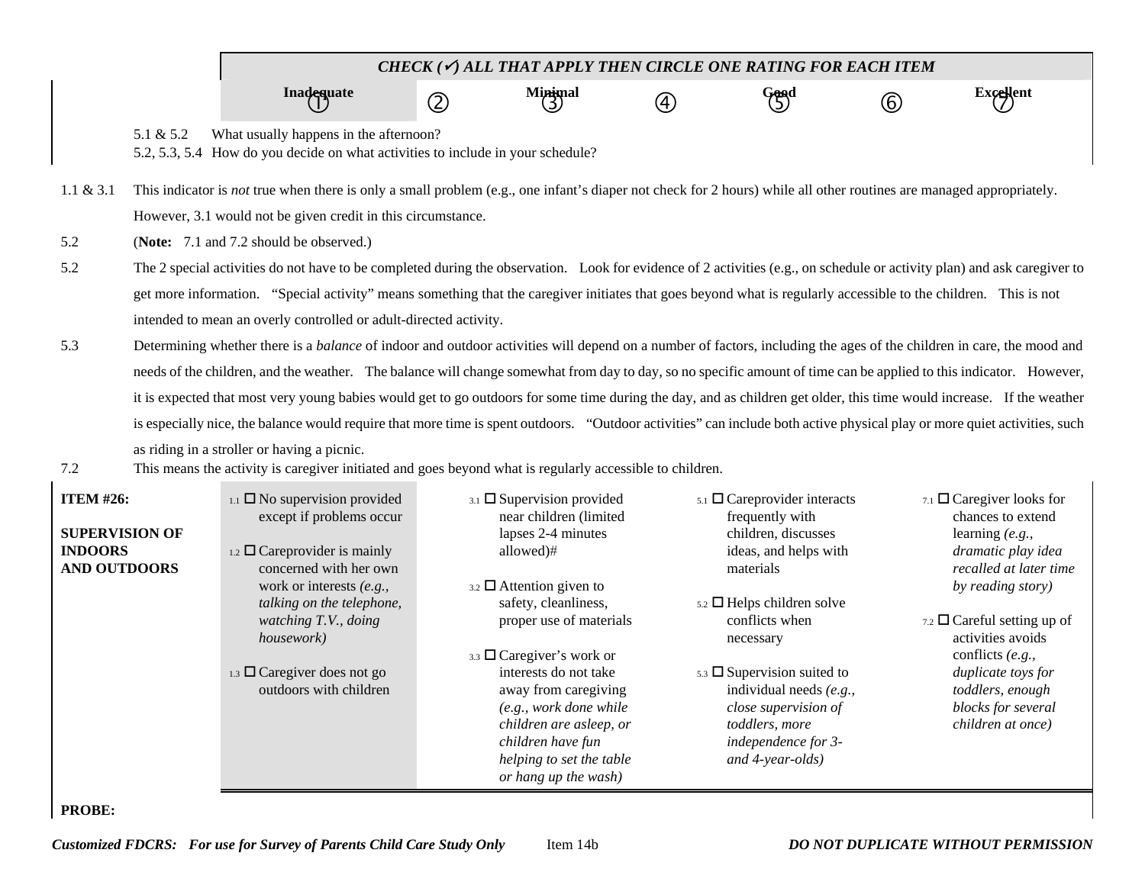|                                                                                                            |                                                                                                                                                                                                                                                                                                                                                                                                                                                                                                                                                                                                                                                                                                                                                                                                                      | CHECK ( $\checkmark$ ) ALL THAT APPLY THEN CIRCLE ONE RATING FOR EACH ITEM                                                                                                                                                                                                                                                                                                                                     |             |                                                                                                                                                                                                                                                                                                                                                                                                        |    |                                                                                                                                                                                                                                                                                                                                                         |     |                                                                                                                                                                                                                                                                                                                 |  |  |  |  |
|------------------------------------------------------------------------------------------------------------|----------------------------------------------------------------------------------------------------------------------------------------------------------------------------------------------------------------------------------------------------------------------------------------------------------------------------------------------------------------------------------------------------------------------------------------------------------------------------------------------------------------------------------------------------------------------------------------------------------------------------------------------------------------------------------------------------------------------------------------------------------------------------------------------------------------------|----------------------------------------------------------------------------------------------------------------------------------------------------------------------------------------------------------------------------------------------------------------------------------------------------------------------------------------------------------------------------------------------------------------|-------------|--------------------------------------------------------------------------------------------------------------------------------------------------------------------------------------------------------------------------------------------------------------------------------------------------------------------------------------------------------------------------------------------------------|----|---------------------------------------------------------------------------------------------------------------------------------------------------------------------------------------------------------------------------------------------------------------------------------------------------------------------------------------------------------|-----|-----------------------------------------------------------------------------------------------------------------------------------------------------------------------------------------------------------------------------------------------------------------------------------------------------------------|--|--|--|--|
|                                                                                                            |                                                                                                                                                                                                                                                                                                                                                                                                                                                                                                                                                                                                                                                                                                                                                                                                                      | <b>Inadequate</b>                                                                                                                                                                                                                                                                                                                                                                                              | $\circledZ$ | Minimal                                                                                                                                                                                                                                                                                                                                                                                                | A) | Good<br>(5)                                                                                                                                                                                                                                                                                                                                             | (6) | $\text{Excellent}$                                                                                                                                                                                                                                                                                              |  |  |  |  |
|                                                                                                            | 5.1 & 5.2                                                                                                                                                                                                                                                                                                                                                                                                                                                                                                                                                                                                                                                                                                                                                                                                            | What usually happens in the afternoon?<br>5.2, 5.3, 5.4 How do you decide on what activities to include in your schedule?                                                                                                                                                                                                                                                                                      |             |                                                                                                                                                                                                                                                                                                                                                                                                        |    |                                                                                                                                                                                                                                                                                                                                                         |     |                                                                                                                                                                                                                                                                                                                 |  |  |  |  |
| $1.1 \& 3.1$                                                                                               |                                                                                                                                                                                                                                                                                                                                                                                                                                                                                                                                                                                                                                                                                                                                                                                                                      | This indicator is not true when there is only a small problem (e.g., one infant's diaper not check for 2 hours) while all other routines are managed appropriately.<br>However, 3.1 would not be given credit in this circumstance.                                                                                                                                                                            |             |                                                                                                                                                                                                                                                                                                                                                                                                        |    |                                                                                                                                                                                                                                                                                                                                                         |     |                                                                                                                                                                                                                                                                                                                 |  |  |  |  |
| 5.2<br>5.2                                                                                                 | (Note: 7.1 and 7.2 should be observed.)<br>The 2 special activities do not have to be completed during the observation. Look for evidence of 2 activities (e.g., on schedule or activity plan) and ask caregiver to<br>get more information. "Special activity" means something that the caregiver initiates that goes beyond what is regularly accessible to the children. This is not                                                                                                                                                                                                                                                                                                                                                                                                                              |                                                                                                                                                                                                                                                                                                                                                                                                                |             |                                                                                                                                                                                                                                                                                                                                                                                                        |    |                                                                                                                                                                                                                                                                                                                                                         |     |                                                                                                                                                                                                                                                                                                                 |  |  |  |  |
| 5.3                                                                                                        | intended to mean an overly controlled or adult-directed activity.<br>Determining whether there is a balance of indoor and outdoor activities will depend on a number of factors, including the ages of the children in care, the mood and<br>needs of the children, and the weather. The balance will change somewhat from day to day, so no specific amount of time can be applied to this indicator. However,<br>it is expected that most very young babies would get to go outdoors for some time during the day, and as children get older, this time would increase. If the weather<br>is especially nice, the balance would require that more time is spent outdoors. "Outdoor activities" can include both active physical play or more quiet activities, such<br>as riding in a stroller or having a picnic. |                                                                                                                                                                                                                                                                                                                                                                                                                |             |                                                                                                                                                                                                                                                                                                                                                                                                        |    |                                                                                                                                                                                                                                                                                                                                                         |     |                                                                                                                                                                                                                                                                                                                 |  |  |  |  |
| 7.2<br><b>ITEM #26:</b><br><b>SUPERVISION OF</b><br><b>INDOORS</b><br><b>AND OUTDOORS</b><br><b>PROBE:</b> |                                                                                                                                                                                                                                                                                                                                                                                                                                                                                                                                                                                                                                                                                                                                                                                                                      | This means the activity is caregiver initiated and goes beyond what is regularly accessible to children.<br>$_{1.1}$ $\square$ No supervision provided<br>except if problems occur<br>1.2 $\Box$ Careprovider is mainly<br>concerned with her own<br>work or interests (e.g.,<br>talking on the telephone,<br>watching T.V., doing<br>housework)<br>1.3 $\Box$ Caregiver does not go<br>outdoors with children |             | $_{3.1}$ $\square$ Supervision provided<br>near children (limited<br>lapses 2-4 minutes<br>allowed)#<br>$3.2$ $\Box$ Attention given to<br>safety, cleanliness,<br>proper use of materials<br>3.3 □ Caregiver's work or<br>interests do not take<br>away from caregiving<br>(e.g., work done while<br>children are asleep, or<br>children have fun<br>helping to set the table<br>or hang up the wash) |    | $_{5.1}$ $\square$ Careprovider interacts<br>frequently with<br>children, discusses<br>ideas, and helps with<br>materials<br>$5.2 \square$ Helps children solve<br>conflicts when<br>necessary<br>$5.3 \square$ Supervision suited to<br>individual needs $(e.g.,$<br>close supervision of<br>toddlers, more<br>independence for 3-<br>and 4-year-olds) |     | 7.1 $\Box$ Caregiver looks for<br>chances to extend<br>learning $(e.g.,$<br>dramatic play idea<br>recalled at later time<br>by reading story)<br>7.2 $\Box$ Careful setting up of<br>activities avoids<br>conflicts (e.g.,<br>duplicate toys for<br>toddlers, enough<br>blocks for several<br>children at once) |  |  |  |  |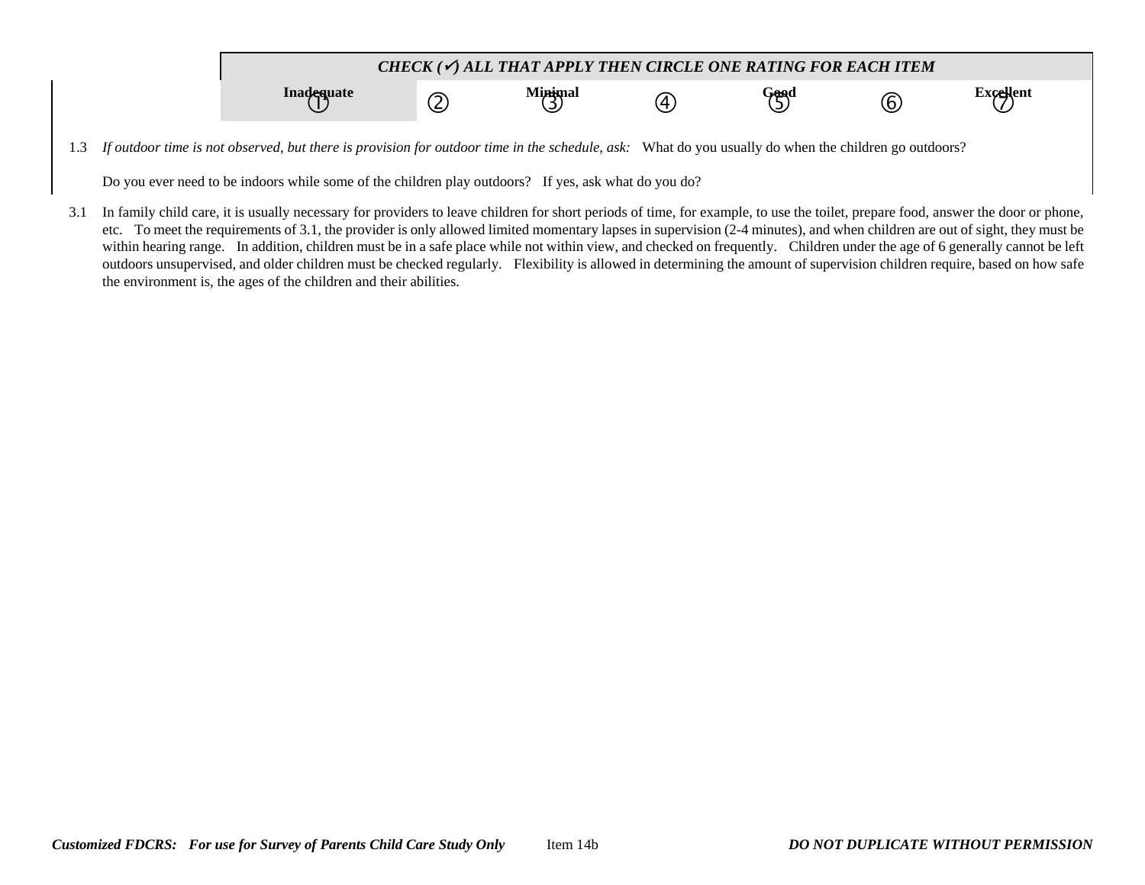

1.3 *If outdoor time is not observed, but there is provision for outdoor time in the schedule, ask:* What do you usually do when the children go outdoors?

Do you ever need to be indoors while some of the children play outdoors? If yes, ask what do you do?

3.1 In family child care, it is usually necessary for providers to leave children for short periods of time, for example, to use the toilet, prepare food, answer the door or phone, etc. To meet the requirements of 3.1, the provider is only allowed limited momentary lapses in supervision (2-4 minutes), and when children are out of sight, they must be within hearing range. In addition, children must be in a safe place while not within view, and checked on frequently. Children under the age of 6 generally cannot be left outdoors unsupervised, and older children must be checked regularly. Flexibility is allowed in determining the amount of supervision children require, based on how safe the environment is, the ages of the children and their abilities.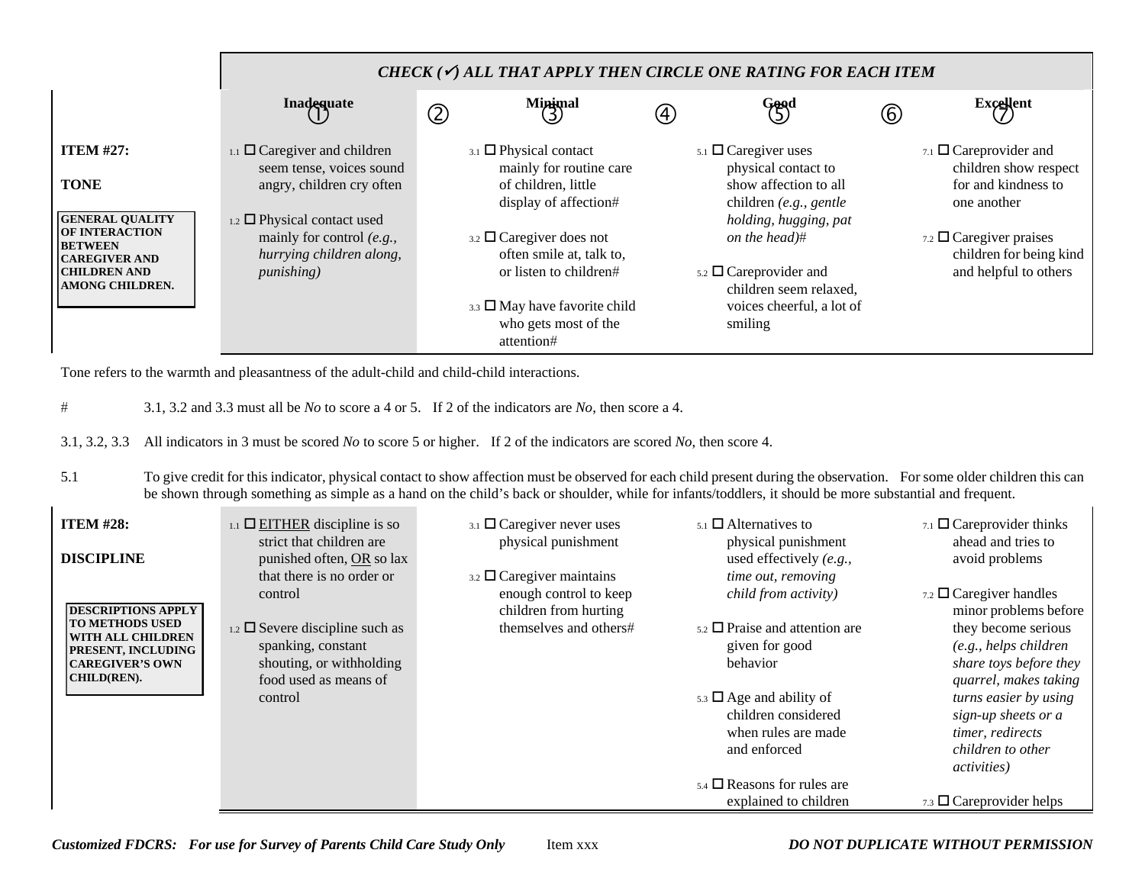|                                                                  |                                                                       | CHECK $(\checkmark)$ all that apply then circle one rating for each item |                                                                                  |     |                                                                                         |                   |                                                         |  |  |  |  |
|------------------------------------------------------------------|-----------------------------------------------------------------------|--------------------------------------------------------------------------|----------------------------------------------------------------------------------|-----|-----------------------------------------------------------------------------------------|-------------------|---------------------------------------------------------|--|--|--|--|
|                                                                  | Inadequate                                                            | $\circledZ$                                                              | $M$ inimal<br>$\binom{3}{2}$                                                     | (4) | Good<br>(5)                                                                             | $\left( 6\right)$ | <b>Excellent</b>                                        |  |  |  |  |
| <b>ITEM #27:</b>                                                 | $_{1.1}$ $\square$ Caregiver and children<br>seem tense, voices sound |                                                                          | $_{3.1}$ $\Box$ Physical contact<br>mainly for routine care                      |     | $5.1$ $\Box$ Caregiver uses<br>physical contact to                                      |                   | 7.1 $\Box$ Careprovider and<br>children show respect    |  |  |  |  |
| <b>TONE</b><br><b>GENERAL QUALITY</b>                            | angry, children cry often<br>$_{1.2}$ $\Box$ Physical contact used    |                                                                          | of children, little<br>display of affection#                                     |     | show affection to all<br>children $(e.g., gente)$<br>holding, hugging, pat              |                   | for and kindness to<br>one another                      |  |  |  |  |
| <b>OF INTERACTION</b><br><b>BETWEEN</b><br><b>ICAREGIVER AND</b> | mainly for control $(e.g.,$<br>hurrying children along,               |                                                                          | $_{3.2}$ $\square$ Caregiver does not<br>often smile at, talk to,                |     | on the head)#                                                                           |                   | 7.2 $\Box$ Caregiver praises<br>children for being kind |  |  |  |  |
| <b>CHILDREN AND</b><br><b>AMONG CHILDREN.</b>                    | <i>punishing</i> )                                                    |                                                                          | or listen to children#                                                           |     | $5.2$ $\square$ Careprovider and<br>children seem relaxed,<br>voices cheerful, a lot of |                   | and helpful to others                                   |  |  |  |  |
|                                                                  |                                                                       |                                                                          | $_{3.3}$ $\square$ May have favorite child<br>who gets most of the<br>attention# |     | smiling                                                                                 |                   |                                                         |  |  |  |  |

Tone refers to the warmth and pleasantness of the adult-child and child-child interactions.

- # 3.1, 3.2 and 3.3 must all be *No* to score a 4 or 5. If 2 of the indicators are *No*, then score a 4.
- 3.1, 3.2, 3.3 All indicators in 3 must be scored *No* to score 5 or higher. If 2 of the indicators are scored *No*, then score 4.

5.1 To give credit for this indicator, physical contact to show affection must be observed for each child present during the observation. For some older children this can be shown through something as simple as a hand on the child's back or shoulder, while for infants/toddlers, it should be more substantial and frequent.

| <b>ITEM #28:</b><br><b>DISCIPLINE</b>                                                                                    | $_{1.1}$ $\Box$ EITHER discipline is so<br>strict that children are<br>punished often, OR so lax                | $_{3.1}$ $\square$ Caregiver never uses<br>physical punishment                            | $_{5.1}$ $\square$ Alternatives to<br>physical punishment<br>used effectively $(e.g.,$         | 7.1 $\Box$ Careprovider thinks<br>ahead and tries to<br>avoid problems                                       |
|--------------------------------------------------------------------------------------------------------------------------|-----------------------------------------------------------------------------------------------------------------|-------------------------------------------------------------------------------------------|------------------------------------------------------------------------------------------------|--------------------------------------------------------------------------------------------------------------|
| <b>DESCRIPTIONS APPLY</b>                                                                                                | that there is no order or<br>control                                                                            | $_{3.2}$ $\square$ Caregiver maintains<br>enough control to keep<br>children from hurting | time out, removing<br>child from activity)                                                     | $_{7.2}$ $\square$ Caregiver handles<br>minor problems before                                                |
| <b>TO METHODS USED</b><br><b>WITH ALL CHILDREN</b><br><b>PRESENT, INCLUDING</b><br><b>CAREGIVER'S OWN</b><br>CHILD(REN). | 1.2 $\Box$ Severe discipline such as<br>spanking, constant<br>shouting, or withholding<br>food used as means of | themselves and others#                                                                    | $_{5.2}$ $\square$ Praise and attention are<br>given for good<br>behavior                      | they become serious<br>(e.g., helps children<br>share toys before they<br>quarrel, makes taking              |
|                                                                                                                          | control                                                                                                         |                                                                                           | $5.3 \square$ Age and ability of<br>children considered<br>when rules are made<br>and enforced | turns easier by using<br>sign-up sheets or a<br>timer, redirects<br>children to other<br><i>activities</i> ) |
|                                                                                                                          |                                                                                                                 |                                                                                           | $_{5.4}$ $\square$ Reasons for rules are<br>explained to children                              | $_{7.3}$ $\square$ Careprovider helps                                                                        |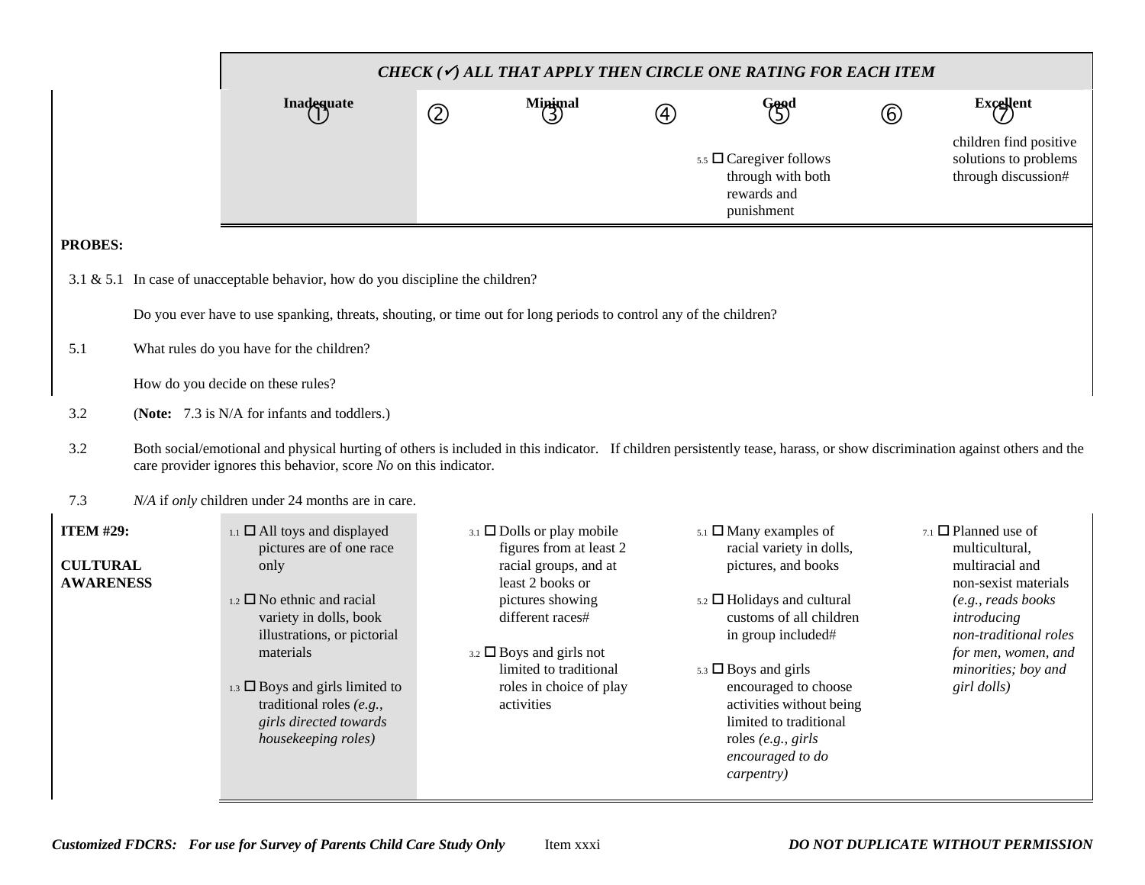|                                                         |                                   |                                                                                                                                                                                                                                                                                                                       |             |                                                                                                                                                                                                                                                          |             | CHECK (V) ALL THAT APPLY THEN CIRCLE ONE RATING FOR EACH ITEM                                                                                                                                                                                                                                                                             |                |                                                                                                                                                                                                                     |
|---------------------------------------------------------|-----------------------------------|-----------------------------------------------------------------------------------------------------------------------------------------------------------------------------------------------------------------------------------------------------------------------------------------------------------------------|-------------|----------------------------------------------------------------------------------------------------------------------------------------------------------------------------------------------------------------------------------------------------------|-------------|-------------------------------------------------------------------------------------------------------------------------------------------------------------------------------------------------------------------------------------------------------------------------------------------------------------------------------------------|----------------|---------------------------------------------------------------------------------------------------------------------------------------------------------------------------------------------------------------------|
|                                                         |                                   | Inadequate                                                                                                                                                                                                                                                                                                            | $\circledZ$ | Minimal<br>3                                                                                                                                                                                                                                             | $\circledA$ | Good                                                                                                                                                                                                                                                                                                                                      | $^{\circledR}$ | $\text{Excellent}$                                                                                                                                                                                                  |
|                                                         |                                   |                                                                                                                                                                                                                                                                                                                       |             |                                                                                                                                                                                                                                                          |             | 5.5 $\Box$ Caregiver follows<br>through with both<br>rewards and<br>punishment                                                                                                                                                                                                                                                            |                | children find positive<br>solutions to problems<br>through discussion#                                                                                                                                              |
| <b>PROBES:</b>                                          |                                   |                                                                                                                                                                                                                                                                                                                       |             |                                                                                                                                                                                                                                                          |             |                                                                                                                                                                                                                                                                                                                                           |                |                                                                                                                                                                                                                     |
|                                                         |                                   | 3.1 & 5.1 In case of unacceptable behavior, how do you discipline the children?                                                                                                                                                                                                                                       |             |                                                                                                                                                                                                                                                          |             |                                                                                                                                                                                                                                                                                                                                           |                |                                                                                                                                                                                                                     |
|                                                         |                                   | Do you ever have to use spanking, threats, shouting, or time out for long periods to control any of the children?                                                                                                                                                                                                     |             |                                                                                                                                                                                                                                                          |             |                                                                                                                                                                                                                                                                                                                                           |                |                                                                                                                                                                                                                     |
| 5.1                                                     |                                   | What rules do you have for the children?                                                                                                                                                                                                                                                                              |             |                                                                                                                                                                                                                                                          |             |                                                                                                                                                                                                                                                                                                                                           |                |                                                                                                                                                                                                                     |
|                                                         | How do you decide on these rules? |                                                                                                                                                                                                                                                                                                                       |             |                                                                                                                                                                                                                                                          |             |                                                                                                                                                                                                                                                                                                                                           |                |                                                                                                                                                                                                                     |
| 3.2                                                     |                                   | (Note: 7.3 is N/A for infants and toddlers.)                                                                                                                                                                                                                                                                          |             |                                                                                                                                                                                                                                                          |             |                                                                                                                                                                                                                                                                                                                                           |                |                                                                                                                                                                                                                     |
| 3.2                                                     |                                   | Both social/emotional and physical hurting of others is included in this indicator. If children persistently tease, harass, or show discrimination against others and the<br>care provider ignores this behavior, score No on this indicator.                                                                         |             |                                                                                                                                                                                                                                                          |             |                                                                                                                                                                                                                                                                                                                                           |                |                                                                                                                                                                                                                     |
| 7.3                                                     |                                   | N/A if only children under 24 months are in care.                                                                                                                                                                                                                                                                     |             |                                                                                                                                                                                                                                                          |             |                                                                                                                                                                                                                                                                                                                                           |                |                                                                                                                                                                                                                     |
| <b>ITEM #29:</b><br><b>CULTURAL</b><br><b>AWARENESS</b> |                                   | $1.1$ $\Box$ All toys and displayed<br>pictures are of one race<br>only<br>$_{1.2}$ $\square$ No ethnic and racial<br>variety in dolls, book<br>illustrations, or pictorial<br>materials<br>$_{1.3}$ $\square$ Boys and girls limited to<br>traditional roles (e.g.,<br>girls directed towards<br>housekeeping roles) |             | $3.1$ $\Box$ Dolls or play mobile<br>figures from at least 2<br>racial groups, and at<br>least 2 books or<br>pictures showing<br>different races#<br>$3.2 \square$ Boys and girls not<br>limited to traditional<br>roles in choice of play<br>activities |             | $5.1$ $\Box$ Many examples of<br>racial variety in dolls,<br>pictures, and books<br>5.2 □ Holidays and cultural<br>customs of all children<br>in group included#<br>$5.3 \square$ Boys and girls<br>encouraged to choose<br>activities without being<br>limited to traditional<br>roles $(e.g., girls)$<br>encouraged to do<br>carpentry) |                | $7.1$ $\Box$ Planned use of<br>multicultural,<br>multiracial and<br>non-sexist materials<br>(e.g., reads books<br>introducing<br>non-traditional roles<br>for men, women, and<br>minorities; boy and<br>girl dolls) |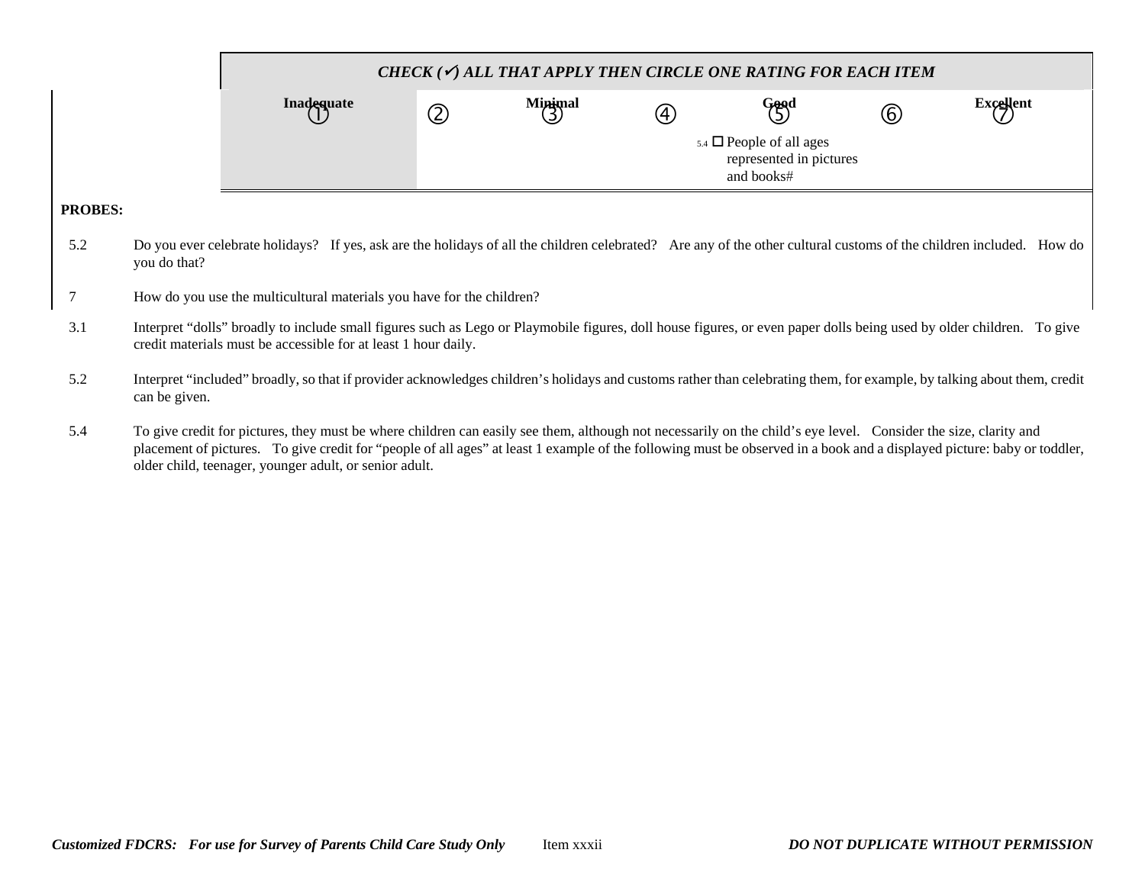|                |               |                                                                                                                                                                                                                                                                                                                                            | CHECK ( $\checkmark$ ) ALL THAT APPLY THEN CIRCLE ONE RATING FOR EACH ITEM |              |                                                       |                                                                             |                   |                  |  |  |  |  |
|----------------|---------------|--------------------------------------------------------------------------------------------------------------------------------------------------------------------------------------------------------------------------------------------------------------------------------------------------------------------------------------------|----------------------------------------------------------------------------|--------------|-------------------------------------------------------|-----------------------------------------------------------------------------|-------------------|------------------|--|--|--|--|
|                |               | Inadequate                                                                                                                                                                                                                                                                                                                                 | $\circledZ$                                                                | Minimal<br>3 | $\begin{array}{c} \textcircled{\small 4} \end{array}$ | Good<br>(5)                                                                 | $\left( 6\right)$ | <b>Excellent</b> |  |  |  |  |
|                |               |                                                                                                                                                                                                                                                                                                                                            |                                                                            |              |                                                       | $_{5.4}$ $\Box$ People of all ages<br>represented in pictures<br>and books# |                   |                  |  |  |  |  |
| <b>PROBES:</b> |               |                                                                                                                                                                                                                                                                                                                                            |                                                                            |              |                                                       |                                                                             |                   |                  |  |  |  |  |
| 5.2            | you do that?  | Do you ever celebrate holidays? If yes, ask are the holidays of all the children celebrated? Are any of the other cultural customs of the children included. How do                                                                                                                                                                        |                                                                            |              |                                                       |                                                                             |                   |                  |  |  |  |  |
| 7              |               | How do you use the multicultural materials you have for the children?                                                                                                                                                                                                                                                                      |                                                                            |              |                                                       |                                                                             |                   |                  |  |  |  |  |
| 3.1            |               | Interpret "dolls" broadly to include small figures such as Lego or Playmobile figures, doll house figures, or even paper dolls being used by older children. To give<br>credit materials must be accessible for at least 1 hour daily.                                                                                                     |                                                                            |              |                                                       |                                                                             |                   |                  |  |  |  |  |
| 5.2            | can be given. | Interpret "included" broadly, so that if provider acknowledges children's holidays and customs rather than celebrating them, for example, by talking about them, credit                                                                                                                                                                    |                                                                            |              |                                                       |                                                                             |                   |                  |  |  |  |  |
| 5.4            |               | To give credit for pictures, they must be where children can easily see them, although not necessarily on the child's eye level. Consider the size, clarity and<br>placement of pictures. To give credit for "people of all ages" at least 1 example of the following must be observed in a book and a displayed picture: baby or toddler, |                                                                            |              |                                                       |                                                                             |                   |                  |  |  |  |  |

older child, teenager, younger adult, or senior adult.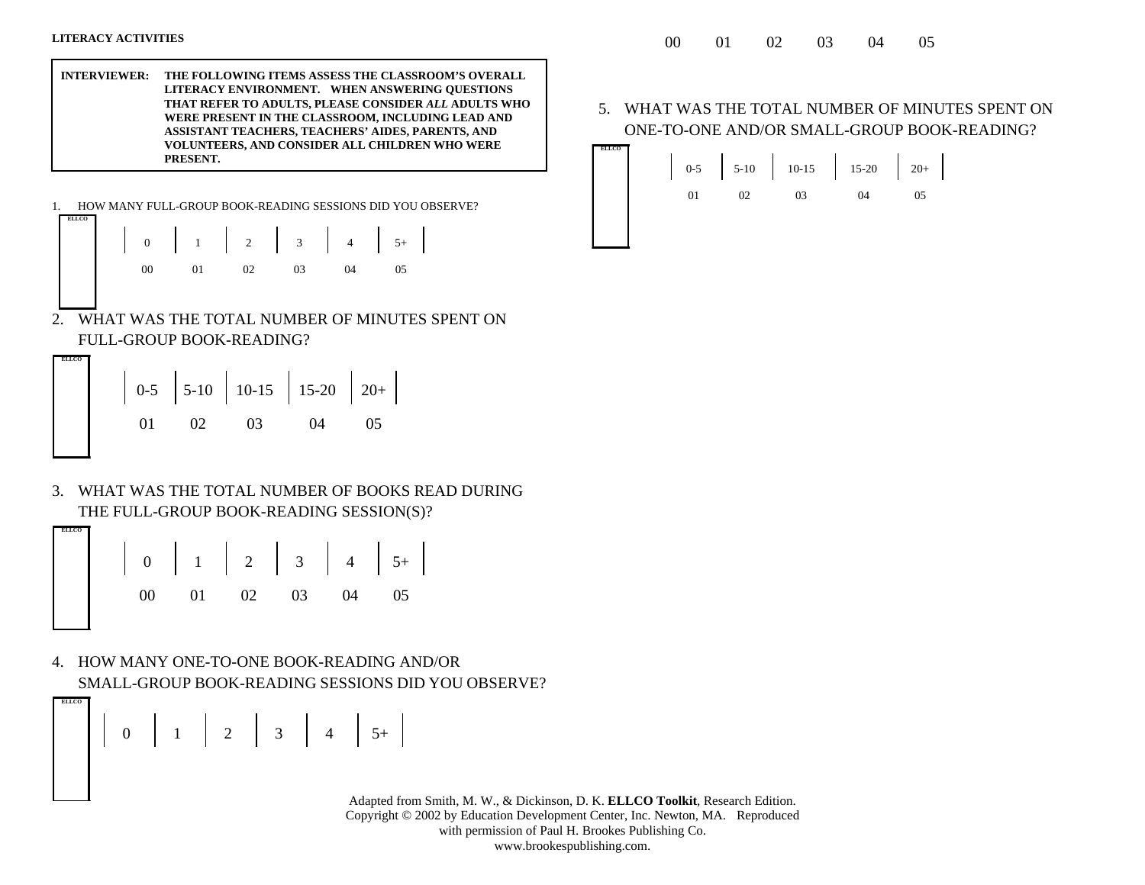**ELLCO**

**ELLCO**

**INTERVIEWER: THE FOLLOWING ITEMS ASSESS THE CLASSROOM'S OVERALL LITERACY ENVIRONMENT. WHEN ANSWERING QUESTIONS THAT REFER TO ADULTS, PLEASE CONSIDER** *ALL* **ADULTS WHO WERE PRESENT IN THE CLASSROOM, INCLUDING LEAD AND ASSISTANT TEACHERS, TEACHERS' AIDES, PARENTS, AND VOLUNTEERS, AND CONSIDER ALL CHILDREN WHO WERE PRESENT.**

**ELLCO**1. HOW MANY FULL-GROUP BOOK-READING SESSIONS DID YOU OBSERVE?

| 0 1 2 3 4 5+ |  |  |  |
|--------------|--|--|--|
|              |  |  |  |

2. WHAT WAS THE TOTAL NUMBER OF MINUTES SPENT ON FULL-GROUP BOOK-READING?

0-5 5-10 10-15 15-20 20+ 01 02 03 04 05

3. WHAT WAS THE TOTAL NUMBER OF BOOKS READ DURING THE FULL-GROUP BOOK-READING SESSION(S)?



4. HOW MANY ONE-TO-ONE BOOK-READING AND/OR SMALL-GROUP BOOK-READING SESSIONS DID YOU OBSERVE?

0 1 2 3 4 5+

 Adapted from Smith, M. W., & Dickinson, D. K. **ELLCO Toolkit**, Research Edition. Copyright © 2002 by Education Development Center, Inc. Newton, MA. Reproduced with permission of Paul H. Brookes Publishing Co. www.brookespublishing.com.

5. WHAT WAS THE TOTAL NUMBER OF MINUTES SPENT ON ONE-TO-ONE AND/OR SMALL-GROUP BOOK-READING?

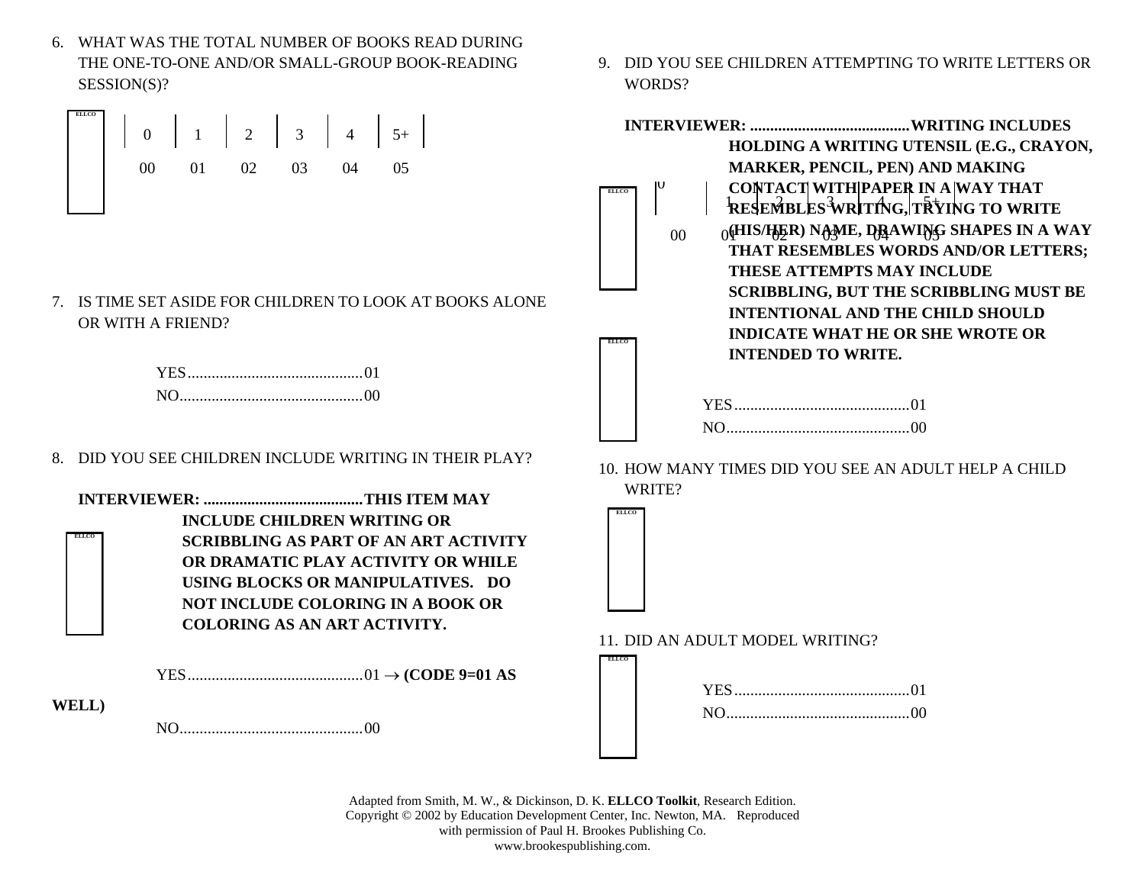6. WHAT WAS THE TOTAL NUMBER OF BOOKS READ DURING THE ONE-TO-ONE AND/OR SMALL-GROUP BOOK-READING SESSION(S)?



7. IS TIME SET ASIDE FOR CHILDREN TO LOOK AT BOOKS ALONE OR WITH A FRIEND?

8. DID YOU SEE CHILDREN INCLUDE WRITING IN THEIR PLAY?

**ELLCOINTERVIEWER: ........................................ THIS ITEM MAY INCLUDE CHILDREN WRITING OR SCRIBBLING AS PART OF AN ART ACTIVITY OR DRAMATIC PLAY ACTIVITY OR WHILE USING BLOCKS OR MANIPULATIVES. DO NOT INCLUDE COLORING IN A BOOK OR COLORING AS AN ART ACTIVITY.**

YES ............................................ 01 → **(CODE 9=01 AS** 

**WELL)**

NO .............................................. 00

9. DID YOU SEE CHILDREN ATTEMPTING TO WRITE LETTERS OR WORDS?



10. HOW MANY TIMES DID YOU SEE AN ADULT HELP A CHILD WRITE?



**ELLCO**

11. DID AN ADULT MODEL WRITING?



 Adapted from Smith, M. W., & Dickinson, D. K. **ELLCO Toolkit**, Research Edition. Copyright © 2002 by Education Development Center, Inc. Newton, MA. Reproduced with permission of Paul H. Brookes Publishing Co. www.brookespublishing.com.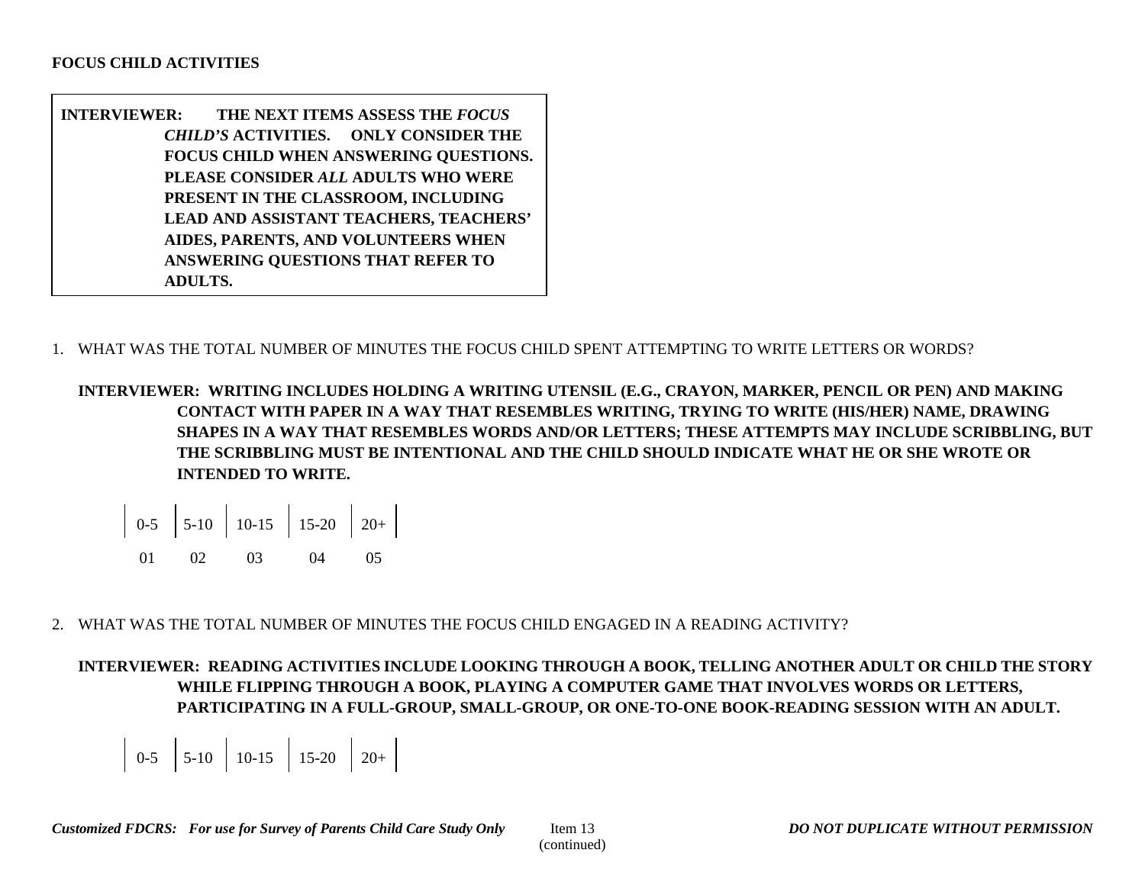- **INTERVIEWER: THE NEXT ITEMS ASSESS THE** *FOCUS CHILD'S* **ACTIVITIES. ONLY CONSIDER THE FOCUS CHILD WHEN ANSWERING QUESTIONS. PLEASE CONSIDER** *ALL* **ADULTS WHO WERE PRESENT IN THE CLASSROOM, INCLUDING LEAD AND ASSISTANT TEACHERS, TEACHERS' AIDES, PARENTS, AND VOLUNTEERS WHEN ANSWERING QUESTIONS THAT REFER TO ADULTS.**
- 1. WHAT WAS THE TOTAL NUMBER OF MINUTES THE FOCUS CHILD SPENT ATTEMPTING TO WRITE LETTERS OR WORDS?

**INTERVIEWER: WRITING INCLUDES HOLDING A WRITING UTENSIL (E.G., CRAYON, MARKER, PENCIL OR PEN) AND MAKING CONTACT WITH PAPER IN A WAY THAT RESEMBLES WRITING, TRYING TO WRITE (HIS/HER) NAME, DRAWING SHAPES IN A WAY THAT RESEMBLES WORDS AND/OR LETTERS; THESE ATTEMPTS MAY INCLUDE SCRIBBLING, BUT THE SCRIBBLING MUST BE INTENTIONAL AND THE CHILD SHOULD INDICATE WHAT HE OR SHE WROTE OR INTENDED TO WRITE.**

$$
\begin{array}{|c|c|c|c|c|c|c|c|} \hline 0.5 & 5-10 & 10-15 & 15-20 & 20+ \\ & & 01 & 02 & 03 & 04 & 05 \\ \hline \end{array}
$$

2. WHAT WAS THE TOTAL NUMBER OF MINUTES THE FOCUS CHILD ENGAGED IN A READING ACTIVITY?

**INTERVIEWER: READING ACTIVITIES INCLUDE LOOKING THROUGH A BOOK, TELLING ANOTHER ADULT OR CHILD THE STORY WHILE FLIPPING THROUGH A BOOK, PLAYING A COMPUTER GAME THAT INVOLVES WORDS OR LETTERS, PARTICIPATING IN A FULL-GROUP, SMALL-GROUP, OR ONE-TO-ONE BOOK-READING SESSION WITH AN ADULT.**

 $\begin{array}{|c|c|c|c|c|c|c|c|c|} \hline 0-5 & 5-10 & 10-15 & 15-20 & 20+ \ \hline \end{array}$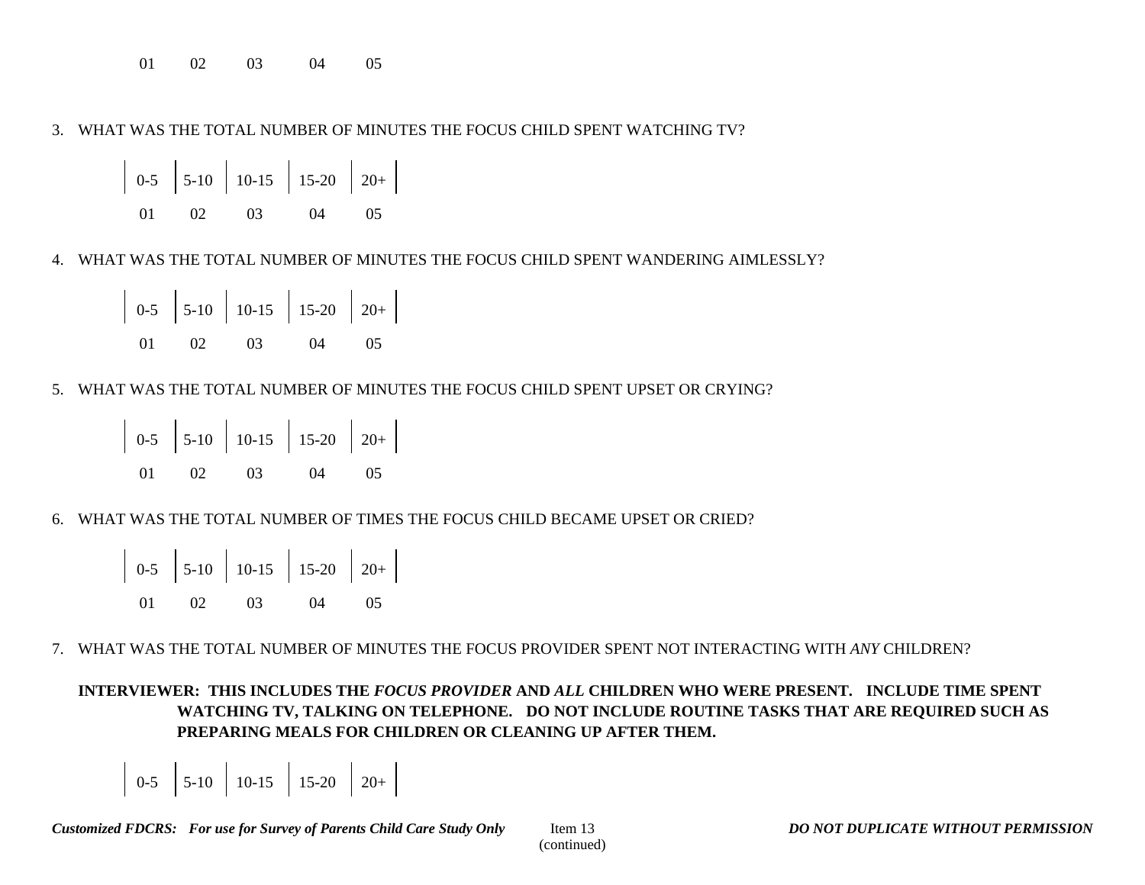01 02 03 04 05

3. WHAT WAS THE TOTAL NUMBER OF MINUTES THE FOCUS CHILD SPENT WATCHING TV?

$$
\begin{array}{|c|c|c|c|c|c|c|c|} \hline 0.5 & 5-10 & 10-15 & 15-20 & 20+ \\ 01 & 02 & 03 & 04 & 05 \\ \hline \end{array}
$$

4. WHAT WAS THE TOTAL NUMBER OF MINUTES THE FOCUS CHILD SPENT WANDERING AIMLESSLY?

|  | $\begin{array}{ c c c c c c c c } \hline 0-5 & 5-10 & 10-15 & 15-20 & 20+ \ \hline \end{array}$ |  |  |
|--|-------------------------------------------------------------------------------------------------|--|--|
|  | 01 02 03 04 05                                                                                  |  |  |

5. WHAT WAS THE TOTAL NUMBER OF MINUTES THE FOCUS CHILD SPENT UPSET OR CRYING?

|  |  | $\begin{array}{ c c c c c c c c } \hline 0-5 & 5-10 & 10-15 & 15-20 & 20+ \ \hline \end{array}$ |  |
|--|--|-------------------------------------------------------------------------------------------------|--|
|  |  | 01 02 03 04 05                                                                                  |  |

6. WHAT WAS THE TOTAL NUMBER OF TIMES THE FOCUS CHILD BECAME UPSET OR CRIED?

|  | $\begin{vmatrix} 0.5 \\ 5.10 \\ 10.15 \\ 15.20 \\ 20 + \\ \end{vmatrix}$ |  |  |
|--|--------------------------------------------------------------------------|--|--|
|  | 01 02 03 04 05                                                           |  |  |

7. WHAT WAS THE TOTAL NUMBER OF MINUTES THE FOCUS PROVIDER SPENT NOT INTERACTING WITH *ANY* CHILDREN?

**INTERVIEWER: THIS INCLUDES THE** *FOCUS PROVIDER* **AND** *ALL* **CHILDREN WHO WERE PRESENT. INCLUDE TIME SPENT WATCHING TV, TALKING ON TELEPHONE. DO NOT INCLUDE ROUTINE TASKS THAT ARE REQUIRED SUCH AS PREPARING MEALS FOR CHILDREN OR CLEANING UP AFTER THEM.** 

 $\begin{array}{|c|c|c|c|c|c|c|c|c|c|c|} \hline 0-5 & 5-10 & 10-15 & 15-20 & 20+ \hline \end{array}$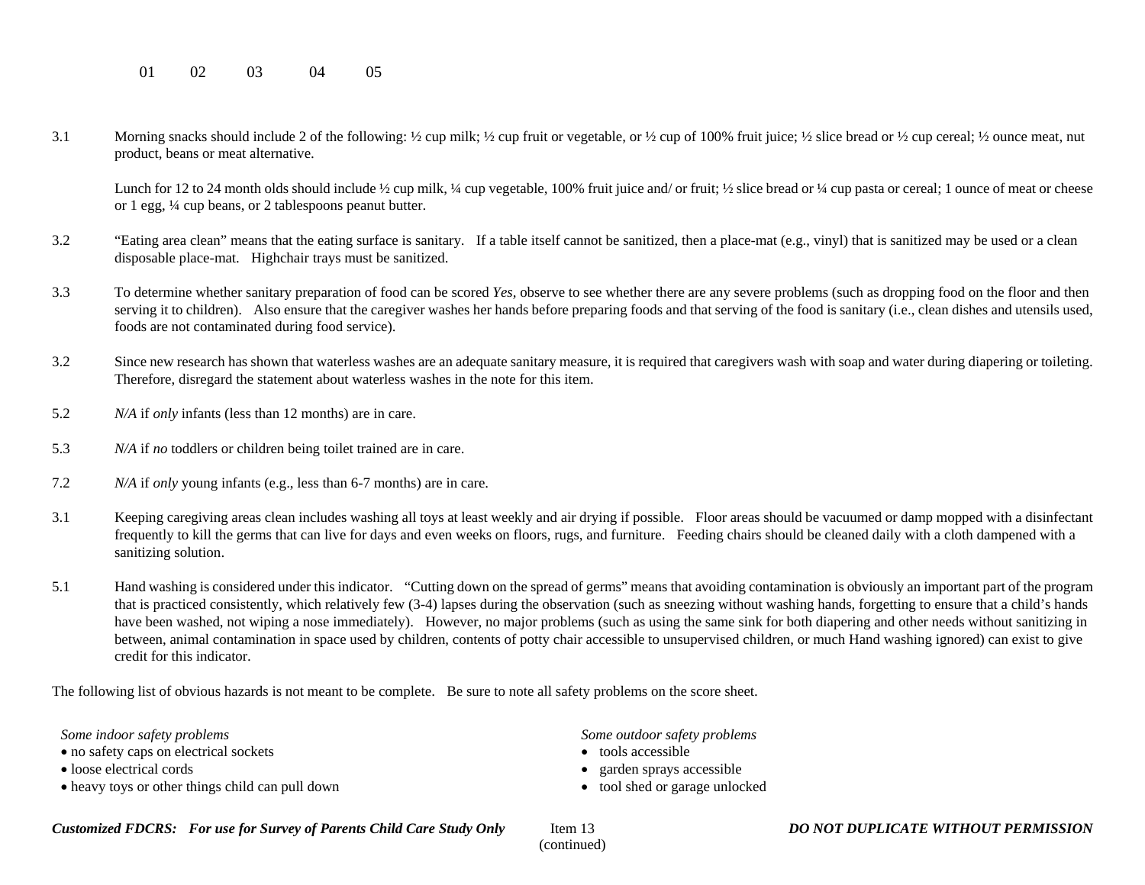01 02 03 04 05

3.1 Morning snacks should include 2 of the following: ½ cup milk; ½ cup fruit or vegetable, or ½ cup of 100% fruit juice; ½ slice bread or ½ cup cereal; ½ ounce meat, nut product, beans or meat alternative.

Lunch for 12 to 24 month olds should include  $\frac{1}{2}$  cup milk,  $\frac{1}{4}$  cup vegetable, 100% fruit juice and/ or fruit;  $\frac{1}{2}$  slice bread or  $\frac{1}{4}$  cup pasta or cereal; 1 ounce of meat or cheese or 1 egg, ¼ cup beans, or 2 tablespoons peanut butter.

- 3.2 "Eating area clean" means that the eating surface is sanitary. If a table itself cannot be sanitized, then a place-mat (e.g., vinyl) that is sanitized may be used or a clean disposable place-mat. Highchair trays must be sanitized.
- 3.3 To determine whether sanitary preparation of food can be scored *Yes,* observe to see whether there are any severe problems (such as dropping food on the floor and then serving it to children). Also ensure that the caregiver washes her hands before preparing foods and that serving of the food is sanitary (i.e., clean dishes and utensils used, foods are not contaminated during food service).
- 3.2 Since new research has shown that waterless washes are an adequate sanitary measure, it is required that caregivers wash with soap and water during diapering or toileting. Therefore, disregard the statement about waterless washes in the note for this item.
- 5.2 *N/A* if *only* infants (less than 12 months) are in care.
- 5.3 *N/A* if *no* toddlers or children being toilet trained are in care.
- 7.2 *N/A* if *only* young infants (e.g., less than 6-7 months) are in care.
- 3.1 Keeping caregiving areas clean includes washing all toys at least weekly and air drying if possible. Floor areas should be vacuumed or damp mopped with a disinfectant frequently to kill the germs that can live for days and even weeks on floors, rugs, and furniture. Feeding chairs should be cleaned daily with a cloth dampened with a sanitizing solution.
- 5.1 Hand washing is considered under this indicator. "Cutting down on the spread of germs" means that avoiding contamination is obviously an important part of the program that is practiced consistently, which relatively few (3-4) lapses during the observation (such as sneezing without washing hands, forgetting to ensure that a child's hands have been washed, not wiping a nose immediately). However, no major problems (such as using the same sink for both diapering and other needs without sanitizing in between, animal contamination in space used by children, contents of potty chair accessible to unsupervised children, or much Hand washing ignored) can exist to give credit for this indicator.

The following list of obvious hazards is not meant to be complete. Be sure to note all safety problems on the score sheet.

*Some indoor safety problems*

- no safety caps on electrical sockets
- loose electrical cords
- heavy toys or other things child can pull down

*Some outdoor safety problems*

- tools accessible
- garden sprays accessible
- tool shed or garage unlocked

*Customized FDCRS: For use for Survey of Parents Child Care Study Only* Item 13 *DO NOT DUPLICATE WITHOUT PERMISSION*

(continued)